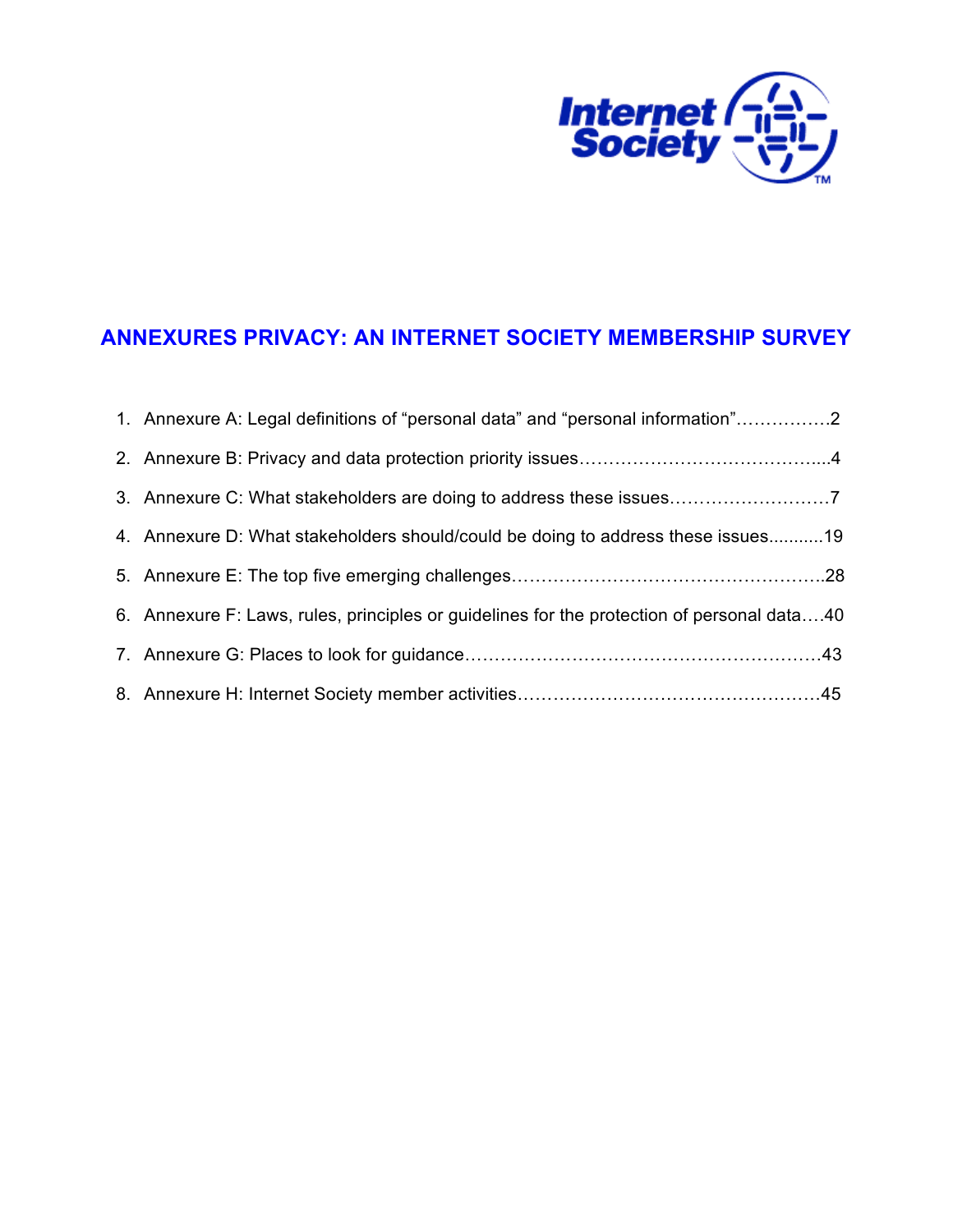

# **ANNEXURES PRIVACY: AN INTERNET SOCIETY MEMBERSHIP SURVEY**

| 1. Annexure A: Legal definitions of "personal data" and "personal information"2            |  |
|--------------------------------------------------------------------------------------------|--|
|                                                                                            |  |
|                                                                                            |  |
| 4. Annexure D: What stakeholders should/could be doing to address these issues19           |  |
|                                                                                            |  |
| 6. Annexure F: Laws, rules, principles or guidelines for the protection of personal data40 |  |
|                                                                                            |  |
|                                                                                            |  |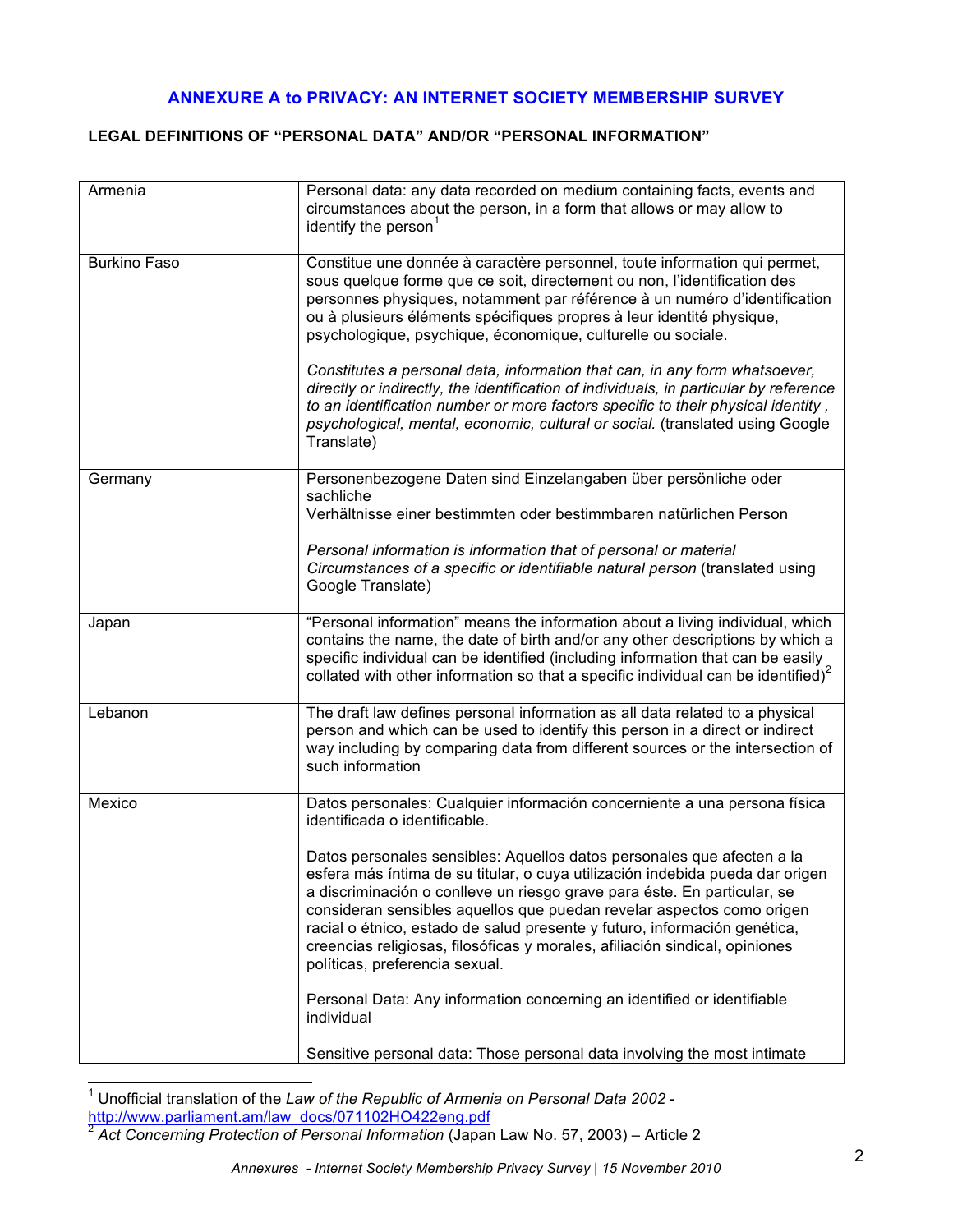# **ANNEXURE A to PRIVACY: AN INTERNET SOCIETY MEMBERSHIP SURVEY**

### **LEGAL DEFINITIONS OF "PERSONAL DATA" AND/OR "PERSONAL INFORMATION"**

| Armenia             | Personal data: any data recorded on medium containing facts, events and<br>circumstances about the person, in a form that allows or may allow to<br>identify the person <sup>1</sup>                                                                                                                                                                                                                                                                                                                                                                                                                                                                                                                                    |  |
|---------------------|-------------------------------------------------------------------------------------------------------------------------------------------------------------------------------------------------------------------------------------------------------------------------------------------------------------------------------------------------------------------------------------------------------------------------------------------------------------------------------------------------------------------------------------------------------------------------------------------------------------------------------------------------------------------------------------------------------------------------|--|
| <b>Burkino Faso</b> | Constitue une donnée à caractère personnel, toute information qui permet,<br>sous quelque forme que ce soit, directement ou non, l'identification des<br>personnes physiques, notamment par référence à un numéro d'identification<br>ou à plusieurs éléments spécifiques propres à leur identité physique,<br>psychologique, psychique, économique, culturelle ou sociale.<br>Constitutes a personal data, information that can, in any form whatsoever,<br>directly or indirectly, the identification of individuals, in particular by reference<br>to an identification number or more factors specific to their physical identity,<br>psychological, mental, economic, cultural or social. (translated using Google |  |
|                     | Translate)                                                                                                                                                                                                                                                                                                                                                                                                                                                                                                                                                                                                                                                                                                              |  |
| Germany             | Personenbezogene Daten sind Einzelangaben über persönliche oder<br>sachliche<br>Verhältnisse einer bestimmten oder bestimmbaren natürlichen Person                                                                                                                                                                                                                                                                                                                                                                                                                                                                                                                                                                      |  |
|                     | Personal information is information that of personal or material<br>Circumstances of a specific or identifiable natural person (translated using<br>Google Translate)                                                                                                                                                                                                                                                                                                                                                                                                                                                                                                                                                   |  |
| Japan               | "Personal information" means the information about a living individual, which<br>contains the name, the date of birth and/or any other descriptions by which a<br>specific individual can be identified (including information that can be easily<br>collated with other information so that a specific individual can be identified) $2$                                                                                                                                                                                                                                                                                                                                                                               |  |
| Lebanon             | The draft law defines personal information as all data related to a physical<br>person and which can be used to identify this person in a direct or indirect<br>way including by comparing data from different sources or the intersection of<br>such information                                                                                                                                                                                                                                                                                                                                                                                                                                                       |  |
| Mexico              | Datos personales: Cualquier información concerniente a una persona física<br>identificada o identificable.                                                                                                                                                                                                                                                                                                                                                                                                                                                                                                                                                                                                              |  |
|                     | Datos personales sensibles: Aquellos datos personales que afecten a la<br>esfera más íntima de su titular, o cuya utilización indebida pueda dar origen<br>a discriminación o conlleve un riesgo grave para éste. En particular, se<br>consideran sensibles aquellos que puedan revelar aspectos como origen<br>racial o étnico, estado de salud presente y futuro, información genética,<br>creencias religiosas, filosóficas y morales, afiliación sindical, opiniones<br>políticas, preferencia sexual.                                                                                                                                                                                                              |  |
|                     | Personal Data: Any information concerning an identified or identifiable<br>individual                                                                                                                                                                                                                                                                                                                                                                                                                                                                                                                                                                                                                                   |  |
|                     | Sensitive personal data: Those personal data involving the most intimate                                                                                                                                                                                                                                                                                                                                                                                                                                                                                                                                                                                                                                                |  |

 <sup>1</sup> Unofficial translation of the *Law of the Republic of Armenia on Personal Data 2002*  http://www.parliament.am/law\_docs/071102HO422eng.pdf

<sup>2</sup> *Act Concerning Protection of Personal Information* (Japan Law No. 57, 2003) – Article 2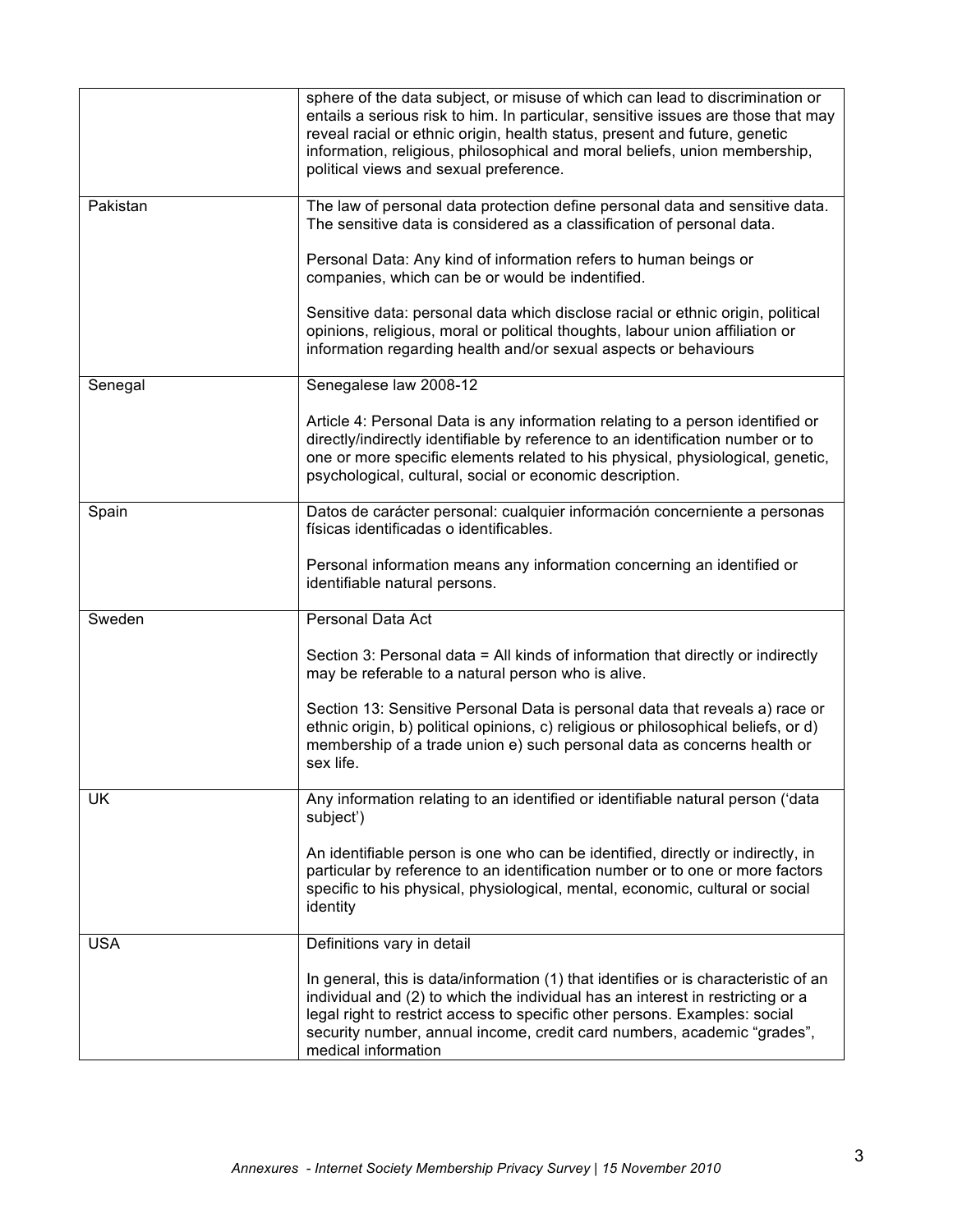|            | sphere of the data subject, or misuse of which can lead to discrimination or<br>entails a serious risk to him. In particular, sensitive issues are those that may<br>reveal racial or ethnic origin, health status, present and future, genetic<br>information, religious, philosophical and moral beliefs, union membership,<br>political views and sexual preference. |  |
|------------|-------------------------------------------------------------------------------------------------------------------------------------------------------------------------------------------------------------------------------------------------------------------------------------------------------------------------------------------------------------------------|--|
| Pakistan   | The law of personal data protection define personal data and sensitive data.<br>The sensitive data is considered as a classification of personal data.                                                                                                                                                                                                                  |  |
|            | Personal Data: Any kind of information refers to human beings or<br>companies, which can be or would be indentified.                                                                                                                                                                                                                                                    |  |
|            | Sensitive data: personal data which disclose racial or ethnic origin, political<br>opinions, religious, moral or political thoughts, labour union affiliation or<br>information regarding health and/or sexual aspects or behaviours                                                                                                                                    |  |
| Senegal    | Senegalese law 2008-12                                                                                                                                                                                                                                                                                                                                                  |  |
|            | Article 4: Personal Data is any information relating to a person identified or<br>directly/indirectly identifiable by reference to an identification number or to<br>one or more specific elements related to his physical, physiological, genetic,<br>psychological, cultural, social or economic description.                                                         |  |
| Spain      | Datos de carácter personal: cualquier información concerniente a personas<br>físicas identificadas o identificables.                                                                                                                                                                                                                                                    |  |
|            | Personal information means any information concerning an identified or<br>identifiable natural persons.                                                                                                                                                                                                                                                                 |  |
| Sweden     | Personal Data Act                                                                                                                                                                                                                                                                                                                                                       |  |
|            | Section 3: Personal data = All kinds of information that directly or indirectly<br>may be referable to a natural person who is alive.                                                                                                                                                                                                                                   |  |
|            | Section 13: Sensitive Personal Data is personal data that reveals a) race or<br>ethnic origin, b) political opinions, c) religious or philosophical beliefs, or d)<br>membership of a trade union e) such personal data as concerns health or<br>sex life.                                                                                                              |  |
| UK         | Any information relating to an identified or identifiable natural person ('data<br>subject')                                                                                                                                                                                                                                                                            |  |
|            | An identifiable person is one who can be identified, directly or indirectly, in<br>particular by reference to an identification number or to one or more factors<br>specific to his physical, physiological, mental, economic, cultural or social<br>identity                                                                                                           |  |
| <b>USA</b> | Definitions vary in detail                                                                                                                                                                                                                                                                                                                                              |  |
|            | In general, this is data/information (1) that identifies or is characteristic of an<br>individual and (2) to which the individual has an interest in restricting or a<br>legal right to restrict access to specific other persons. Examples: social<br>security number, annual income, credit card numbers, academic "grades",<br>medical information                   |  |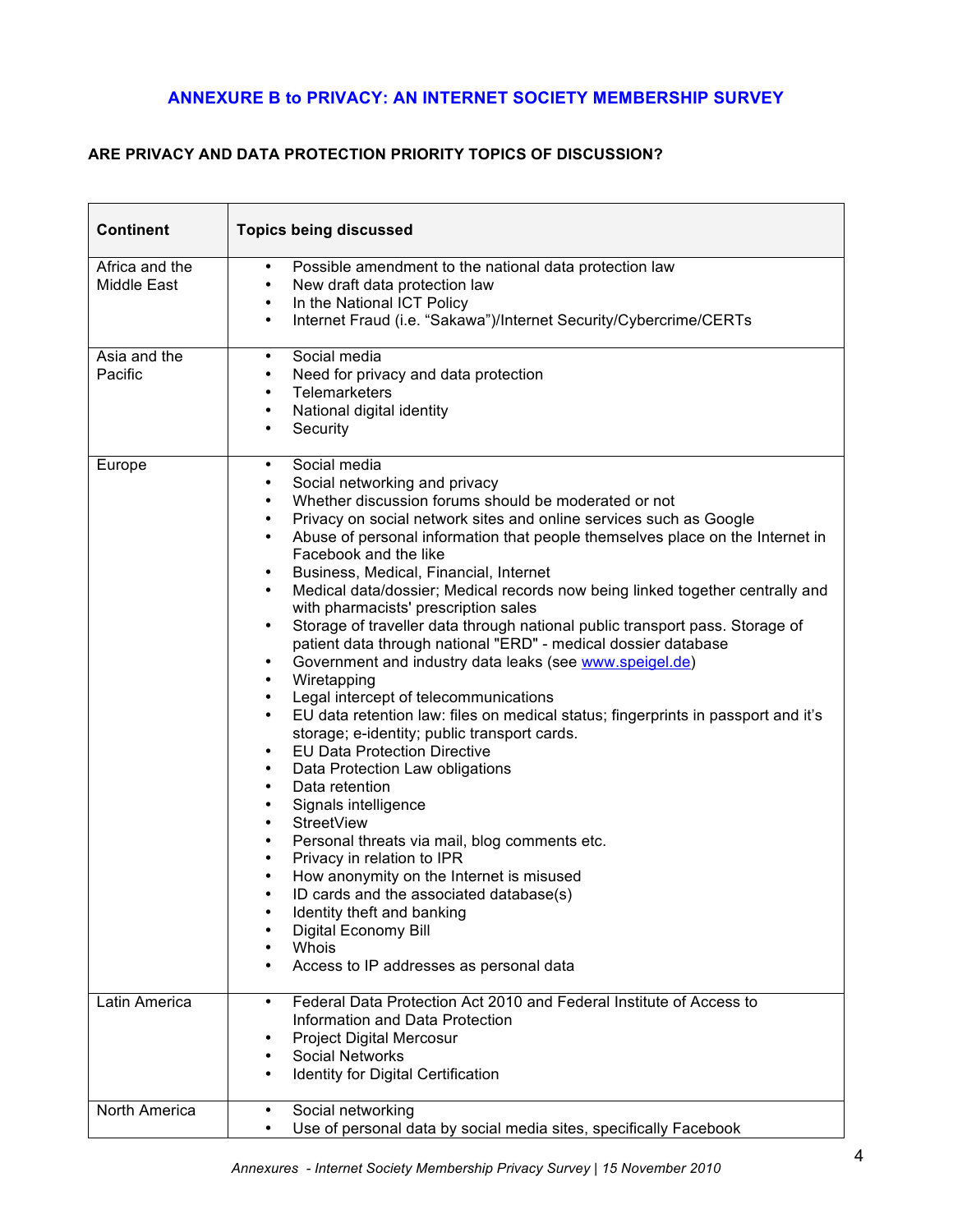# **ANNEXURE B to PRIVACY: AN INTERNET SOCIETY MEMBERSHIP SURVEY**

# **ARE PRIVACY AND DATA PROTECTION PRIORITY TOPICS OF DISCUSSION?**

| <b>Continent</b>              | <b>Topics being discussed</b>                                                                                                                                                                                                                                                                                                                                                                                                                                                                                                                                                                                                                                                                                                                                                                                                                                                                                                                                                                                                                                                                                                                                                                                                                                                                                                                                                                                                                                                                                                                                                                                                                                                                                                                                                                      |  |
|-------------------------------|----------------------------------------------------------------------------------------------------------------------------------------------------------------------------------------------------------------------------------------------------------------------------------------------------------------------------------------------------------------------------------------------------------------------------------------------------------------------------------------------------------------------------------------------------------------------------------------------------------------------------------------------------------------------------------------------------------------------------------------------------------------------------------------------------------------------------------------------------------------------------------------------------------------------------------------------------------------------------------------------------------------------------------------------------------------------------------------------------------------------------------------------------------------------------------------------------------------------------------------------------------------------------------------------------------------------------------------------------------------------------------------------------------------------------------------------------------------------------------------------------------------------------------------------------------------------------------------------------------------------------------------------------------------------------------------------------------------------------------------------------------------------------------------------------|--|
| Africa and the<br>Middle East | Possible amendment to the national data protection law<br>$\bullet$<br>New draft data protection law<br>$\bullet$<br>In the National ICT Policy<br>$\bullet$<br>Internet Fraud (i.e. "Sakawa")/Internet Security/Cybercrime/CERTs<br>$\bullet$                                                                                                                                                                                                                                                                                                                                                                                                                                                                                                                                                                                                                                                                                                                                                                                                                                                                                                                                                                                                                                                                                                                                                                                                                                                                                                                                                                                                                                                                                                                                                     |  |
| Asia and the<br>Pacific       | Social media<br>٠<br>Need for privacy and data protection<br>$\bullet$<br><b>Telemarketers</b><br>$\bullet$<br>National digital identity<br>$\bullet$<br>Security<br>$\bullet$                                                                                                                                                                                                                                                                                                                                                                                                                                                                                                                                                                                                                                                                                                                                                                                                                                                                                                                                                                                                                                                                                                                                                                                                                                                                                                                                                                                                                                                                                                                                                                                                                     |  |
| Europe<br>Latin America       | Social media<br>$\bullet$<br>Social networking and privacy<br>$\bullet$<br>Whether discussion forums should be moderated or not<br>$\bullet$<br>Privacy on social network sites and online services such as Google<br>$\bullet$<br>Abuse of personal information that people themselves place on the Internet in<br>$\bullet$<br>Facebook and the like<br>Business, Medical, Financial, Internet<br>$\bullet$<br>Medical data/dossier; Medical records now being linked together centrally and<br>٠<br>with pharmacists' prescription sales<br>Storage of traveller data through national public transport pass. Storage of<br>$\bullet$<br>patient data through national "ERD" - medical dossier database<br>Government and industry data leaks (see www.speigel.de)<br>٠<br>Wiretapping<br>$\bullet$<br>Legal intercept of telecommunications<br>$\bullet$<br>EU data retention law: files on medical status; fingerprints in passport and it's<br>$\bullet$<br>storage; e-identity; public transport cards.<br><b>EU Data Protection Directive</b><br>$\bullet$<br>Data Protection Law obligations<br>$\bullet$<br>Data retention<br>$\bullet$<br>Signals intelligence<br>٠<br><b>StreetView</b><br>$\bullet$<br>Personal threats via mail, blog comments etc.<br>٠<br>Privacy in relation to IPR<br>$\bullet$<br>How anonymity on the Internet is misused<br>$\bullet$<br>ID cards and the associated database(s)<br>$\bullet$<br>Identity theft and banking<br>٠<br>Digital Economy Bill<br>Whois<br>٠<br>Access to IP addresses as personal data<br>$\bullet$<br>Federal Data Protection Act 2010 and Federal Institute of Access to<br>$\bullet$<br>Information and Data Protection<br><b>Project Digital Mercosur</b><br><b>Social Networks</b><br>٠<br>Identity for Digital Certification |  |
| North America                 | Social networking<br>٠<br>Use of personal data by social media sites, specifically Facebook                                                                                                                                                                                                                                                                                                                                                                                                                                                                                                                                                                                                                                                                                                                                                                                                                                                                                                                                                                                                                                                                                                                                                                                                                                                                                                                                                                                                                                                                                                                                                                                                                                                                                                        |  |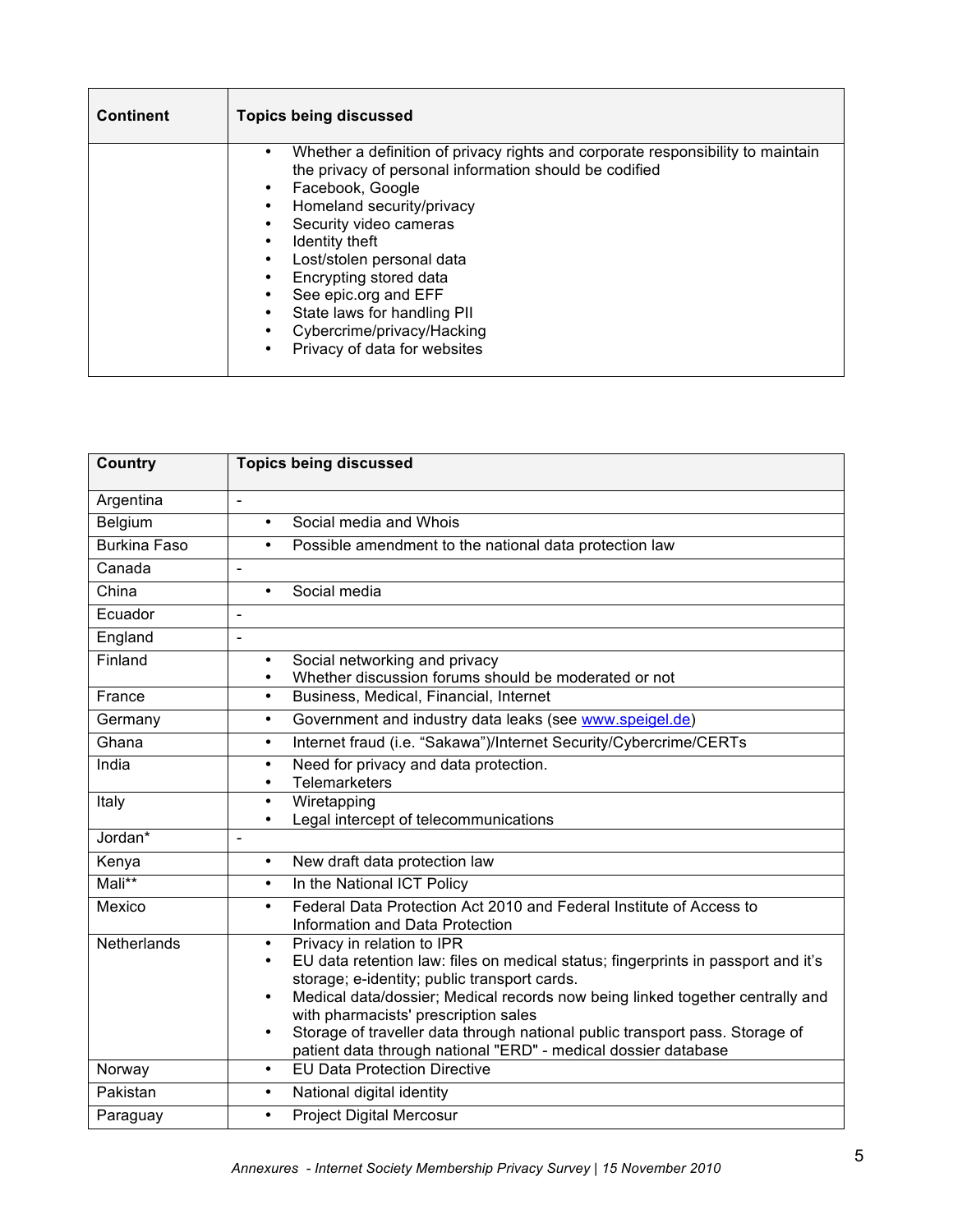| <b>Continent</b> | <b>Topics being discussed</b>                                                                                                                                                                                                                                                                                                                                                                                           |  |
|------------------|-------------------------------------------------------------------------------------------------------------------------------------------------------------------------------------------------------------------------------------------------------------------------------------------------------------------------------------------------------------------------------------------------------------------------|--|
|                  | Whether a definition of privacy rights and corporate responsibility to maintain<br>the privacy of personal information should be codified<br>Facebook, Google<br>Homeland security/privacy<br>Security video cameras<br>Identity theft<br>Lost/stolen personal data<br>Encrypting stored data<br>See epic.org and EFF<br>State laws for handling PII<br>Cybercrime/privacy/Hacking<br>Privacy of data for websites<br>٠ |  |

| Country             | <b>Topics being discussed</b>                                                                                       |  |  |
|---------------------|---------------------------------------------------------------------------------------------------------------------|--|--|
| Argentina           | $\blacksquare$                                                                                                      |  |  |
| Belgium             | Social media and Whois<br>$\bullet$                                                                                 |  |  |
| <b>Burkina Faso</b> | Possible amendment to the national data protection law<br>$\bullet$                                                 |  |  |
| Canada              | L,                                                                                                                  |  |  |
| China               | Social media<br>$\bullet$                                                                                           |  |  |
| Ecuador             | ÷,                                                                                                                  |  |  |
| England             | ÷,                                                                                                                  |  |  |
| Finland             | Social networking and privacy                                                                                       |  |  |
|                     | Whether discussion forums should be moderated or not                                                                |  |  |
| France              | Business, Medical, Financial, Internet<br>$\bullet$                                                                 |  |  |
| Germany             | Government and industry data leaks (see www.speigel.de)<br>$\bullet$                                                |  |  |
| Ghana               | Internet fraud (i.e. "Sakawa")/Internet Security/Cybercrime/CERTs<br>$\bullet$                                      |  |  |
| India               | Need for privacy and data protection.<br>$\bullet$                                                                  |  |  |
|                     | Telemarketers<br>$\bullet$                                                                                          |  |  |
| Italy               | Wiretapping<br>$\bullet$<br>Legal intercept of telecommunications<br>$\bullet$                                      |  |  |
| Jordan*             | $\overline{a}$                                                                                                      |  |  |
| Kenya               | New draft data protection law<br>$\bullet$                                                                          |  |  |
| Mali**              | In the National ICT Policy<br>$\bullet$                                                                             |  |  |
| Mexico              | Federal Data Protection Act 2010 and Federal Institute of Access to<br>$\bullet$<br>Information and Data Protection |  |  |
| Netherlands         | Privacy in relation to IPR<br>$\bullet$                                                                             |  |  |
|                     | EU data retention law: files on medical status; fingerprints in passport and it's<br>$\bullet$                      |  |  |
|                     | storage; e-identity; public transport cards.                                                                        |  |  |
|                     | Medical data/dossier; Medical records now being linked together centrally and<br>$\bullet$                          |  |  |
|                     | with pharmacists' prescription sales                                                                                |  |  |
|                     | Storage of traveller data through national public transport pass. Storage of<br>$\bullet$                           |  |  |
|                     | patient data through national "ERD" - medical dossier database<br><b>EU Data Protection Directive</b>               |  |  |
| Norway              | $\bullet$                                                                                                           |  |  |
| Pakistan            | National digital identity<br>$\bullet$                                                                              |  |  |
| Paraguay            | <b>Project Digital Mercosur</b><br>$\bullet$                                                                        |  |  |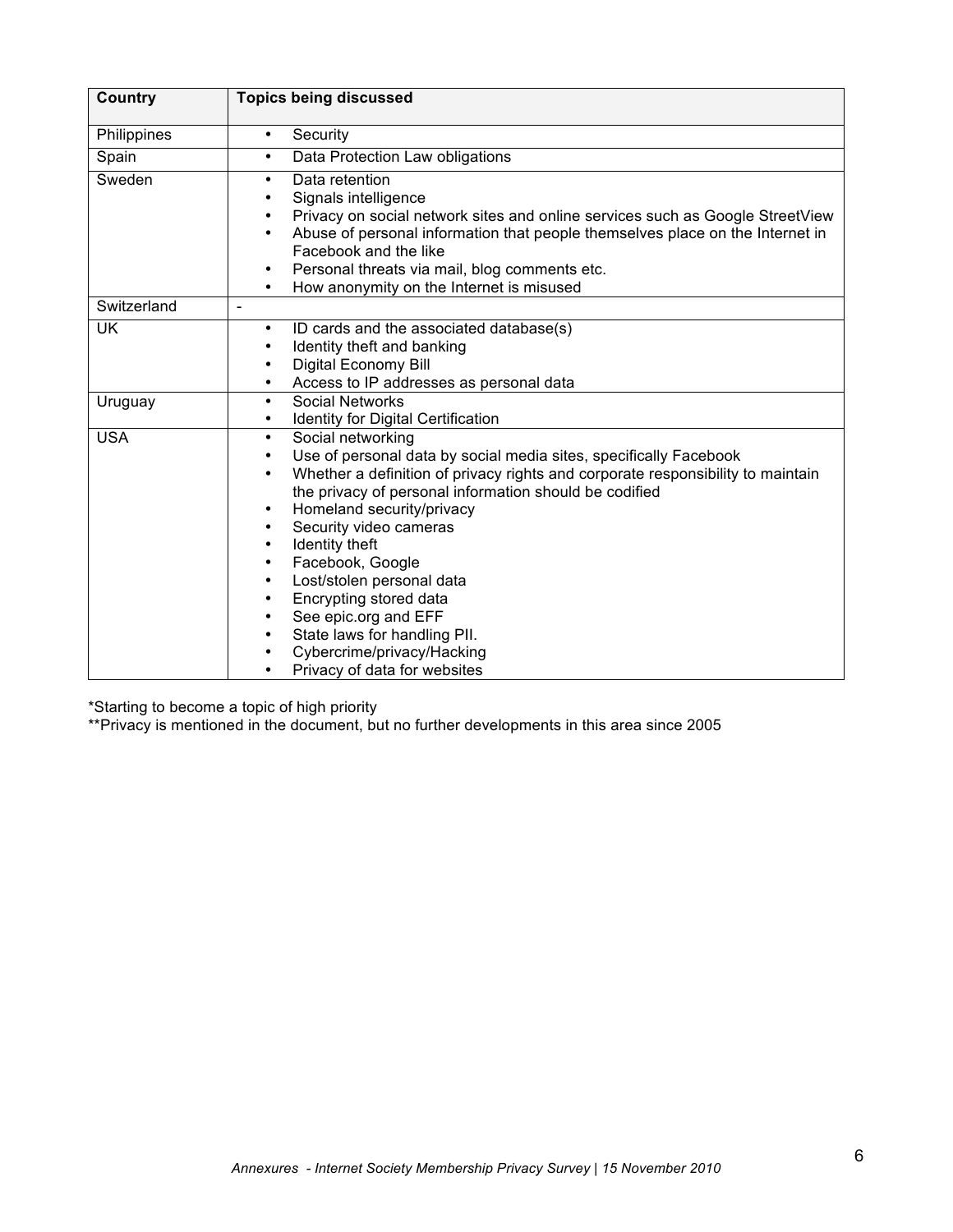| <b>Country</b> | <b>Topics being discussed</b>                                                                                                                                                                                                                                                                                                                                                                                                                                                                                                                                  |  |  |
|----------------|----------------------------------------------------------------------------------------------------------------------------------------------------------------------------------------------------------------------------------------------------------------------------------------------------------------------------------------------------------------------------------------------------------------------------------------------------------------------------------------------------------------------------------------------------------------|--|--|
| Philippines    | Security<br>$\bullet$                                                                                                                                                                                                                                                                                                                                                                                                                                                                                                                                          |  |  |
| Spain          | Data Protection Law obligations<br>$\bullet$                                                                                                                                                                                                                                                                                                                                                                                                                                                                                                                   |  |  |
| Sweden         | Data retention<br>٠<br>Signals intelligence<br>Privacy on social network sites and online services such as Google StreetView<br>Abuse of personal information that people themselves place on the Internet in<br>$\bullet$<br>Facebook and the like<br>Personal threats via mail, blog comments etc.<br>How anonymity on the Internet is misused                                                                                                                                                                                                               |  |  |
| Switzerland    | $\blacksquare$                                                                                                                                                                                                                                                                                                                                                                                                                                                                                                                                                 |  |  |
| <b>UK</b>      | ID cards and the associated database(s)<br>$\bullet$<br>Identity theft and banking<br>Digital Economy Bill<br>Access to IP addresses as personal data                                                                                                                                                                                                                                                                                                                                                                                                          |  |  |
| Uruguay        | <b>Social Networks</b><br>$\bullet$<br><b>Identity for Digital Certification</b><br>$\bullet$                                                                                                                                                                                                                                                                                                                                                                                                                                                                  |  |  |
| <b>USA</b>     | Social networking<br>$\bullet$<br>Use of personal data by social media sites, specifically Facebook<br>Whether a definition of privacy rights and corporate responsibility to maintain<br>the privacy of personal information should be codified<br>Homeland security/privacy<br>$\bullet$<br>Security video cameras<br>Identity theft<br>$\bullet$<br>Facebook, Google<br>٠<br>Lost/stolen personal data<br>٠<br>Encrypting stored data<br>See epic.org and EFF<br>State laws for handling PII.<br>Cybercrime/privacy/Hacking<br>Privacy of data for websites |  |  |

\*Starting to become a topic of high priority

\*\*Privacy is mentioned in the document, but no further developments in this area since 2005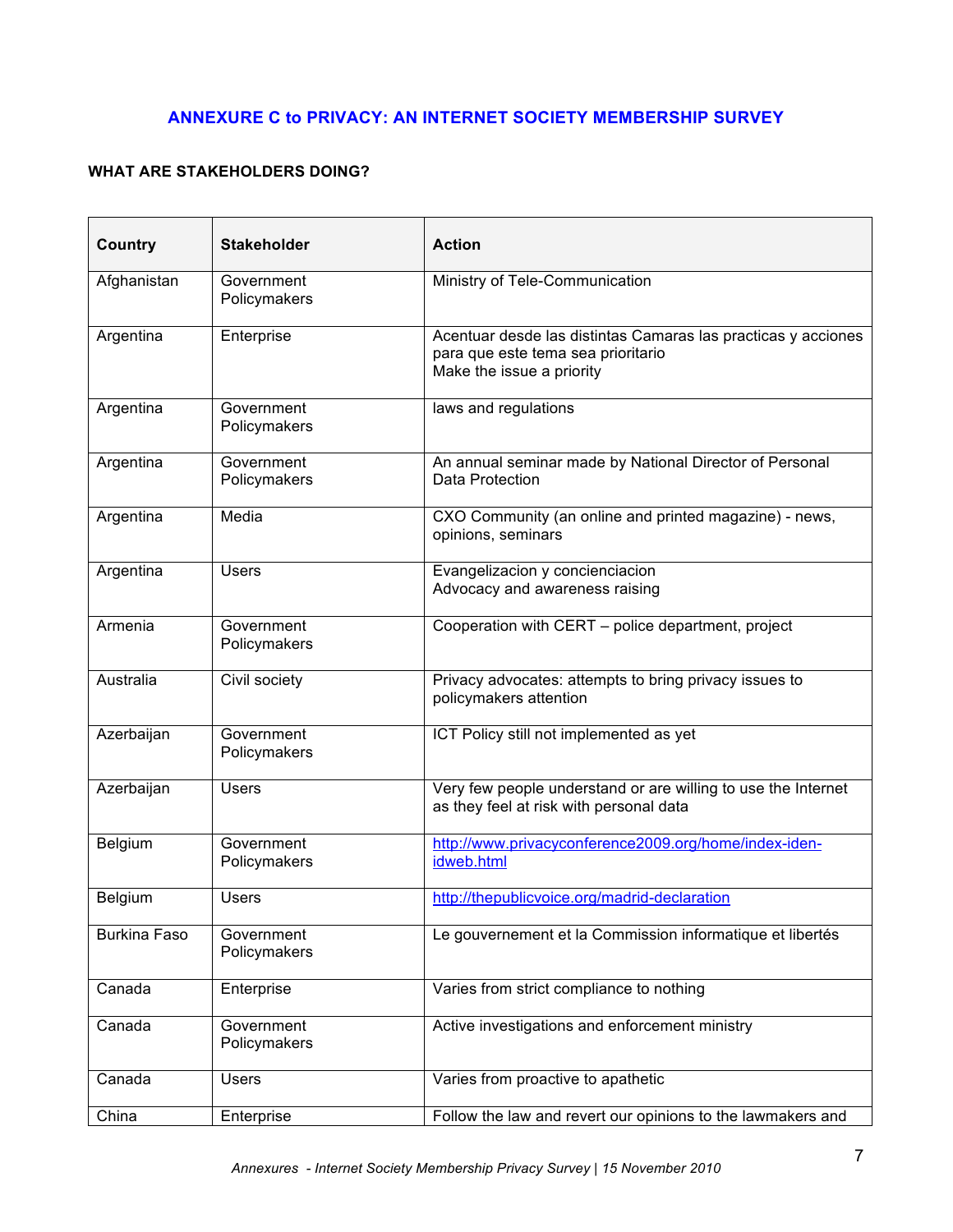# **ANNEXURE C to PRIVACY: AN INTERNET SOCIETY MEMBERSHIP SURVEY**

# **WHAT ARE STAKEHOLDERS DOING?**

| <b>Country</b>      | <b>Stakeholder</b>         | <b>Action</b>                                                                                                                    |
|---------------------|----------------------------|----------------------------------------------------------------------------------------------------------------------------------|
| Afghanistan         | Government<br>Policymakers | Ministry of Tele-Communication                                                                                                   |
| Argentina           | Enterprise                 | Acentuar desde las distintas Camaras las practicas y acciones<br>para que este tema sea prioritario<br>Make the issue a priority |
| Argentina           | Government<br>Policymakers | laws and regulations                                                                                                             |
| Argentina           | Government<br>Policymakers | An annual seminar made by National Director of Personal<br>Data Protection                                                       |
| Argentina           | Media                      | CXO Community (an online and printed magazine) - news,<br>opinions, seminars                                                     |
| Argentina           | <b>Users</b>               | Evangelizacion y concienciacion<br>Advocacy and awareness raising                                                                |
| Armenia             | Government<br>Policymakers | Cooperation with CERT - police department, project                                                                               |
| Australia           | Civil society              | Privacy advocates: attempts to bring privacy issues to<br>policymakers attention                                                 |
| Azerbaijan          | Government<br>Policymakers | ICT Policy still not implemented as yet                                                                                          |
| Azerbaijan          | <b>Users</b>               | Very few people understand or are willing to use the Internet<br>as they feel at risk with personal data                         |
| Belgium             | Government<br>Policymakers | http://www.privacyconference2009.org/home/index-iden-<br>idweb.html                                                              |
| Belgium             | Users                      | http://thepublicvoice.org/madrid-declaration                                                                                     |
| <b>Burkina Faso</b> | Government<br>Policymakers | Le gouvernement et la Commission informatique et libertés                                                                        |
| Canada              | Enterprise                 | Varies from strict compliance to nothing                                                                                         |
| Canada              | Government<br>Policymakers | Active investigations and enforcement ministry                                                                                   |
| Canada              | <b>Users</b>               | Varies from proactive to apathetic                                                                                               |
| China               | Enterprise                 | Follow the law and revert our opinions to the lawmakers and                                                                      |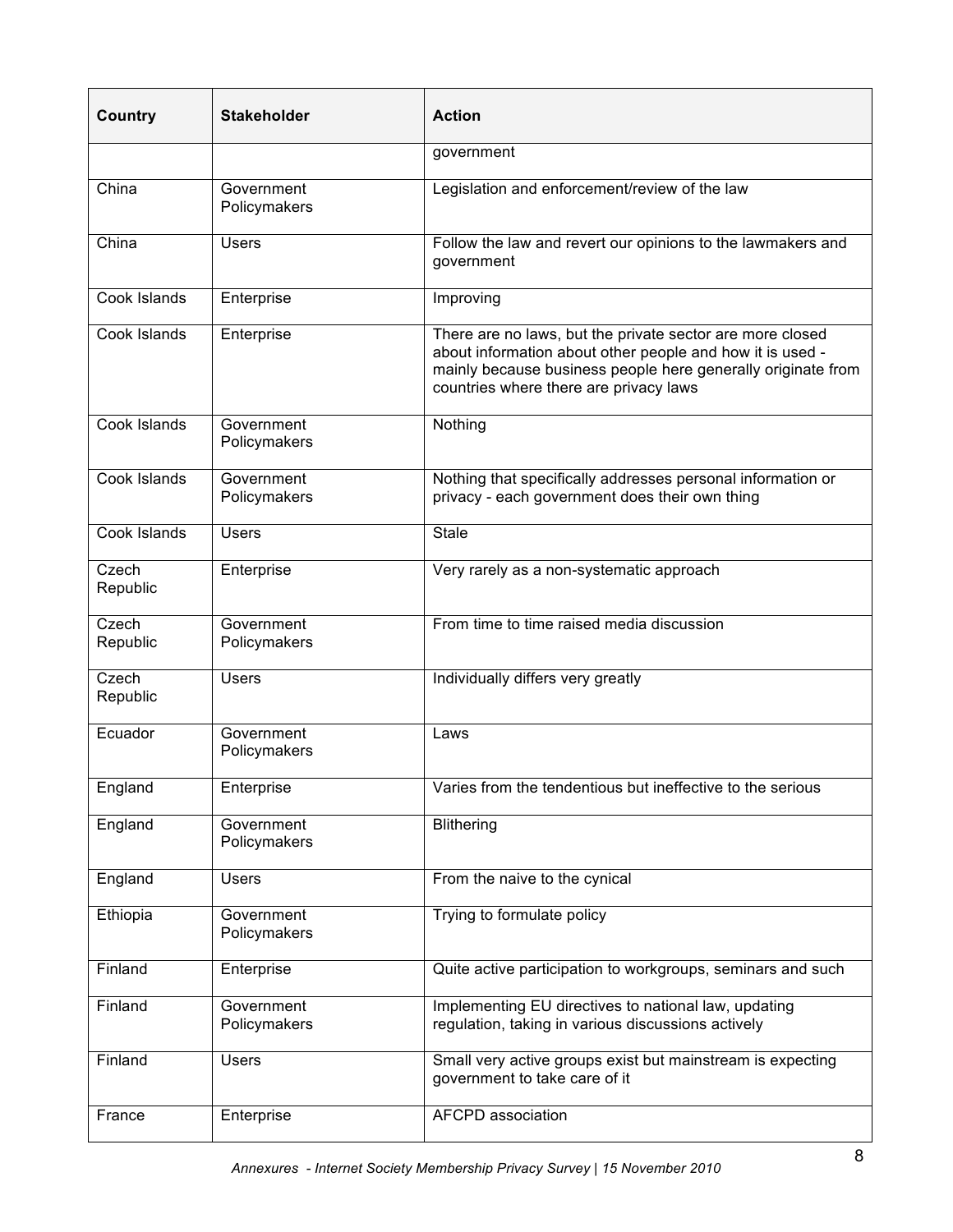| <b>Country</b>    | <b>Stakeholder</b>         | <b>Action</b>                                                                                                                                                                                                                    |
|-------------------|----------------------------|----------------------------------------------------------------------------------------------------------------------------------------------------------------------------------------------------------------------------------|
|                   |                            | government                                                                                                                                                                                                                       |
| China             | Government<br>Policymakers | Legislation and enforcement/review of the law                                                                                                                                                                                    |
| China             | <b>Users</b>               | Follow the law and revert our opinions to the lawmakers and<br>government                                                                                                                                                        |
| Cook Islands      | Enterprise                 | Improving                                                                                                                                                                                                                        |
| Cook Islands      | Enterprise                 | There are no laws, but the private sector are more closed<br>about information about other people and how it is used -<br>mainly because business people here generally originate from<br>countries where there are privacy laws |
| Cook Islands      | Government<br>Policymakers | Nothing                                                                                                                                                                                                                          |
| Cook Islands      | Government<br>Policymakers | Nothing that specifically addresses personal information or<br>privacy - each government does their own thing                                                                                                                    |
| Cook Islands      | <b>Users</b>               | <b>Stale</b>                                                                                                                                                                                                                     |
| Czech<br>Republic | Enterprise                 | Very rarely as a non-systematic approach                                                                                                                                                                                         |
| Czech<br>Republic | Government<br>Policymakers | From time to time raised media discussion                                                                                                                                                                                        |
| Czech<br>Republic | <b>Users</b>               | Individually differs very greatly                                                                                                                                                                                                |
| Ecuador           | Government<br>Policymakers | Laws                                                                                                                                                                                                                             |
| England           | Enterprise                 | Varies from the tendentious but ineffective to the serious                                                                                                                                                                       |
| England           | Government<br>Policymakers | <b>Blithering</b>                                                                                                                                                                                                                |
| England           | <b>Users</b>               | From the naive to the cynical                                                                                                                                                                                                    |
| Ethiopia          | Government<br>Policymakers | Trying to formulate policy                                                                                                                                                                                                       |
| Finland           | Enterprise                 | Quite active participation to workgroups, seminars and such                                                                                                                                                                      |
| Finland           | Government<br>Policymakers | Implementing EU directives to national law, updating<br>regulation, taking in various discussions actively                                                                                                                       |
| Finland           | <b>Users</b>               | Small very active groups exist but mainstream is expecting<br>government to take care of it                                                                                                                                      |
| France            | Enterprise                 | <b>AFCPD</b> association                                                                                                                                                                                                         |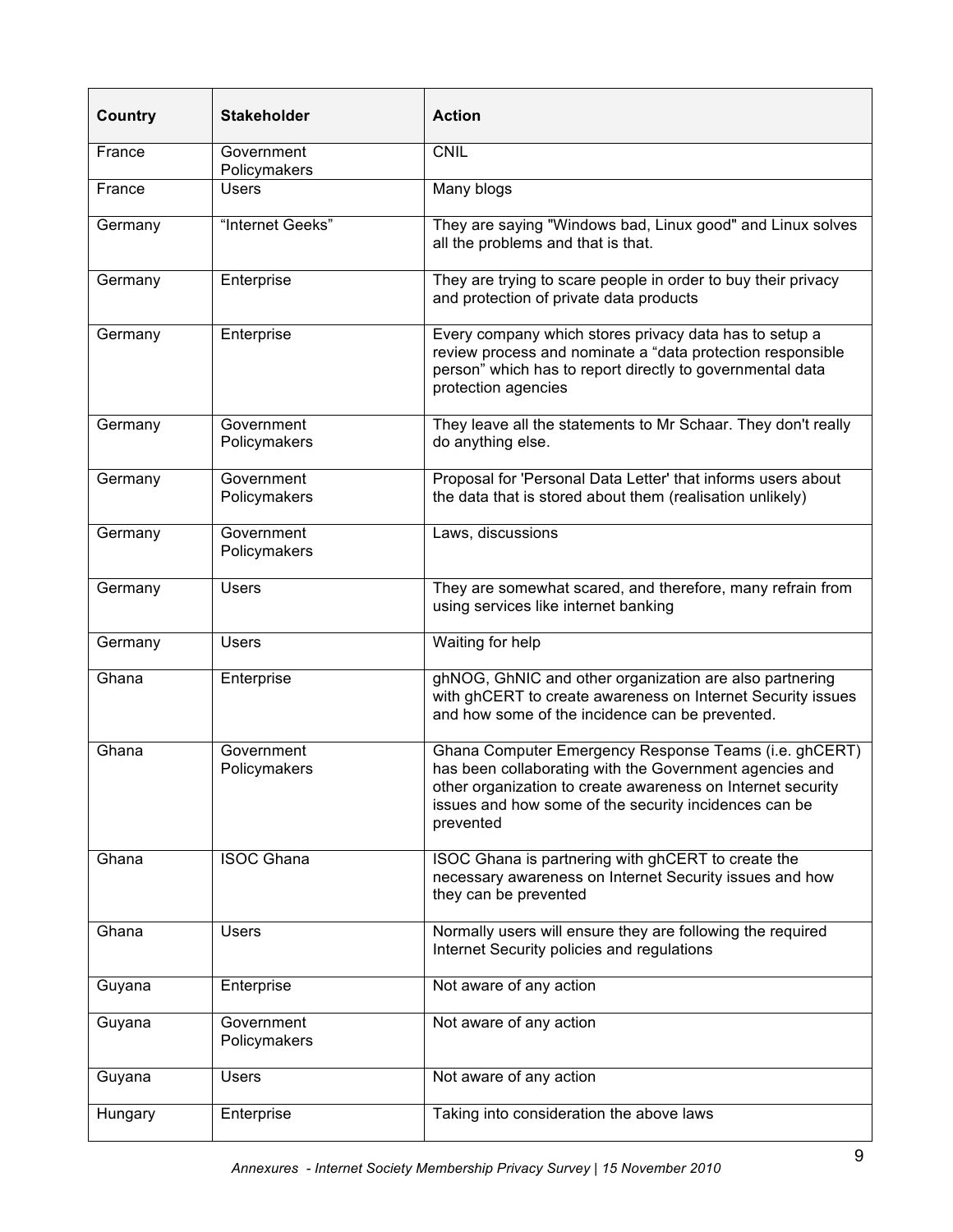| <b>Country</b> | <b>Stakeholder</b>         | <b>Action</b>                                                                                                                                                                                                                                         |
|----------------|----------------------------|-------------------------------------------------------------------------------------------------------------------------------------------------------------------------------------------------------------------------------------------------------|
| France         | Government<br>Policymakers | <b>CNIL</b>                                                                                                                                                                                                                                           |
| France         | <b>Users</b>               | Many blogs                                                                                                                                                                                                                                            |
| Germany        | "Internet Geeks"           | They are saying "Windows bad, Linux good" and Linux solves<br>all the problems and that is that.                                                                                                                                                      |
| Germany        | Enterprise                 | They are trying to scare people in order to buy their privacy<br>and protection of private data products                                                                                                                                              |
| Germany        | Enterprise                 | Every company which stores privacy data has to setup a<br>review process and nominate a "data protection responsible<br>person" which has to report directly to governmental data<br>protection agencies                                              |
| Germany        | Government<br>Policymakers | They leave all the statements to Mr Schaar. They don't really<br>do anything else.                                                                                                                                                                    |
| Germany        | Government<br>Policymakers | Proposal for 'Personal Data Letter' that informs users about<br>the data that is stored about them (realisation unlikely)                                                                                                                             |
| Germany        | Government<br>Policymakers | Laws, discussions                                                                                                                                                                                                                                     |
| Germany        | <b>Users</b>               | They are somewhat scared, and therefore, many refrain from<br>using services like internet banking                                                                                                                                                    |
| Germany        | <b>Users</b>               | Waiting for help                                                                                                                                                                                                                                      |
| Ghana          | Enterprise                 | ghNOG, GhNIC and other organization are also partnering<br>with ghCERT to create awareness on Internet Security issues<br>and how some of the incidence can be prevented.                                                                             |
| Ghana          | Government<br>Policymakers | Ghana Computer Emergency Response Teams (i.e. ghCERT)<br>has been collaborating with the Government agencies and<br>other organization to create awareness on Internet security<br>issues and how some of the security incidences can be<br>prevented |
| Ghana          | <b>ISOC Ghana</b>          | ISOC Ghana is partnering with ghCERT to create the<br>necessary awareness on Internet Security issues and how<br>they can be prevented                                                                                                                |
| Ghana          | <b>Users</b>               | Normally users will ensure they are following the required<br>Internet Security policies and regulations                                                                                                                                              |
| Guyana         | Enterprise                 | Not aware of any action                                                                                                                                                                                                                               |
| Guyana         | Government<br>Policymakers | Not aware of any action                                                                                                                                                                                                                               |
| Guyana         | <b>Users</b>               | Not aware of any action                                                                                                                                                                                                                               |
| Hungary        | Enterprise                 | Taking into consideration the above laws                                                                                                                                                                                                              |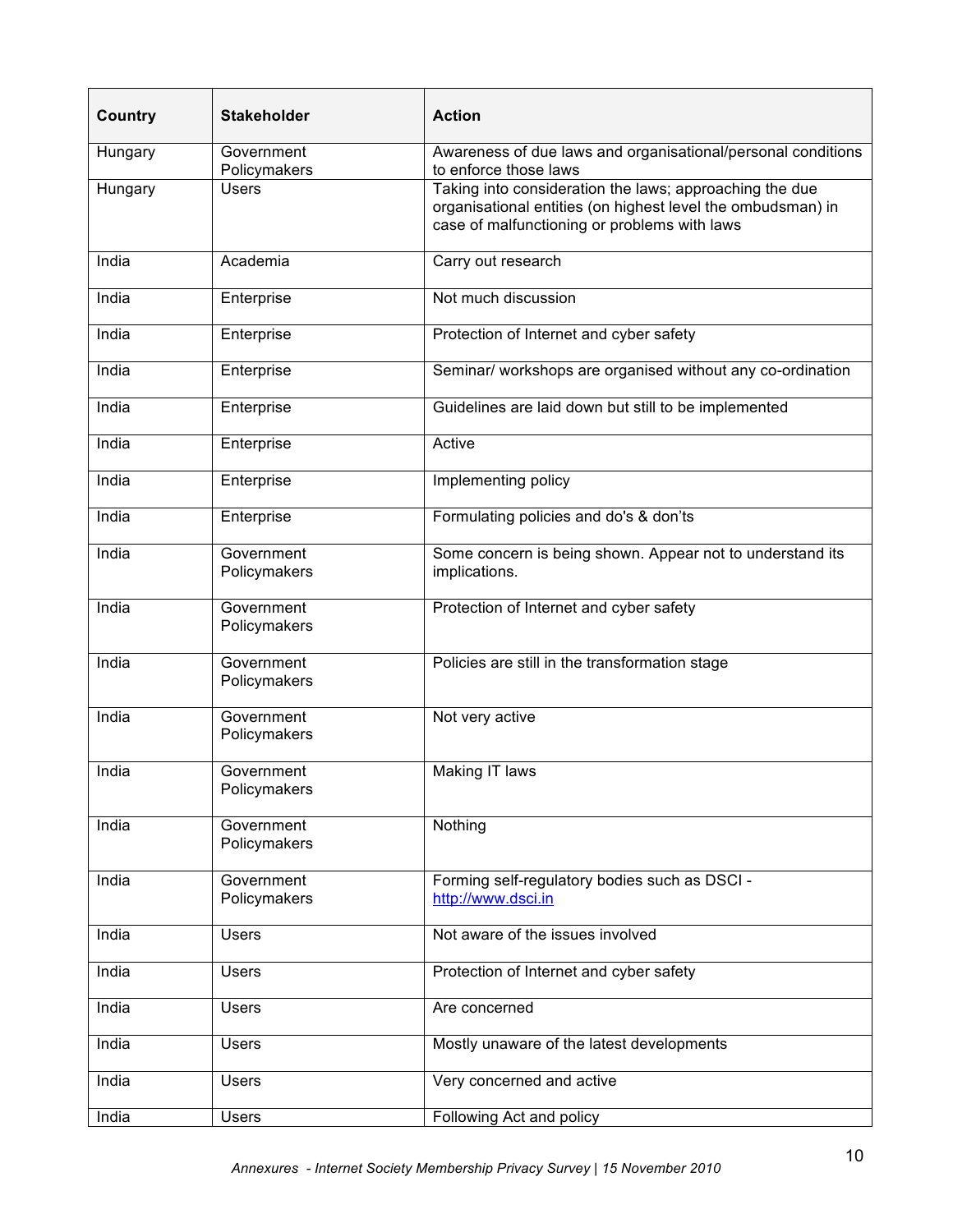| Country | <b>Stakeholder</b>         | <b>Action</b>                                                                                                                                                          |
|---------|----------------------------|------------------------------------------------------------------------------------------------------------------------------------------------------------------------|
| Hungary | Government<br>Policymakers | Awareness of due laws and organisational/personal conditions<br>to enforce those laws                                                                                  |
| Hungary | <b>Users</b>               | Taking into consideration the laws; approaching the due<br>organisational entities (on highest level the ombudsman) in<br>case of malfunctioning or problems with laws |
| India   | Academia                   | Carry out research                                                                                                                                                     |
| India   | Enterprise                 | Not much discussion                                                                                                                                                    |
| India   | Enterprise                 | Protection of Internet and cyber safety                                                                                                                                |
| India   | Enterprise                 | Seminar/ workshops are organised without any co-ordination                                                                                                             |
| India   | Enterprise                 | Guidelines are laid down but still to be implemented                                                                                                                   |
| India   | Enterprise                 | Active                                                                                                                                                                 |
| India   | Enterprise                 | Implementing policy                                                                                                                                                    |
| India   | Enterprise                 | Formulating policies and do's & don'ts                                                                                                                                 |
| India   | Government<br>Policymakers | Some concern is being shown. Appear not to understand its<br>implications.                                                                                             |
| India   | Government<br>Policymakers | Protection of Internet and cyber safety                                                                                                                                |
| India   | Government<br>Policymakers | Policies are still in the transformation stage                                                                                                                         |
| India   | Government<br>Policymakers | Not very active                                                                                                                                                        |
| India   | Government<br>Policymakers | Making IT laws                                                                                                                                                         |
| India   | Government<br>Policymakers | Nothing                                                                                                                                                                |
| India   | Government<br>Policymakers | Forming self-regulatory bodies such as DSCI -<br>http://www.dsci.in                                                                                                    |
| India   | <b>Users</b>               | Not aware of the issues involved                                                                                                                                       |
| India   | <b>Users</b>               | Protection of Internet and cyber safety                                                                                                                                |
| India   | <b>Users</b>               | Are concerned                                                                                                                                                          |
| India   | Users                      | Mostly unaware of the latest developments                                                                                                                              |
| India   | <b>Users</b>               | Very concerned and active                                                                                                                                              |
| India   | Users                      | Following Act and policy                                                                                                                                               |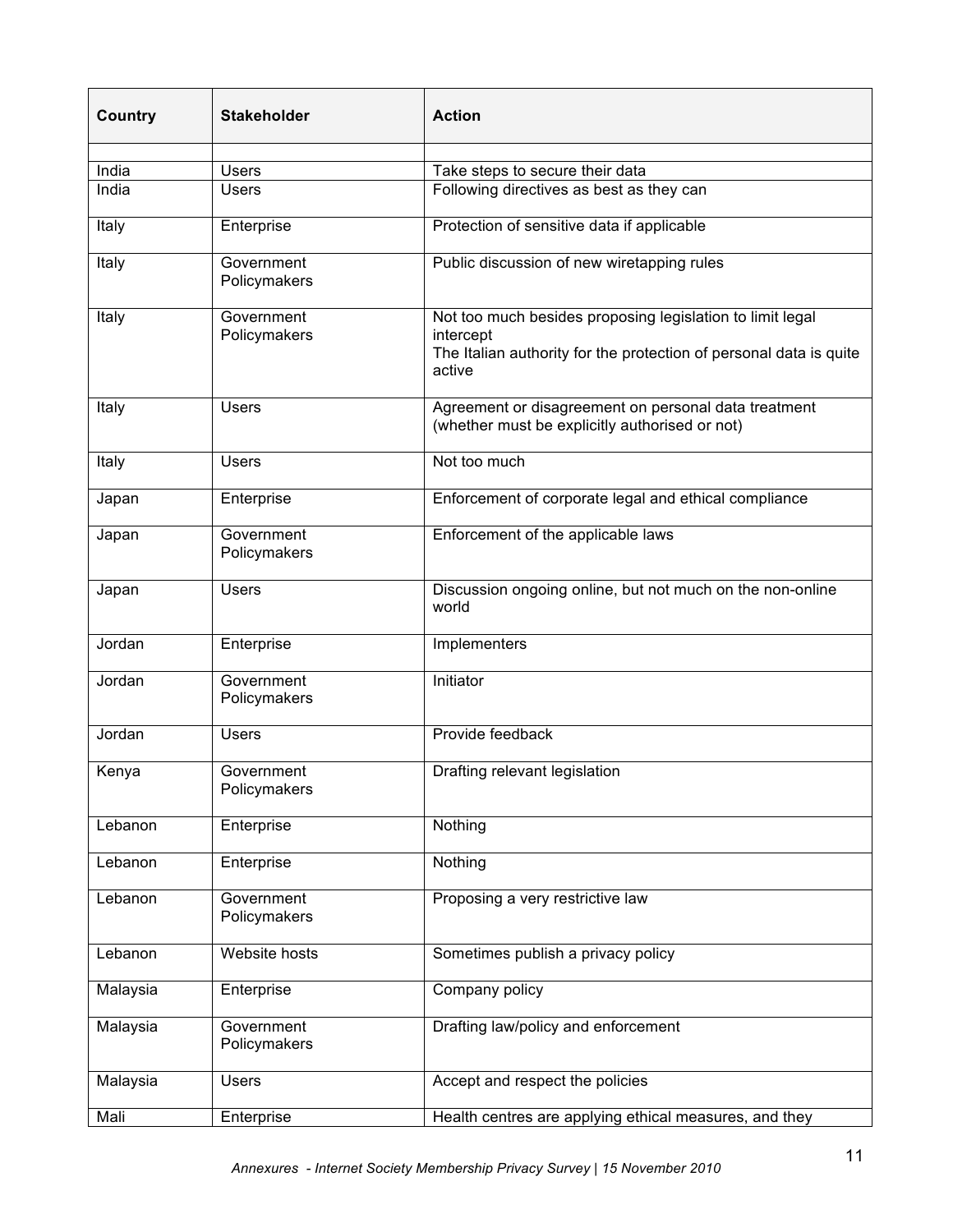| <b>Country</b> | <b>Stakeholder</b>         | <b>Action</b>                                                                                                                                          |
|----------------|----------------------------|--------------------------------------------------------------------------------------------------------------------------------------------------------|
|                |                            |                                                                                                                                                        |
| India          | <b>Users</b>               | Take steps to secure their data                                                                                                                        |
| India          | <b>Users</b>               | Following directives as best as they can                                                                                                               |
| Italy          | Enterprise                 | Protection of sensitive data if applicable                                                                                                             |
| Italy          | Government<br>Policymakers | Public discussion of new wiretapping rules                                                                                                             |
| Italy          | Government<br>Policymakers | Not too much besides proposing legislation to limit legal<br>intercept<br>The Italian authority for the protection of personal data is quite<br>active |
| Italy          | <b>Users</b>               | Agreement or disagreement on personal data treatment<br>(whether must be explicitly authorised or not)                                                 |
| Italy          | <b>Users</b>               | Not too much                                                                                                                                           |
| Japan          | Enterprise                 | Enforcement of corporate legal and ethical compliance                                                                                                  |
| Japan          | Government<br>Policymakers | Enforcement of the applicable laws                                                                                                                     |
| Japan          | <b>Users</b>               | Discussion ongoing online, but not much on the non-online<br>world                                                                                     |
| Jordan         | Enterprise                 | Implementers                                                                                                                                           |
| Jordan         | Government<br>Policymakers | Initiator                                                                                                                                              |
| Jordan         | <b>Users</b>               | Provide feedback                                                                                                                                       |
| Kenya          | Government<br>Policymakers | Drafting relevant legislation                                                                                                                          |
| Lebanon        | Enterprise                 | Nothing                                                                                                                                                |
| Lebanon        | Enterprise                 | Nothing                                                                                                                                                |
| Lebanon        | Government<br>Policymakers | Proposing a very restrictive law                                                                                                                       |
| Lebanon        | Website hosts              | Sometimes publish a privacy policy                                                                                                                     |
| Malaysia       | Enterprise                 | Company policy                                                                                                                                         |
| Malaysia       | Government<br>Policymakers | Drafting law/policy and enforcement                                                                                                                    |
| Malaysia       | <b>Users</b>               | Accept and respect the policies                                                                                                                        |
| Mali           | Enterprise                 | Health centres are applying ethical measures, and they                                                                                                 |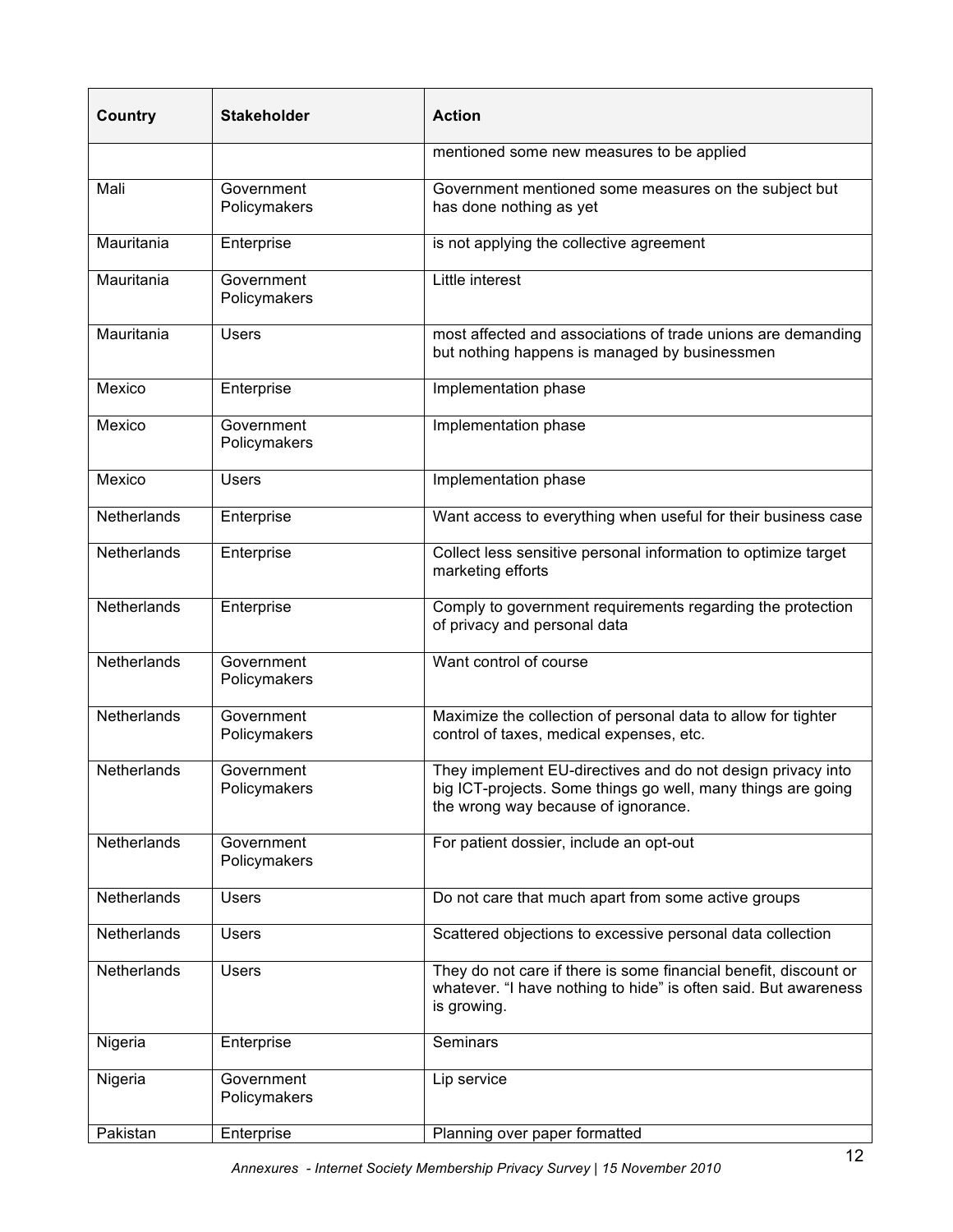| Country            | <b>Stakeholder</b>         | <b>Action</b>                                                                                                                                                      |
|--------------------|----------------------------|--------------------------------------------------------------------------------------------------------------------------------------------------------------------|
|                    |                            | mentioned some new measures to be applied                                                                                                                          |
| Mali               | Government<br>Policymakers | Government mentioned some measures on the subject but<br>has done nothing as yet                                                                                   |
| Mauritania         | Enterprise                 | is not applying the collective agreement                                                                                                                           |
| Mauritania         | Government<br>Policymakers | Little interest                                                                                                                                                    |
| Mauritania         | <b>Users</b>               | most affected and associations of trade unions are demanding<br>but nothing happens is managed by businessmen                                                      |
| Mexico             | Enterprise                 | Implementation phase                                                                                                                                               |
| Mexico             | Government<br>Policymakers | Implementation phase                                                                                                                                               |
| Mexico             | <b>Users</b>               | Implementation phase                                                                                                                                               |
| Netherlands        | Enterprise                 | Want access to everything when useful for their business case                                                                                                      |
| Netherlands        | Enterprise                 | Collect less sensitive personal information to optimize target<br>marketing efforts                                                                                |
| Netherlands        | Enterprise                 | Comply to government requirements regarding the protection<br>of privacy and personal data                                                                         |
| Netherlands        | Government<br>Policymakers | Want control of course                                                                                                                                             |
| Netherlands        | Government<br>Policymakers | Maximize the collection of personal data to allow for tighter<br>control of taxes, medical expenses, etc.                                                          |
| Netherlands        | Government<br>Policymakers | They implement EU-directives and do not design privacy into<br>big ICT-projects. Some things go well, many things are going<br>the wrong way because of ignorance. |
| Netherlands        | Government<br>Policymakers | For patient dossier, include an opt-out                                                                                                                            |
| Netherlands        | <b>Users</b>               | Do not care that much apart from some active groups                                                                                                                |
| <b>Netherlands</b> | <b>Users</b>               | Scattered objections to excessive personal data collection                                                                                                         |
| Netherlands        | <b>Users</b>               | They do not care if there is some financial benefit, discount or<br>whatever. "I have nothing to hide" is often said. But awareness<br>is growing.                 |
| Nigeria            | Enterprise                 | Seminars                                                                                                                                                           |
| Nigeria            | Government<br>Policymakers | Lip service                                                                                                                                                        |
| Pakistan           | Enterprise                 | Planning over paper formatted                                                                                                                                      |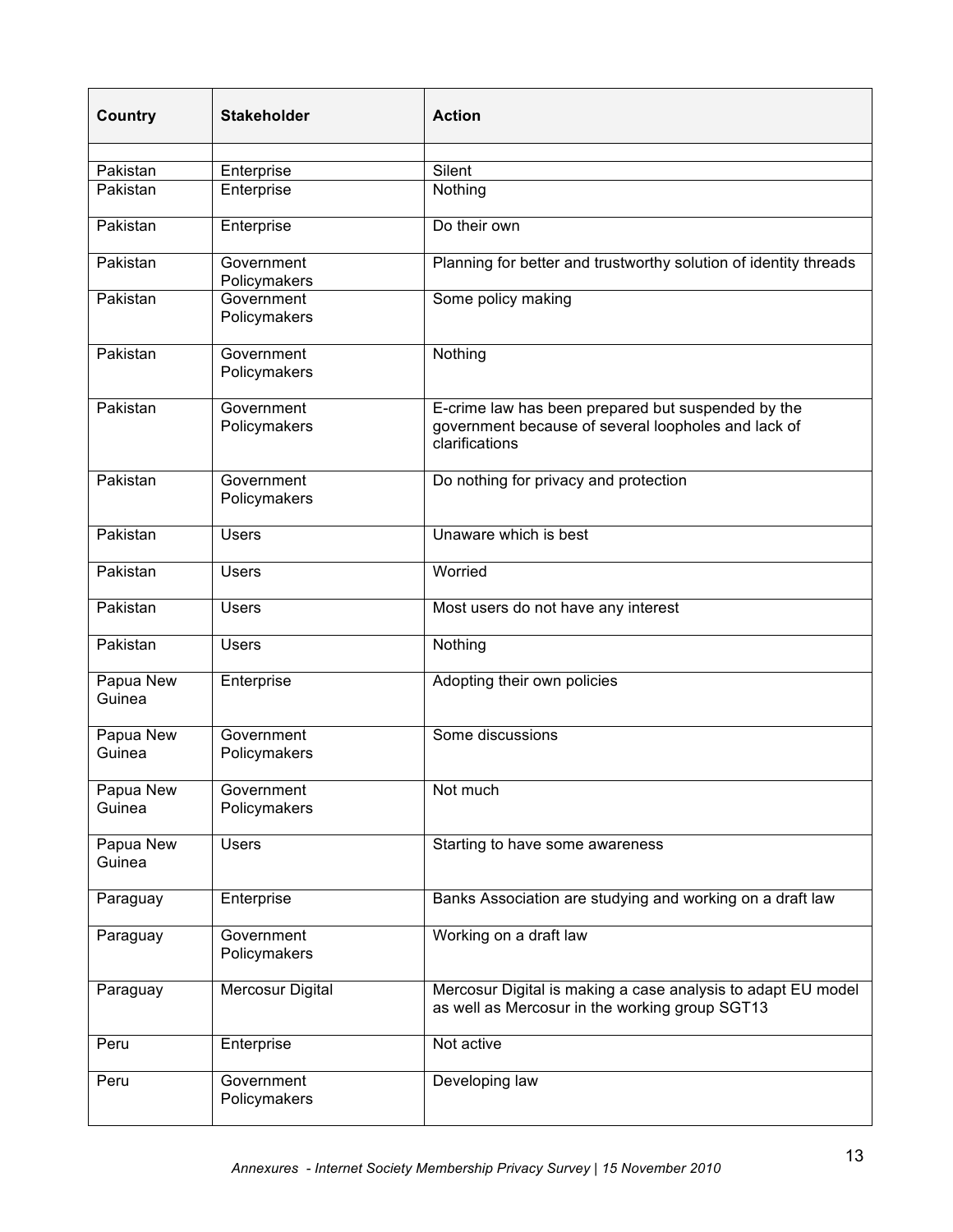| <b>Country</b>      | <b>Stakeholder</b>         | <b>Action</b>                                                                                                               |
|---------------------|----------------------------|-----------------------------------------------------------------------------------------------------------------------------|
|                     |                            |                                                                                                                             |
| Pakistan            | Enterprise                 | Silent                                                                                                                      |
| Pakistan            | Enterprise                 | Nothing                                                                                                                     |
| Pakistan            | Enterprise                 | Do their own                                                                                                                |
| Pakistan            | Government<br>Policymakers | Planning for better and trustworthy solution of identity threads                                                            |
| Pakistan            | Government<br>Policymakers | Some policy making                                                                                                          |
| Pakistan            | Government<br>Policymakers | Nothing                                                                                                                     |
| Pakistan            | Government<br>Policymakers | E-crime law has been prepared but suspended by the<br>government because of several loopholes and lack of<br>clarifications |
| Pakistan            | Government<br>Policymakers | Do nothing for privacy and protection                                                                                       |
| Pakistan            | <b>Users</b>               | Unaware which is best                                                                                                       |
| Pakistan            | <b>Users</b>               | Worried                                                                                                                     |
| Pakistan            | <b>Users</b>               | Most users do not have any interest                                                                                         |
| Pakistan            | <b>Users</b>               | Nothing                                                                                                                     |
| Papua New<br>Guinea | Enterprise                 | Adopting their own policies                                                                                                 |
| Papua New<br>Guinea | Government<br>Policymakers | Some discussions                                                                                                            |
| Papua New<br>Guinea | Government<br>Policymakers | Not much                                                                                                                    |
| Papua New<br>Guinea | <b>Users</b>               | Starting to have some awareness                                                                                             |
| Paraguay            | Enterprise                 | Banks Association are studying and working on a draft law                                                                   |
| Paraguay            | Government<br>Policymakers | Working on a draft law                                                                                                      |
| Paraguay            | Mercosur Digital           | Mercosur Digital is making a case analysis to adapt EU model<br>as well as Mercosur in the working group SGT13              |
| Peru                | Enterprise                 | Not active                                                                                                                  |
| Peru                | Government<br>Policymakers | Developing law                                                                                                              |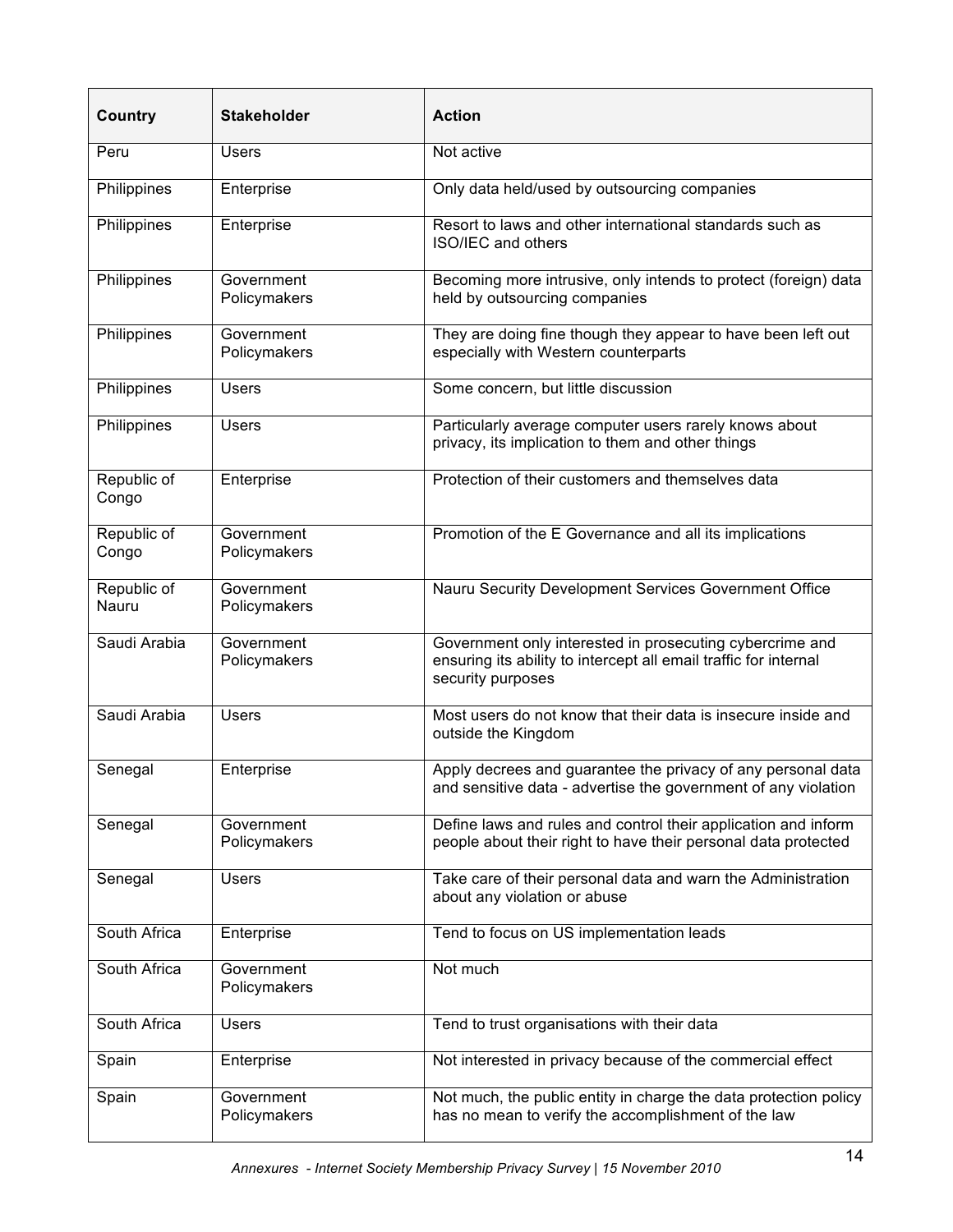| <b>Country</b>       | <b>Stakeholder</b>         | <b>Action</b>                                                                                                                                     |
|----------------------|----------------------------|---------------------------------------------------------------------------------------------------------------------------------------------------|
| Peru                 | <b>Users</b>               | Not active                                                                                                                                        |
| Philippines          | Enterprise                 | Only data held/used by outsourcing companies                                                                                                      |
| Philippines          | Enterprise                 | Resort to laws and other international standards such as<br>ISO/IEC and others                                                                    |
| Philippines          | Government<br>Policymakers | Becoming more intrusive, only intends to protect (foreign) data<br>held by outsourcing companies                                                  |
| Philippines          | Government<br>Policymakers | They are doing fine though they appear to have been left out<br>especially with Western counterparts                                              |
| Philippines          | <b>Users</b>               | Some concern, but little discussion                                                                                                               |
| Philippines          | <b>Users</b>               | Particularly average computer users rarely knows about<br>privacy, its implication to them and other things                                       |
| Republic of<br>Congo | Enterprise                 | Protection of their customers and themselves data                                                                                                 |
| Republic of<br>Congo | Government<br>Policymakers | Promotion of the E Governance and all its implications                                                                                            |
| Republic of<br>Nauru | Government<br>Policymakers | Nauru Security Development Services Government Office                                                                                             |
| Saudi Arabia         | Government<br>Policymakers | Government only interested in prosecuting cybercrime and<br>ensuring its ability to intercept all email traffic for internal<br>security purposes |
| Saudi Arabia         | <b>Users</b>               | Most users do not know that their data is insecure inside and<br>outside the Kingdom                                                              |
| Senegal              | Enterprise                 | Apply decrees and guarantee the privacy of any personal data<br>and sensitive data - advertise the government of any violation                    |
| Senegal              | Government<br>Policymakers | Define laws and rules and control their application and inform<br>people about their right to have their personal data protected                  |
| Senegal              | <b>Users</b>               | Take care of their personal data and warn the Administration<br>about any violation or abuse                                                      |
| South Africa         | Enterprise                 | Tend to focus on US implementation leads                                                                                                          |
| South Africa         | Government<br>Policymakers | Not much                                                                                                                                          |
| South Africa         | <b>Users</b>               | Tend to trust organisations with their data                                                                                                       |
| Spain                | Enterprise                 | Not interested in privacy because of the commercial effect                                                                                        |
| Spain                | Government<br>Policymakers | Not much, the public entity in charge the data protection policy<br>has no mean to verify the accomplishment of the law                           |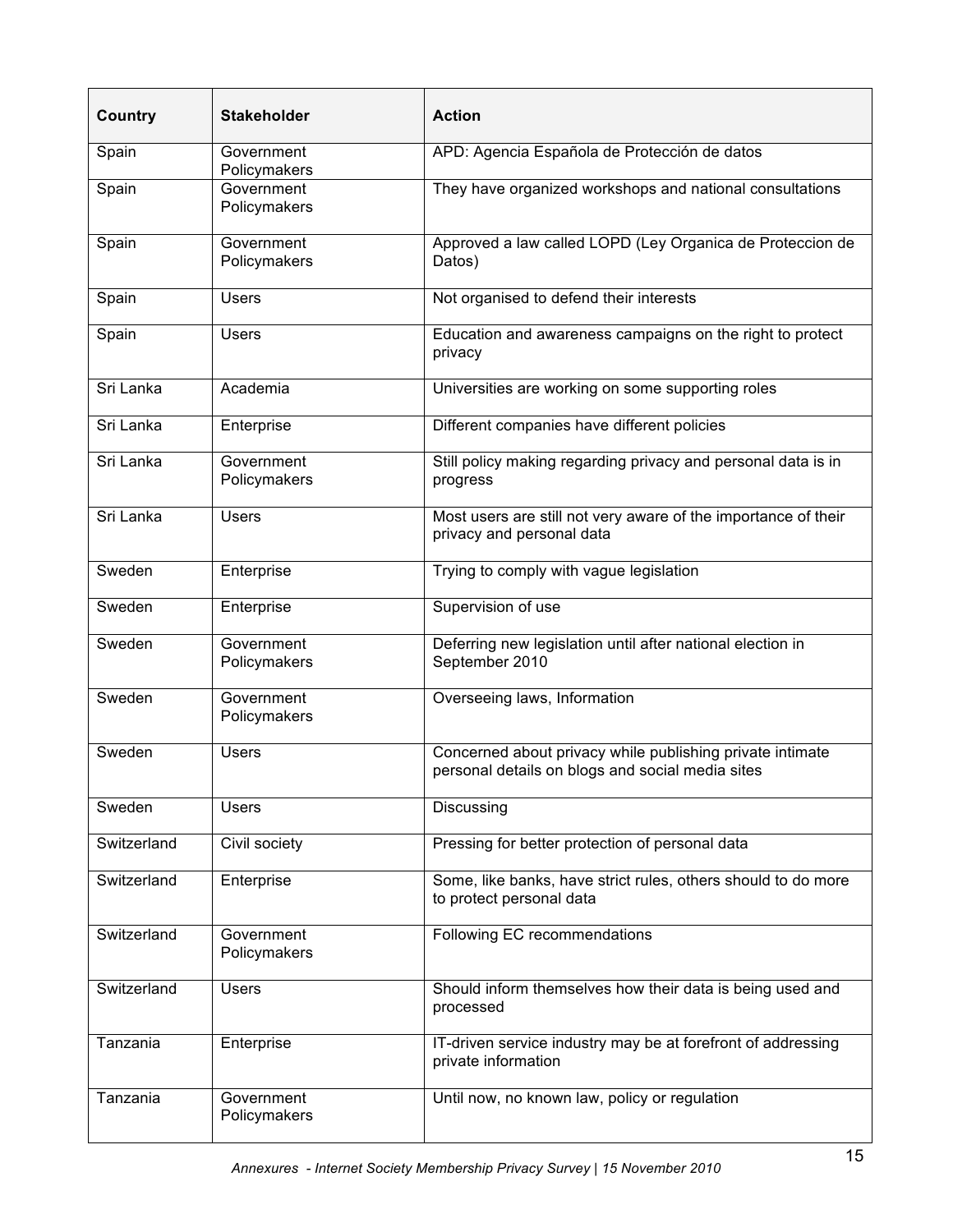| <b>Country</b> | <b>Stakeholder</b>         | <b>Action</b>                                                                                                 |
|----------------|----------------------------|---------------------------------------------------------------------------------------------------------------|
| Spain          | Government<br>Policymakers | APD: Agencia Española de Protección de datos                                                                  |
| Spain          | Government<br>Policymakers | They have organized workshops and national consultations                                                      |
| Spain          | Government<br>Policymakers | Approved a law called LOPD (Ley Organica de Proteccion de<br>Datos)                                           |
| Spain          | <b>Users</b>               | Not organised to defend their interests                                                                       |
| Spain          | <b>Users</b>               | Education and awareness campaigns on the right to protect<br>privacy                                          |
| Sri Lanka      | Academia                   | Universities are working on some supporting roles                                                             |
| Sri Lanka      | Enterprise                 | Different companies have different policies                                                                   |
| Sri Lanka      | Government<br>Policymakers | Still policy making regarding privacy and personal data is in<br>progress                                     |
| Sri Lanka      | <b>Users</b>               | Most users are still not very aware of the importance of their<br>privacy and personal data                   |
| Sweden         | Enterprise                 | Trying to comply with vague legislation                                                                       |
| Sweden         | Enterprise                 | Supervision of use                                                                                            |
| Sweden         | Government<br>Policymakers | Deferring new legislation until after national election in<br>September 2010                                  |
| Sweden         | Government<br>Policymakers | Overseeing laws, Information                                                                                  |
| Sweden         | <b>Users</b>               | Concerned about privacy while publishing private intimate<br>personal details on blogs and social media sites |
| Sweden         | <b>Users</b>               | Discussing                                                                                                    |
| Switzerland    | Civil society              | Pressing for better protection of personal data                                                               |
| Switzerland    | Enterprise                 | Some, like banks, have strict rules, others should to do more<br>to protect personal data                     |
| Switzerland    | Government<br>Policymakers | Following EC recommendations                                                                                  |
| Switzerland    | <b>Users</b>               | Should inform themselves how their data is being used and<br>processed                                        |
| Tanzania       | Enterprise                 | IT-driven service industry may be at forefront of addressing<br>private information                           |
| Tanzania       | Government<br>Policymakers | Until now, no known law, policy or regulation                                                                 |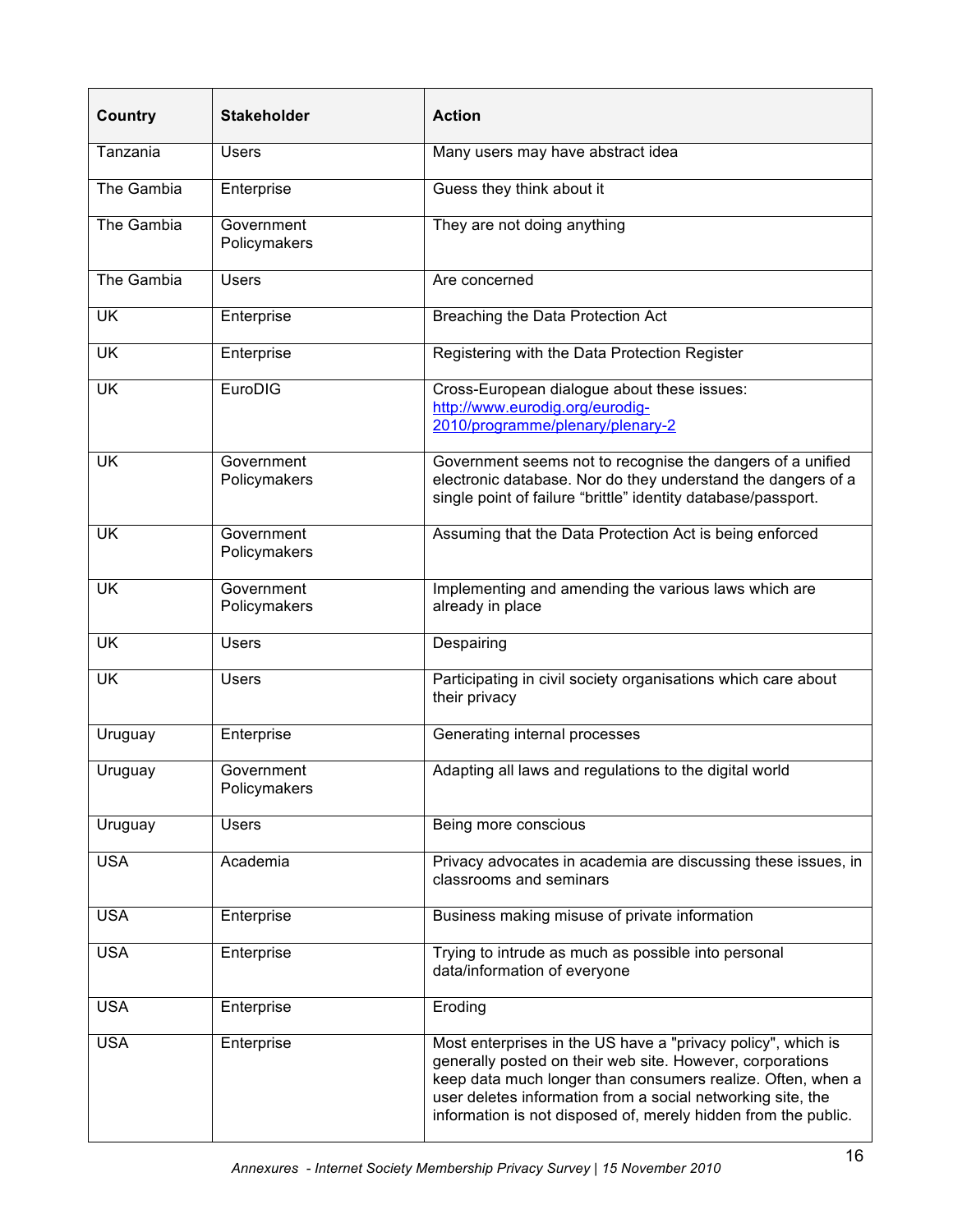| <b>Country</b> | <b>Stakeholder</b>         | <b>Action</b>                                                                                                                                                                                                                                                                                                             |
|----------------|----------------------------|---------------------------------------------------------------------------------------------------------------------------------------------------------------------------------------------------------------------------------------------------------------------------------------------------------------------------|
| Tanzania       | <b>Users</b>               | Many users may have abstract idea                                                                                                                                                                                                                                                                                         |
| The Gambia     | Enterprise                 | Guess they think about it                                                                                                                                                                                                                                                                                                 |
| The Gambia     | Government<br>Policymakers | They are not doing anything                                                                                                                                                                                                                                                                                               |
| The Gambia     | <b>Users</b>               | Are concerned                                                                                                                                                                                                                                                                                                             |
| <b>UK</b>      | Enterprise                 | Breaching the Data Protection Act                                                                                                                                                                                                                                                                                         |
| <b>UK</b>      | Enterprise                 | Registering with the Data Protection Register                                                                                                                                                                                                                                                                             |
| <b>UK</b>      | EuroDIG                    | Cross-European dialogue about these issues:<br>http://www.eurodig.org/eurodig-<br>2010/programme/plenary/plenary-2                                                                                                                                                                                                        |
| <b>UK</b>      | Government<br>Policymakers | Government seems not to recognise the dangers of a unified<br>electronic database. Nor do they understand the dangers of a<br>single point of failure "brittle" identity database/passport.                                                                                                                               |
| <b>UK</b>      | Government<br>Policymakers | Assuming that the Data Protection Act is being enforced                                                                                                                                                                                                                                                                   |
| <b>UK</b>      | Government<br>Policymakers | Implementing and amending the various laws which are<br>already in place                                                                                                                                                                                                                                                  |
| <b>UK</b>      | <b>Users</b>               | Despairing                                                                                                                                                                                                                                                                                                                |
| <b>UK</b>      | <b>Users</b>               | Participating in civil society organisations which care about<br>their privacy                                                                                                                                                                                                                                            |
| Uruguay        | Enterprise                 | Generating internal processes                                                                                                                                                                                                                                                                                             |
| Uruguay        | Government<br>Policymakers | Adapting all laws and regulations to the digital world                                                                                                                                                                                                                                                                    |
| Uruguay        | <b>Users</b>               | Being more conscious                                                                                                                                                                                                                                                                                                      |
| <b>USA</b>     | Academia                   | Privacy advocates in academia are discussing these issues, in<br>classrooms and seminars                                                                                                                                                                                                                                  |
| <b>USA</b>     | Enterprise                 | Business making misuse of private information                                                                                                                                                                                                                                                                             |
| <b>USA</b>     | Enterprise                 | Trying to intrude as much as possible into personal<br>data/information of everyone                                                                                                                                                                                                                                       |
| <b>USA</b>     | Enterprise                 | Eroding                                                                                                                                                                                                                                                                                                                   |
| <b>USA</b>     | Enterprise                 | Most enterprises in the US have a "privacy policy", which is<br>generally posted on their web site. However, corporations<br>keep data much longer than consumers realize. Often, when a<br>user deletes information from a social networking site, the<br>information is not disposed of, merely hidden from the public. |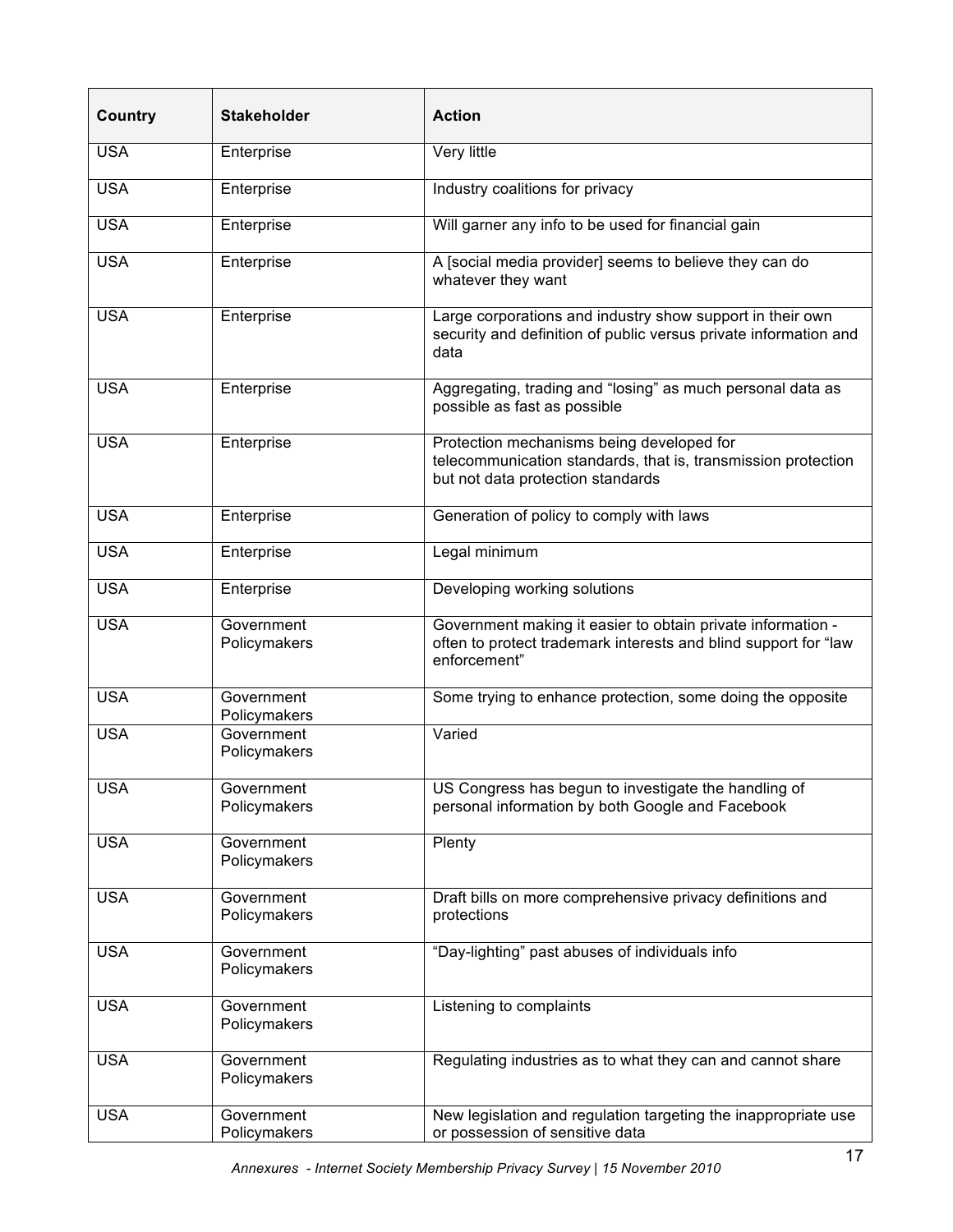| Country    | <b>Stakeholder</b>         | <b>Action</b>                                                                                                                                   |
|------------|----------------------------|-------------------------------------------------------------------------------------------------------------------------------------------------|
| <b>USA</b> | Enterprise                 | Very little                                                                                                                                     |
| <b>USA</b> | Enterprise                 | Industry coalitions for privacy                                                                                                                 |
| <b>USA</b> | Enterprise                 | Will garner any info to be used for financial gain                                                                                              |
| <b>USA</b> | Enterprise                 | A [social media provider] seems to believe they can do<br>whatever they want                                                                    |
| <b>USA</b> | Enterprise                 | Large corporations and industry show support in their own<br>security and definition of public versus private information and<br>data           |
| <b>USA</b> | Enterprise                 | Aggregating, trading and "losing" as much personal data as<br>possible as fast as possible                                                      |
| <b>USA</b> | Enterprise                 | Protection mechanisms being developed for<br>telecommunication standards, that is, transmission protection<br>but not data protection standards |
| <b>USA</b> | Enterprise                 | Generation of policy to comply with laws                                                                                                        |
| <b>USA</b> | Enterprise                 | Legal minimum                                                                                                                                   |
| <b>USA</b> | Enterprise                 | Developing working solutions                                                                                                                    |
| <b>USA</b> | Government<br>Policymakers | Government making it easier to obtain private information -<br>often to protect trademark interests and blind support for "law<br>enforcement"  |
| <b>USA</b> | Government<br>Policymakers | Some trying to enhance protection, some doing the opposite                                                                                      |
| <b>USA</b> | Government<br>Policymakers | Varied                                                                                                                                          |
| <b>USA</b> | Government<br>Policymakers | US Congress has begun to investigate the handling of<br>personal information by both Google and Facebook                                        |
| <b>USA</b> | Government<br>Policymakers | Plenty                                                                                                                                          |
| <b>USA</b> | Government<br>Policymakers | Draft bills on more comprehensive privacy definitions and<br>protections                                                                        |
| <b>USA</b> | Government<br>Policymakers | "Day-lighting" past abuses of individuals info                                                                                                  |
| <b>USA</b> | Government<br>Policymakers | Listening to complaints                                                                                                                         |
| <b>USA</b> | Government<br>Policymakers | Regulating industries as to what they can and cannot share                                                                                      |
| <b>USA</b> | Government<br>Policymakers | New legislation and regulation targeting the inappropriate use<br>or possession of sensitive data                                               |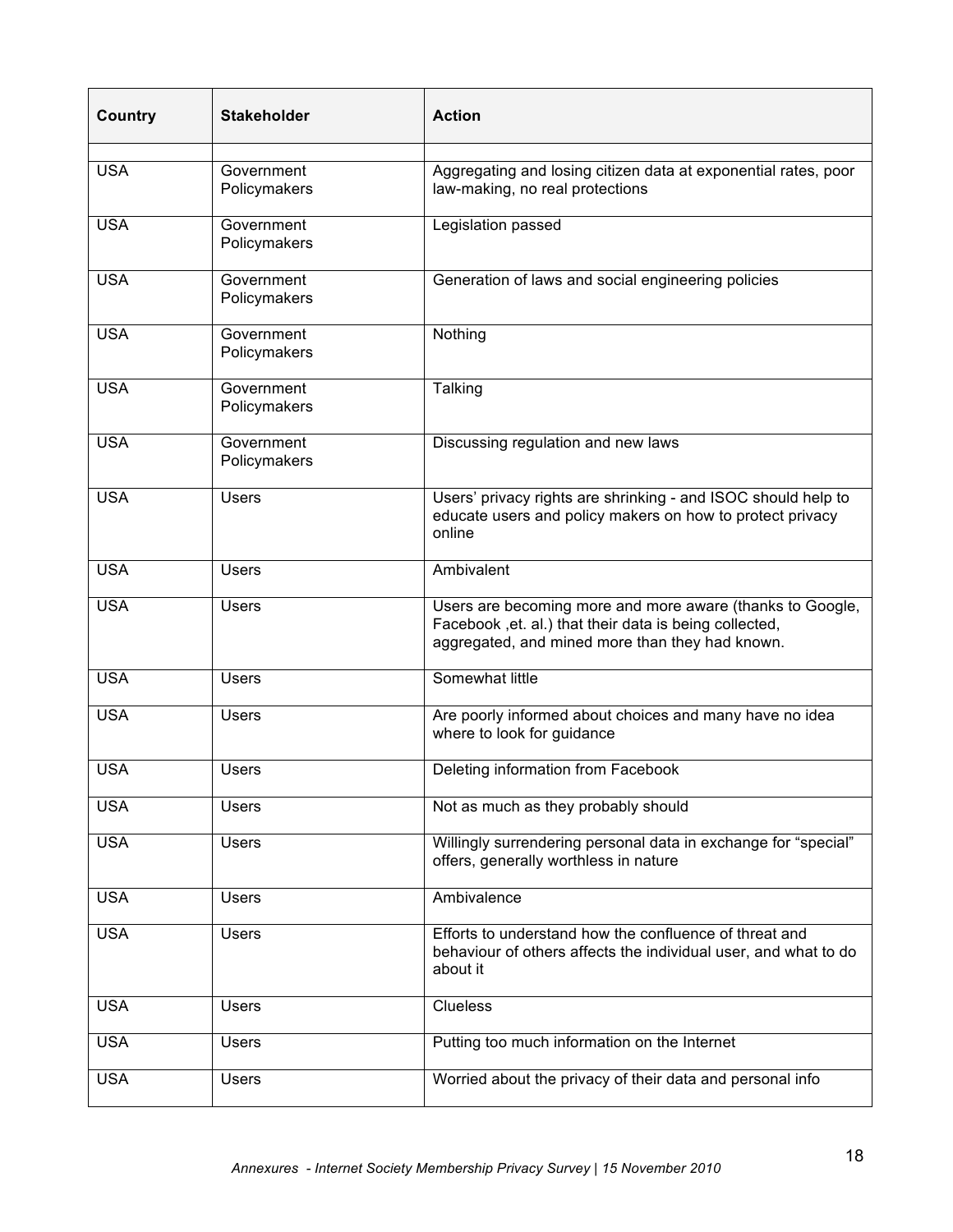| <b>Country</b> | Stakeholder                | <b>Action</b>                                                                                                                                                           |
|----------------|----------------------------|-------------------------------------------------------------------------------------------------------------------------------------------------------------------------|
| <b>USA</b>     | Government                 | Aggregating and losing citizen data at exponential rates, poor                                                                                                          |
|                | Policymakers               | law-making, no real protections                                                                                                                                         |
| <b>USA</b>     | Government<br>Policymakers | Legislation passed                                                                                                                                                      |
| <b>USA</b>     | Government<br>Policymakers | Generation of laws and social engineering policies                                                                                                                      |
| <b>USA</b>     | Government<br>Policymakers | Nothing                                                                                                                                                                 |
| <b>USA</b>     | Government<br>Policymakers | Talking                                                                                                                                                                 |
| <b>USA</b>     | Government<br>Policymakers | Discussing regulation and new laws                                                                                                                                      |
| <b>USA</b>     | <b>Users</b>               | Users' privacy rights are shrinking - and ISOC should help to<br>educate users and policy makers on how to protect privacy<br>online                                    |
| <b>USA</b>     | <b>Users</b>               | Ambivalent                                                                                                                                                              |
| <b>USA</b>     | <b>Users</b>               | Users are becoming more and more aware (thanks to Google,<br>Facebook , et. al.) that their data is being collected,<br>aggregated, and mined more than they had known. |
| <b>USA</b>     | <b>Users</b>               | Somewhat little                                                                                                                                                         |
| <b>USA</b>     | <b>Users</b>               | Are poorly informed about choices and many have no idea<br>where to look for guidance                                                                                   |
| <b>USA</b>     | <b>Users</b>               | Deleting information from Facebook                                                                                                                                      |
| <b>USA</b>     | <b>Users</b>               | Not as much as they probably should                                                                                                                                     |
| <b>USA</b>     | <b>Users</b>               | Willingly surrendering personal data in exchange for "special"<br>offers, generally worthless in nature                                                                 |
| <b>USA</b>     | <b>Users</b>               | Ambivalence                                                                                                                                                             |
| <b>USA</b>     | <b>Users</b>               | Efforts to understand how the confluence of threat and<br>behaviour of others affects the individual user, and what to do<br>about it                                   |
| <b>USA</b>     | <b>Users</b>               | <b>Clueless</b>                                                                                                                                                         |
| <b>USA</b>     | <b>Users</b>               | Putting too much information on the Internet                                                                                                                            |
| <b>USA</b>     | <b>Users</b>               | Worried about the privacy of their data and personal info                                                                                                               |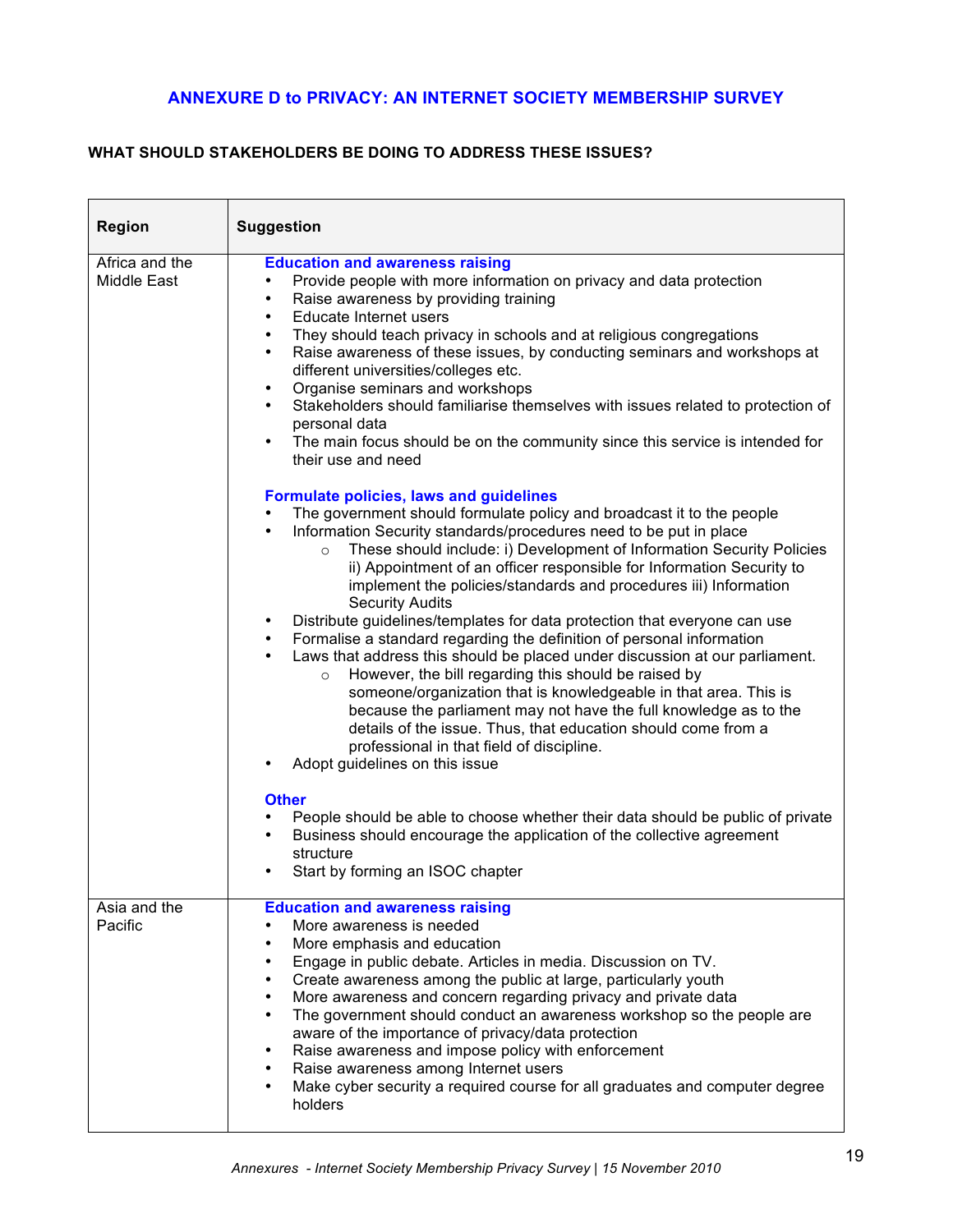# **ANNEXURE D to PRIVACY: AN INTERNET SOCIETY MEMBERSHIP SURVEY**

# **WHAT SHOULD STAKEHOLDERS BE DOING TO ADDRESS THESE ISSUES?**

| Region                        | <b>Suggestion</b>                                                                                                                                                                                                                                                                                                                                                                                                                                                                                                                                                                                                                                                                                                                                                                                                                                                                                                                                                                                                                                                                 |
|-------------------------------|-----------------------------------------------------------------------------------------------------------------------------------------------------------------------------------------------------------------------------------------------------------------------------------------------------------------------------------------------------------------------------------------------------------------------------------------------------------------------------------------------------------------------------------------------------------------------------------------------------------------------------------------------------------------------------------------------------------------------------------------------------------------------------------------------------------------------------------------------------------------------------------------------------------------------------------------------------------------------------------------------------------------------------------------------------------------------------------|
| Africa and the<br>Middle East | <b>Education and awareness raising</b><br>Provide people with more information on privacy and data protection<br>٠<br>Raise awareness by providing training<br>$\bullet$<br>Educate Internet users<br>$\bullet$<br>They should teach privacy in schools and at religious congregations<br>$\bullet$<br>Raise awareness of these issues, by conducting seminars and workshops at<br>$\bullet$<br>different universities/colleges etc.<br>Organise seminars and workshops<br>$\bullet$<br>Stakeholders should familiarise themselves with issues related to protection of<br>personal data<br>The main focus should be on the community since this service is intended for<br>$\bullet$<br>their use and need                                                                                                                                                                                                                                                                                                                                                                       |
|                               | <b>Formulate policies, laws and guidelines</b><br>The government should formulate policy and broadcast it to the people<br>Information Security standards/procedures need to be put in place<br>$\bullet$<br>These should include: i) Development of Information Security Policies<br>$\circ$<br>ii) Appointment of an officer responsible for Information Security to<br>implement the policies/standards and procedures iii) Information<br><b>Security Audits</b><br>Distribute guidelines/templates for data protection that everyone can use<br>Formalise a standard regarding the definition of personal information<br>$\bullet$<br>Laws that address this should be placed under discussion at our parliament.<br>However, the bill regarding this should be raised by<br>$\circ$<br>someone/organization that is knowledgeable in that area. This is<br>because the parliament may not have the full knowledge as to the<br>details of the issue. Thus, that education should come from a<br>professional in that field of discipline.<br>Adopt guidelines on this issue |
|                               | <b>Other</b><br>People should be able to choose whether their data should be public of private<br>Business should encourage the application of the collective agreement<br>structure<br>Start by forming an ISOC chapter                                                                                                                                                                                                                                                                                                                                                                                                                                                                                                                                                                                                                                                                                                                                                                                                                                                          |
| Asia and the<br>Pacific       | <b>Education and awareness raising</b><br>More awareness is needed<br>More emphasis and education<br>٠<br>Engage in public debate. Articles in media. Discussion on TV.<br>$\bullet$<br>Create awareness among the public at large, particularly youth<br>$\bullet$<br>More awareness and concern regarding privacy and private data<br>٠<br>The government should conduct an awareness workshop so the people are<br>$\bullet$<br>aware of the importance of privacy/data protection<br>Raise awareness and impose policy with enforcement<br>٠<br>Raise awareness among Internet users<br>Make cyber security a required course for all graduates and computer degree<br>holders                                                                                                                                                                                                                                                                                                                                                                                                |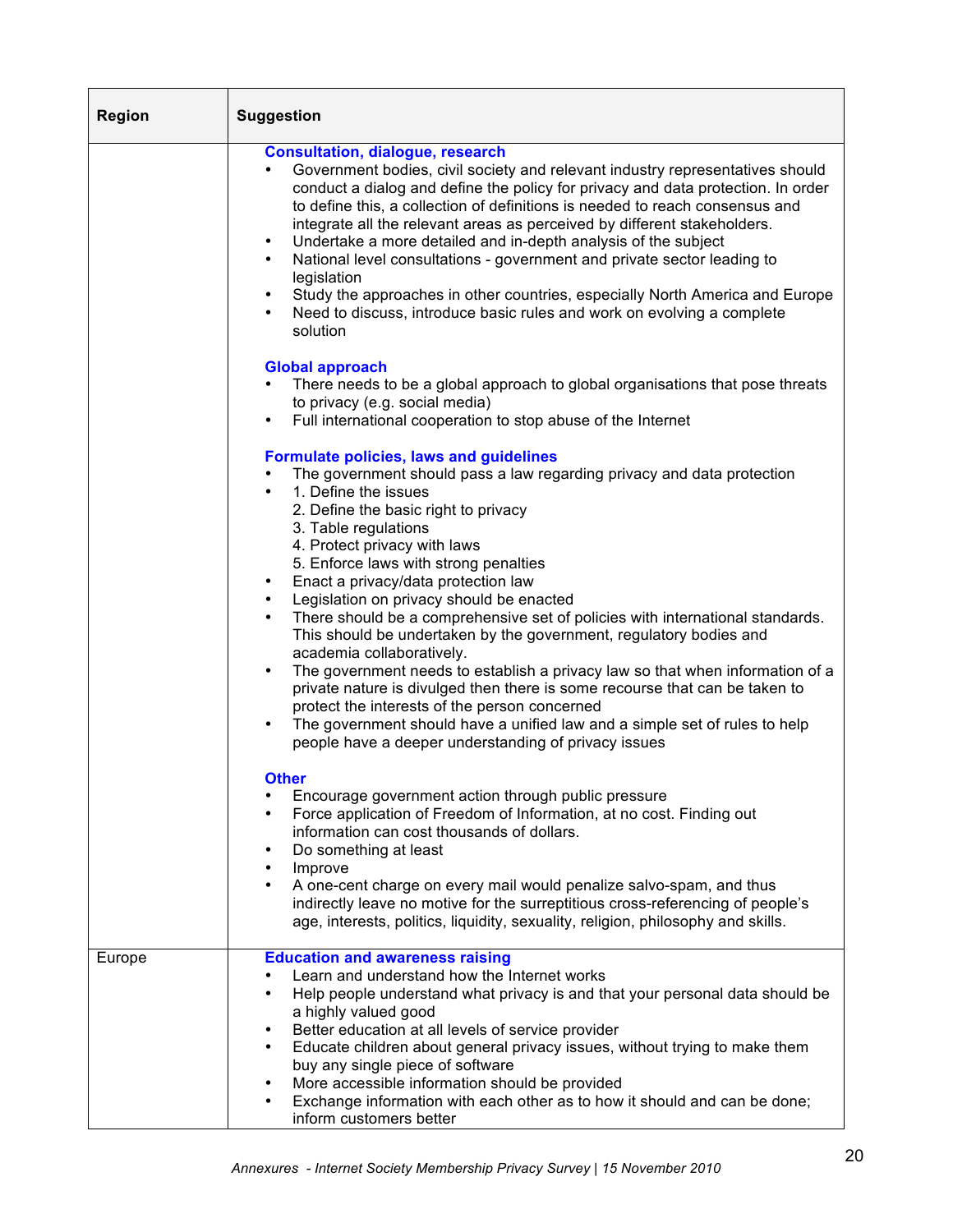| <b>Region</b> | <b>Suggestion</b>                                                                                                                                                                                                                                                                                                                                                                                                                                                                                                                                                                                                                                                                                                                                                                                                                                                                                                                                                                                                                                                                                                                                                                                                                                                                                                                                                                                                                                                                             |  |
|---------------|-----------------------------------------------------------------------------------------------------------------------------------------------------------------------------------------------------------------------------------------------------------------------------------------------------------------------------------------------------------------------------------------------------------------------------------------------------------------------------------------------------------------------------------------------------------------------------------------------------------------------------------------------------------------------------------------------------------------------------------------------------------------------------------------------------------------------------------------------------------------------------------------------------------------------------------------------------------------------------------------------------------------------------------------------------------------------------------------------------------------------------------------------------------------------------------------------------------------------------------------------------------------------------------------------------------------------------------------------------------------------------------------------------------------------------------------------------------------------------------------------|--|
|               | <b>Consultation, dialogue, research</b><br>Government bodies, civil society and relevant industry representatives should<br>conduct a dialog and define the policy for privacy and data protection. In order<br>to define this, a collection of definitions is needed to reach consensus and<br>integrate all the relevant areas as perceived by different stakeholders.<br>Undertake a more detailed and in-depth analysis of the subject<br>٠<br>National level consultations - government and private sector leading to<br>$\bullet$<br>legislation<br>Study the approaches in other countries, especially North America and Europe<br>Need to discuss, introduce basic rules and work on evolving a complete<br>solution                                                                                                                                                                                                                                                                                                                                                                                                                                                                                                                                                                                                                                                                                                                                                                  |  |
|               | <b>Global approach</b><br>There needs to be a global approach to global organisations that pose threats<br>to privacy (e.g. social media)<br>Full international cooperation to stop abuse of the Internet<br>$\bullet$                                                                                                                                                                                                                                                                                                                                                                                                                                                                                                                                                                                                                                                                                                                                                                                                                                                                                                                                                                                                                                                                                                                                                                                                                                                                        |  |
|               | <b>Formulate policies, laws and guidelines</b><br>The government should pass a law regarding privacy and data protection<br>1. Define the issues<br>$\bullet$<br>2. Define the basic right to privacy<br>3. Table regulations<br>4. Protect privacy with laws<br>5. Enforce laws with strong penalties<br>Enact a privacy/data protection law<br>$\bullet$<br>Legislation on privacy should be enacted<br>$\bullet$<br>There should be a comprehensive set of policies with international standards.<br>$\bullet$<br>This should be undertaken by the government, regulatory bodies and<br>academia collaboratively.<br>The government needs to establish a privacy law so that when information of a<br>private nature is divulged then there is some recourse that can be taken to<br>protect the interests of the person concerned<br>The government should have a unified law and a simple set of rules to help<br>$\bullet$<br>people have a deeper understanding of privacy issues<br><b>Other</b><br>Encourage government action through public pressure<br>Force application of Freedom of Information, at no cost. Finding out<br>information can cost thousands of dollars.<br>Do something at least<br>٠<br>Improve<br>٠<br>A one-cent charge on every mail would penalize salvo-spam, and thus<br>$\bullet$<br>indirectly leave no motive for the surreptitious cross-referencing of people's<br>age, interests, politics, liquidity, sexuality, religion, philosophy and skills. |  |
| Europe        | <b>Education and awareness raising</b><br>Learn and understand how the Internet works                                                                                                                                                                                                                                                                                                                                                                                                                                                                                                                                                                                                                                                                                                                                                                                                                                                                                                                                                                                                                                                                                                                                                                                                                                                                                                                                                                                                         |  |
|               | Help people understand what privacy is and that your personal data should be<br>$\bullet$<br>a highly valued good<br>Better education at all levels of service provider<br>$\bullet$<br>Educate children about general privacy issues, without trying to make them<br>buy any single piece of software<br>More accessible information should be provided<br>٠<br>Exchange information with each other as to how it should and can be done;<br>inform customers better                                                                                                                                                                                                                                                                                                                                                                                                                                                                                                                                                                                                                                                                                                                                                                                                                                                                                                                                                                                                                         |  |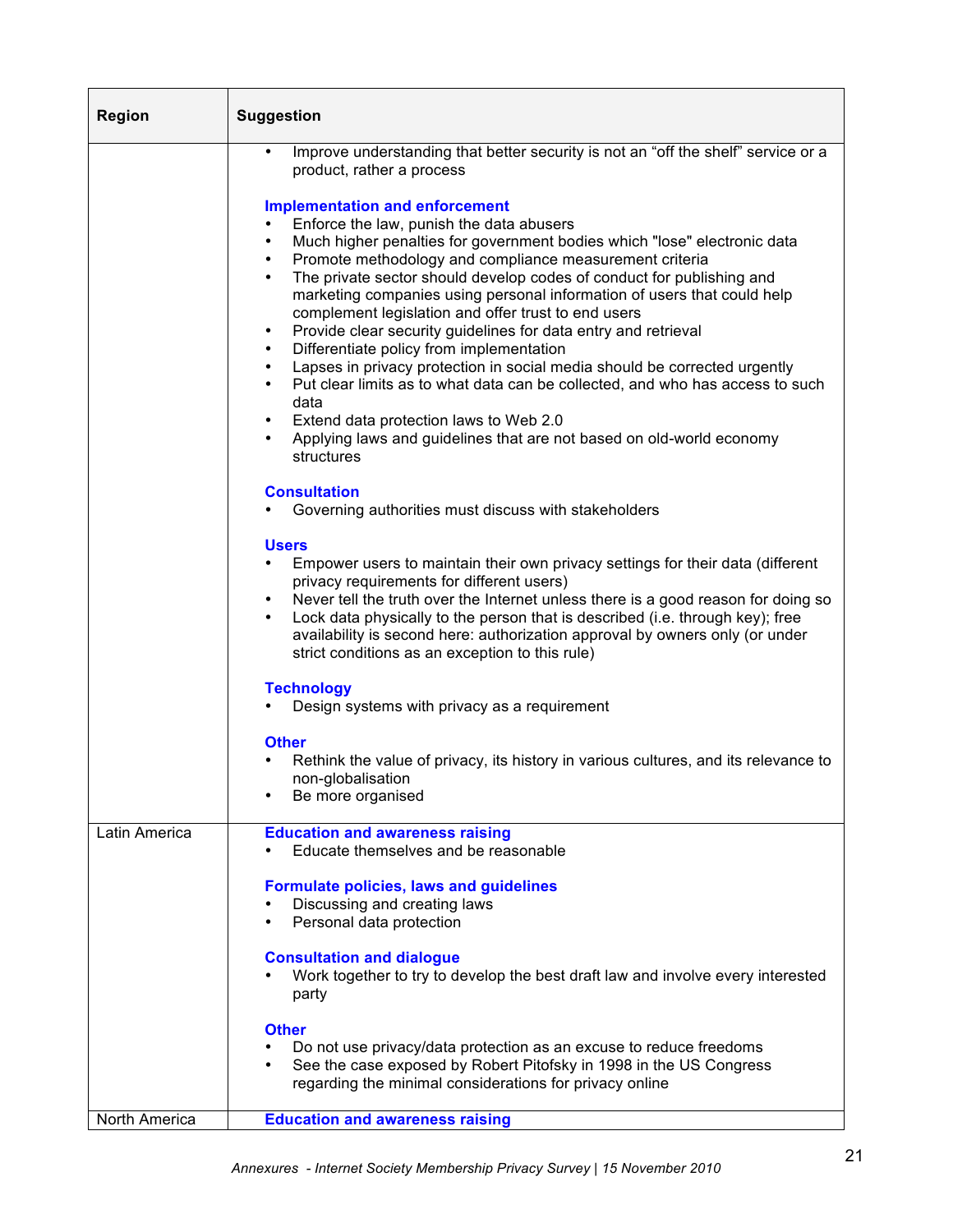| <b>Region</b> | <b>Suggestion</b>                                                                                                                                                                                                                                                                                                                                                                                                                                                                                                                                                                                                                                                                                                                                                                                                                                                                                                                         |  |
|---------------|-------------------------------------------------------------------------------------------------------------------------------------------------------------------------------------------------------------------------------------------------------------------------------------------------------------------------------------------------------------------------------------------------------------------------------------------------------------------------------------------------------------------------------------------------------------------------------------------------------------------------------------------------------------------------------------------------------------------------------------------------------------------------------------------------------------------------------------------------------------------------------------------------------------------------------------------|--|
|               | Improve understanding that better security is not an "off the shelf" service or a<br>$\bullet$<br>product, rather a process                                                                                                                                                                                                                                                                                                                                                                                                                                                                                                                                                                                                                                                                                                                                                                                                               |  |
|               | <b>Implementation and enforcement</b><br>Enforce the law, punish the data abusers<br>٠<br>Much higher penalties for government bodies which "lose" electronic data<br>$\bullet$<br>Promote methodology and compliance measurement criteria<br>٠<br>The private sector should develop codes of conduct for publishing and<br>$\bullet$<br>marketing companies using personal information of users that could help<br>complement legislation and offer trust to end users<br>Provide clear security guidelines for data entry and retrieval<br>٠<br>Differentiate policy from implementation<br>$\bullet$<br>Lapses in privacy protection in social media should be corrected urgently<br>$\bullet$<br>Put clear limits as to what data can be collected, and who has access to such<br>٠<br>data<br>Extend data protection laws to Web 2.0<br>٠<br>Applying laws and guidelines that are not based on old-world economy<br>٠<br>structures |  |
|               | <b>Consultation</b><br>Governing authorities must discuss with stakeholders                                                                                                                                                                                                                                                                                                                                                                                                                                                                                                                                                                                                                                                                                                                                                                                                                                                               |  |
|               | <b>Users</b><br>Empower users to maintain their own privacy settings for their data (different<br>privacy requirements for different users)<br>Never tell the truth over the Internet unless there is a good reason for doing so<br>$\bullet$<br>Lock data physically to the person that is described (i.e. through key); free<br>$\bullet$<br>availability is second here: authorization approval by owners only (or under<br>strict conditions as an exception to this rule)                                                                                                                                                                                                                                                                                                                                                                                                                                                            |  |
|               | <b>Technology</b><br>Design systems with privacy as a requirement                                                                                                                                                                                                                                                                                                                                                                                                                                                                                                                                                                                                                                                                                                                                                                                                                                                                         |  |
|               | <b>Other</b><br>Rethink the value of privacy, its history in various cultures, and its relevance to<br>non-globalisation<br>Be more organised                                                                                                                                                                                                                                                                                                                                                                                                                                                                                                                                                                                                                                                                                                                                                                                             |  |
| Latin America | <b>Education and awareness raising</b><br>Educate themselves and be reasonable                                                                                                                                                                                                                                                                                                                                                                                                                                                                                                                                                                                                                                                                                                                                                                                                                                                            |  |
|               | Formulate policies, laws and guidelines<br>Discussing and creating laws<br>Personal data protection                                                                                                                                                                                                                                                                                                                                                                                                                                                                                                                                                                                                                                                                                                                                                                                                                                       |  |
|               | <b>Consultation and dialogue</b><br>Work together to try to develop the best draft law and involve every interested<br>party                                                                                                                                                                                                                                                                                                                                                                                                                                                                                                                                                                                                                                                                                                                                                                                                              |  |
|               | <b>Other</b><br>Do not use privacy/data protection as an excuse to reduce freedoms<br>٠<br>See the case exposed by Robert Pitofsky in 1998 in the US Congress<br>regarding the minimal considerations for privacy online                                                                                                                                                                                                                                                                                                                                                                                                                                                                                                                                                                                                                                                                                                                  |  |
| North America | <b>Education and awareness raising</b>                                                                                                                                                                                                                                                                                                                                                                                                                                                                                                                                                                                                                                                                                                                                                                                                                                                                                                    |  |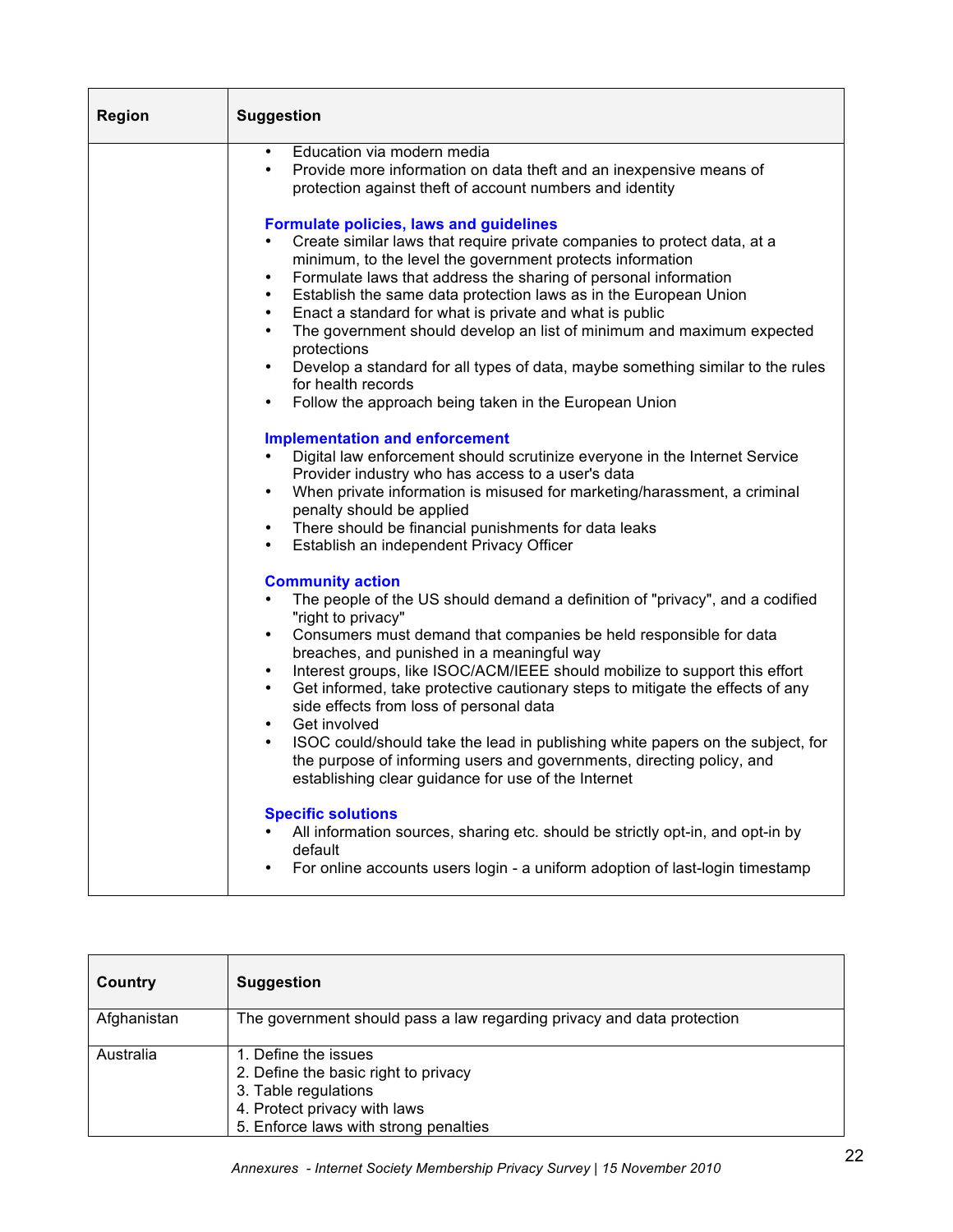| <b>Region</b> | <b>Suggestion</b>                                                                                                                                                                                                                                                                                                                                                                                                                                                                                                                                                                                                                                                                                                                                             |
|---------------|---------------------------------------------------------------------------------------------------------------------------------------------------------------------------------------------------------------------------------------------------------------------------------------------------------------------------------------------------------------------------------------------------------------------------------------------------------------------------------------------------------------------------------------------------------------------------------------------------------------------------------------------------------------------------------------------------------------------------------------------------------------|
|               | Education via modern media<br>$\bullet$<br>Provide more information on data theft and an inexpensive means of<br>$\bullet$<br>protection against theft of account numbers and identity                                                                                                                                                                                                                                                                                                                                                                                                                                                                                                                                                                        |
|               | <b>Formulate policies, laws and guidelines</b><br>Create similar laws that require private companies to protect data, at a<br>minimum, to the level the government protects information<br>Formulate laws that address the sharing of personal information<br>$\bullet$<br>Establish the same data protection laws as in the European Union<br>$\bullet$<br>Enact a standard for what is private and what is public<br>$\bullet$<br>The government should develop an list of minimum and maximum expected<br>$\bullet$<br>protections<br>Develop a standard for all types of data, maybe something similar to the rules<br>$\bullet$<br>for health records                                                                                                    |
|               | Follow the approach being taken in the European Union<br>$\bullet$                                                                                                                                                                                                                                                                                                                                                                                                                                                                                                                                                                                                                                                                                            |
|               | <b>Implementation and enforcement</b><br>Digital law enforcement should scrutinize everyone in the Internet Service<br>Provider industry who has access to a user's data<br>When private information is misused for marketing/harassment, a criminal<br>$\bullet$<br>penalty should be applied<br>There should be financial punishments for data leaks<br>$\bullet$<br>Establish an independent Privacy Officer<br>$\bullet$                                                                                                                                                                                                                                                                                                                                  |
|               | <b>Community action</b><br>The people of the US should demand a definition of "privacy", and a codified<br>$\bullet$<br>"right to privacy"<br>Consumers must demand that companies be held responsible for data<br>$\bullet$<br>breaches, and punished in a meaningful way<br>Interest groups, like ISOC/ACM/IEEE should mobilize to support this effort<br>$\bullet$<br>Get informed, take protective cautionary steps to mitigate the effects of any<br>$\bullet$<br>side effects from loss of personal data<br>Get involved<br>$\bullet$<br>ISOC could/should take the lead in publishing white papers on the subject, for<br>the purpose of informing users and governments, directing policy, and<br>establishing clear guidance for use of the Internet |
|               | <b>Specific solutions</b><br>All information sources, sharing etc. should be strictly opt-in, and opt-in by<br>default<br>For online accounts users login - a uniform adoption of last-login timestamp                                                                                                                                                                                                                                                                                                                                                                                                                                                                                                                                                        |

| Country     | <b>Suggestion</b>                                                                                                                                             |
|-------------|---------------------------------------------------------------------------------------------------------------------------------------------------------------|
| Afghanistan | The government should pass a law regarding privacy and data protection                                                                                        |
| Australia   | 1. Define the issues<br>2. Define the basic right to privacy<br>3. Table regulations<br>4. Protect privacy with laws<br>5. Enforce laws with strong penalties |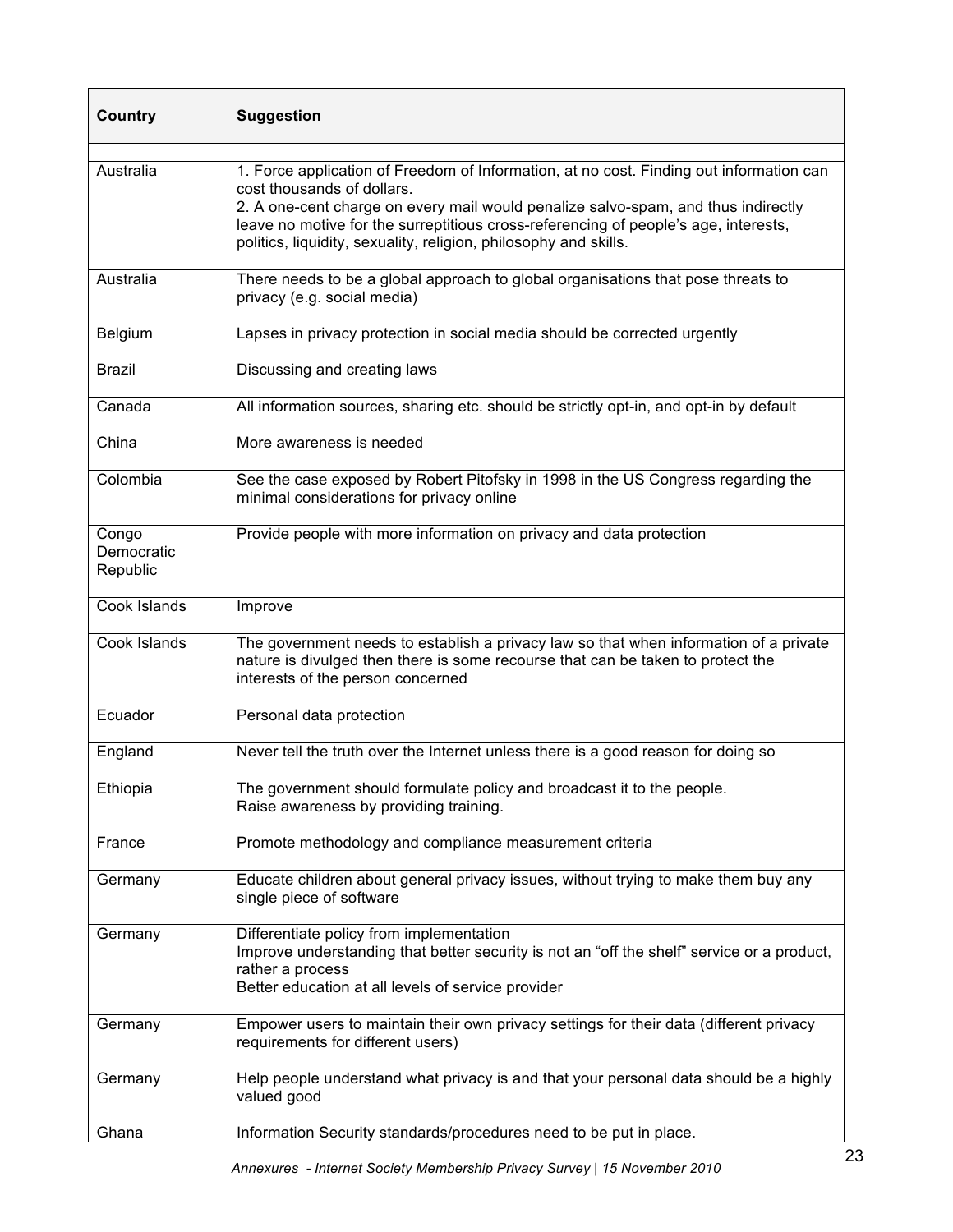| <b>Country</b>                  | <b>Suggestion</b>                                                                                                                                                                                                                                                                                                                                                     |
|---------------------------------|-----------------------------------------------------------------------------------------------------------------------------------------------------------------------------------------------------------------------------------------------------------------------------------------------------------------------------------------------------------------------|
| Australia                       | 1. Force application of Freedom of Information, at no cost. Finding out information can<br>cost thousands of dollars.<br>2. A one-cent charge on every mail would penalize salvo-spam, and thus indirectly<br>leave no motive for the surreptitious cross-referencing of people's age, interests,<br>politics, liquidity, sexuality, religion, philosophy and skills. |
| Australia                       | There needs to be a global approach to global organisations that pose threats to<br>privacy (e.g. social media)                                                                                                                                                                                                                                                       |
| Belgium                         | Lapses in privacy protection in social media should be corrected urgently                                                                                                                                                                                                                                                                                             |
| <b>Brazil</b>                   | Discussing and creating laws                                                                                                                                                                                                                                                                                                                                          |
| Canada                          | All information sources, sharing etc. should be strictly opt-in, and opt-in by default                                                                                                                                                                                                                                                                                |
| China                           | More awareness is needed                                                                                                                                                                                                                                                                                                                                              |
| Colombia                        | See the case exposed by Robert Pitofsky in 1998 in the US Congress regarding the<br>minimal considerations for privacy online                                                                                                                                                                                                                                         |
| Congo<br>Democratic<br>Republic | Provide people with more information on privacy and data protection                                                                                                                                                                                                                                                                                                   |
| Cook Islands                    | Improve                                                                                                                                                                                                                                                                                                                                                               |
| Cook Islands                    | The government needs to establish a privacy law so that when information of a private<br>nature is divulged then there is some recourse that can be taken to protect the<br>interests of the person concerned                                                                                                                                                         |
| Ecuador                         | Personal data protection                                                                                                                                                                                                                                                                                                                                              |
| England                         | Never tell the truth over the Internet unless there is a good reason for doing so                                                                                                                                                                                                                                                                                     |
| Ethiopia                        | The government should formulate policy and broadcast it to the people.<br>Raise awareness by providing training.                                                                                                                                                                                                                                                      |
| France                          | Promote methodology and compliance measurement criteria                                                                                                                                                                                                                                                                                                               |
| Germany                         | Educate children about general privacy issues, without trying to make them buy any<br>single piece of software                                                                                                                                                                                                                                                        |
| Germany                         | Differentiate policy from implementation<br>Improve understanding that better security is not an "off the shelf" service or a product,<br>rather a process<br>Better education at all levels of service provider                                                                                                                                                      |
| Germany                         | Empower users to maintain their own privacy settings for their data (different privacy<br>requirements for different users)                                                                                                                                                                                                                                           |
| Germany                         | Help people understand what privacy is and that your personal data should be a highly<br>valued good                                                                                                                                                                                                                                                                  |
| Ghana                           | Information Security standards/procedures need to be put in place.                                                                                                                                                                                                                                                                                                    |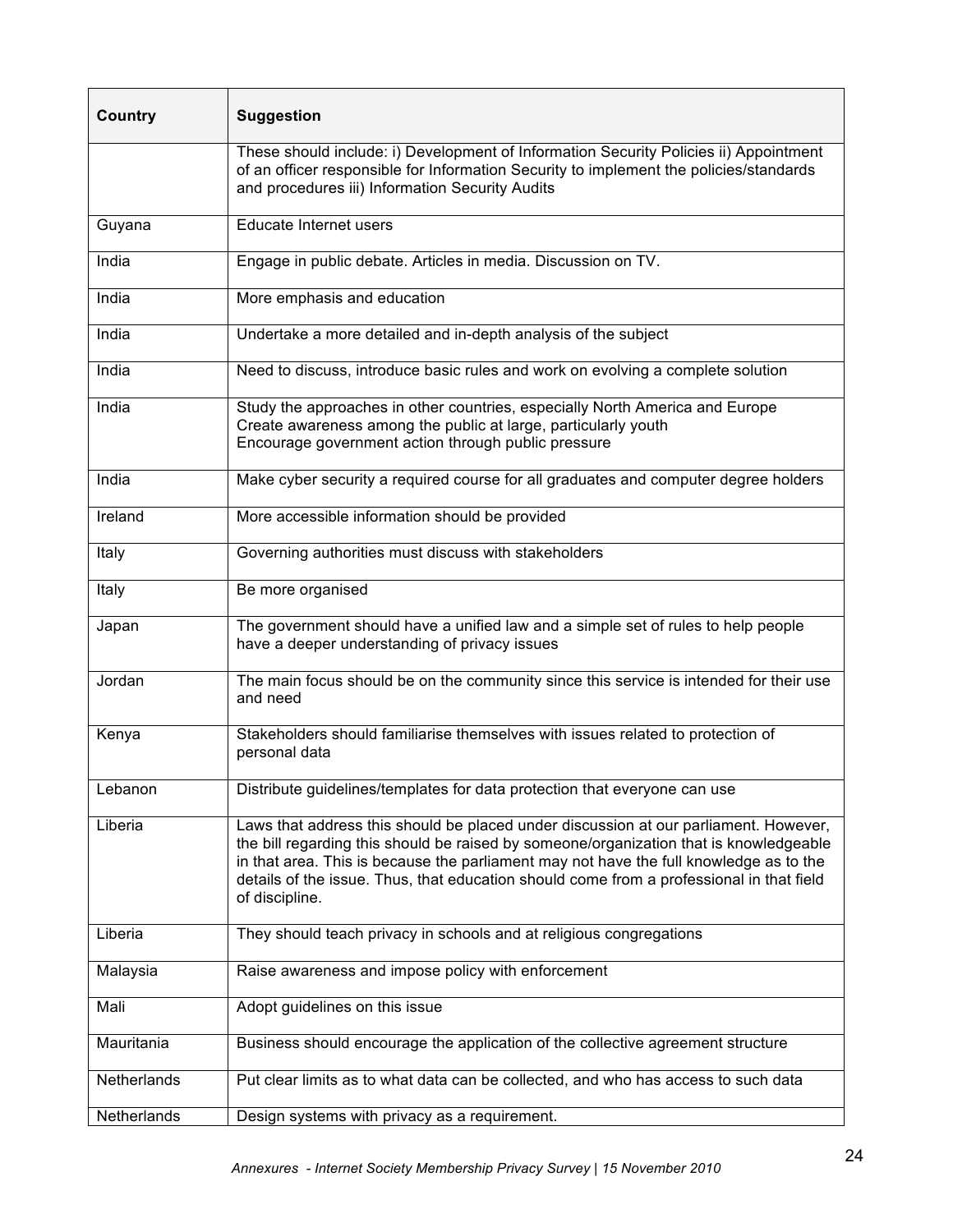| Country     | <b>Suggestion</b>                                                                                                                                                                                                                                                                                                                                                                      |
|-------------|----------------------------------------------------------------------------------------------------------------------------------------------------------------------------------------------------------------------------------------------------------------------------------------------------------------------------------------------------------------------------------------|
|             | These should include: i) Development of Information Security Policies ii) Appointment<br>of an officer responsible for Information Security to implement the policies/standards<br>and procedures iii) Information Security Audits                                                                                                                                                     |
| Guyana      | Educate Internet users                                                                                                                                                                                                                                                                                                                                                                 |
| India       | Engage in public debate. Articles in media. Discussion on TV.                                                                                                                                                                                                                                                                                                                          |
| India       | More emphasis and education                                                                                                                                                                                                                                                                                                                                                            |
| India       | Undertake a more detailed and in-depth analysis of the subject                                                                                                                                                                                                                                                                                                                         |
| India       | Need to discuss, introduce basic rules and work on evolving a complete solution                                                                                                                                                                                                                                                                                                        |
| India       | Study the approaches in other countries, especially North America and Europe<br>Create awareness among the public at large, particularly youth<br>Encourage government action through public pressure                                                                                                                                                                                  |
| India       | Make cyber security a required course for all graduates and computer degree holders                                                                                                                                                                                                                                                                                                    |
| Ireland     | More accessible information should be provided                                                                                                                                                                                                                                                                                                                                         |
| Italy       | Governing authorities must discuss with stakeholders                                                                                                                                                                                                                                                                                                                                   |
| Italy       | Be more organised                                                                                                                                                                                                                                                                                                                                                                      |
| Japan       | The government should have a unified law and a simple set of rules to help people<br>have a deeper understanding of privacy issues                                                                                                                                                                                                                                                     |
| Jordan      | The main focus should be on the community since this service is intended for their use<br>and need                                                                                                                                                                                                                                                                                     |
| Kenya       | Stakeholders should familiarise themselves with issues related to protection of<br>personal data                                                                                                                                                                                                                                                                                       |
| Lebanon     | Distribute guidelines/templates for data protection that everyone can use                                                                                                                                                                                                                                                                                                              |
| Liberia     | Laws that address this should be placed under discussion at our parliament. However,<br>the bill regarding this should be raised by someone/organization that is knowledgeable<br>in that area. This is because the parliament may not have the full knowledge as to the<br>details of the issue. Thus, that education should come from a professional in that field<br>of discipline. |
| Liberia     | They should teach privacy in schools and at religious congregations                                                                                                                                                                                                                                                                                                                    |
| Malaysia    | Raise awareness and impose policy with enforcement                                                                                                                                                                                                                                                                                                                                     |
| Mali        | Adopt guidelines on this issue                                                                                                                                                                                                                                                                                                                                                         |
| Mauritania  | Business should encourage the application of the collective agreement structure                                                                                                                                                                                                                                                                                                        |
| Netherlands | Put clear limits as to what data can be collected, and who has access to such data                                                                                                                                                                                                                                                                                                     |
| Netherlands | Design systems with privacy as a requirement.                                                                                                                                                                                                                                                                                                                                          |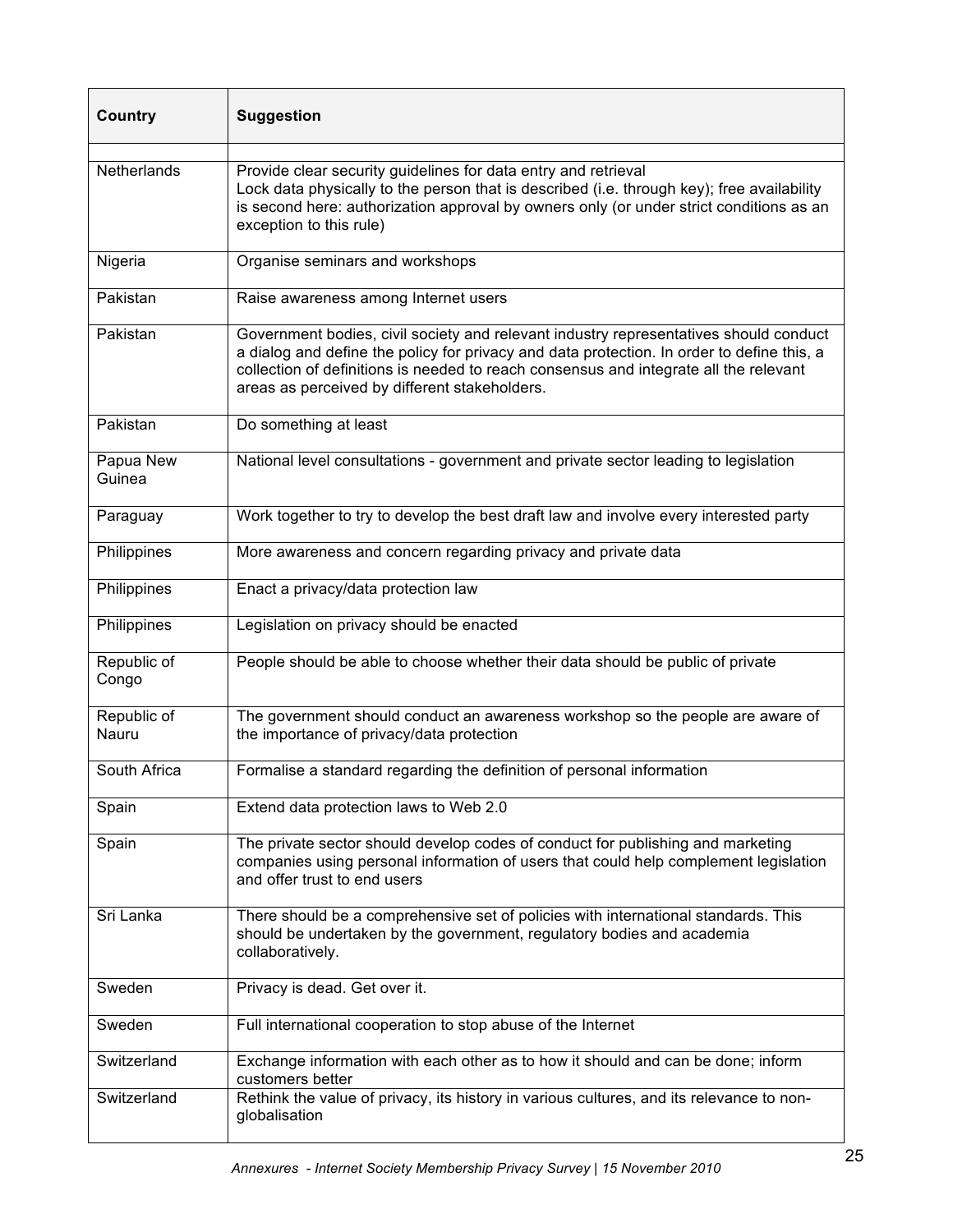| <b>Country</b>       | <b>Suggestion</b>                                                                                                                                                                                                                                                                                                             |
|----------------------|-------------------------------------------------------------------------------------------------------------------------------------------------------------------------------------------------------------------------------------------------------------------------------------------------------------------------------|
| Netherlands          | Provide clear security guidelines for data entry and retrieval<br>Lock data physically to the person that is described (i.e. through key); free availability<br>is second here: authorization approval by owners only (or under strict conditions as an<br>exception to this rule)                                            |
| Nigeria              | Organise seminars and workshops                                                                                                                                                                                                                                                                                               |
| Pakistan             | Raise awareness among Internet users                                                                                                                                                                                                                                                                                          |
| Pakistan             | Government bodies, civil society and relevant industry representatives should conduct<br>a dialog and define the policy for privacy and data protection. In order to define this, a<br>collection of definitions is needed to reach consensus and integrate all the relevant<br>areas as perceived by different stakeholders. |
| Pakistan             | Do something at least                                                                                                                                                                                                                                                                                                         |
| Papua New<br>Guinea  | National level consultations - government and private sector leading to legislation                                                                                                                                                                                                                                           |
| Paraguay             | Work together to try to develop the best draft law and involve every interested party                                                                                                                                                                                                                                         |
| Philippines          | More awareness and concern regarding privacy and private data                                                                                                                                                                                                                                                                 |
| Philippines          | Enact a privacy/data protection law                                                                                                                                                                                                                                                                                           |
| Philippines          | Legislation on privacy should be enacted                                                                                                                                                                                                                                                                                      |
| Republic of<br>Congo | People should be able to choose whether their data should be public of private                                                                                                                                                                                                                                                |
| Republic of<br>Nauru | The government should conduct an awareness workshop so the people are aware of<br>the importance of privacy/data protection                                                                                                                                                                                                   |
| South Africa         | Formalise a standard regarding the definition of personal information                                                                                                                                                                                                                                                         |
| Spain                | Extend data protection laws to Web 2.0                                                                                                                                                                                                                                                                                        |
| Spain                | The private sector should develop codes of conduct for publishing and marketing<br>companies using personal information of users that could help complement legislation<br>and offer trust to end users                                                                                                                       |
| Sri Lanka            | There should be a comprehensive set of policies with international standards. This<br>should be undertaken by the government, regulatory bodies and academia<br>collaboratively.                                                                                                                                              |
| Sweden               | Privacy is dead. Get over it.                                                                                                                                                                                                                                                                                                 |
| Sweden               | Full international cooperation to stop abuse of the Internet                                                                                                                                                                                                                                                                  |
| Switzerland          | Exchange information with each other as to how it should and can be done; inform<br>customers better                                                                                                                                                                                                                          |
| Switzerland          | Rethink the value of privacy, its history in various cultures, and its relevance to non-<br>globalisation                                                                                                                                                                                                                     |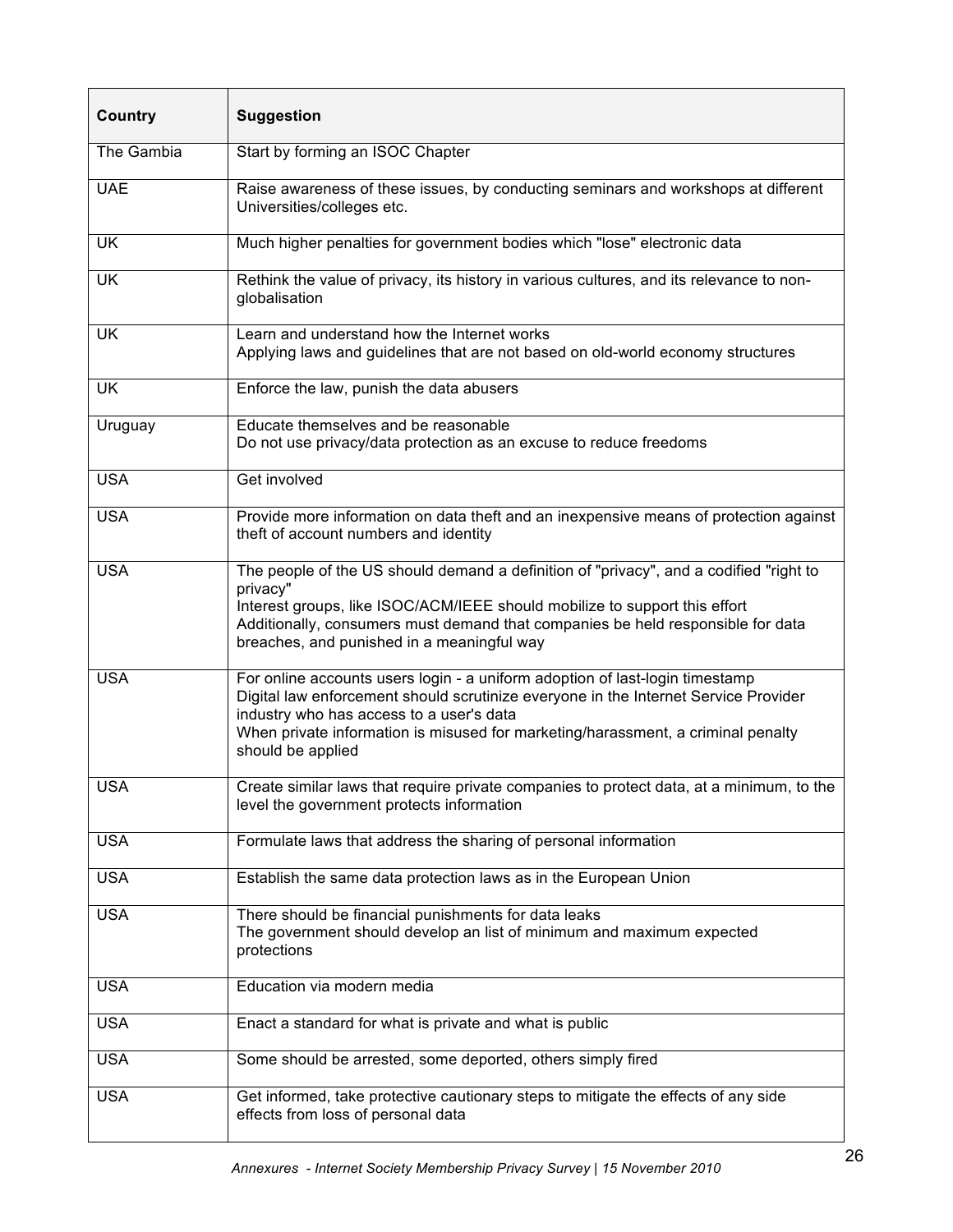| <b>Country</b> | <b>Suggestion</b>                                                                                                                                                                                                                                                                                                        |
|----------------|--------------------------------------------------------------------------------------------------------------------------------------------------------------------------------------------------------------------------------------------------------------------------------------------------------------------------|
| The Gambia     | Start by forming an ISOC Chapter                                                                                                                                                                                                                                                                                         |
| <b>UAE</b>     | Raise awareness of these issues, by conducting seminars and workshops at different<br>Universities/colleges etc.                                                                                                                                                                                                         |
| <b>UK</b>      | Much higher penalties for government bodies which "lose" electronic data                                                                                                                                                                                                                                                 |
| <b>UK</b>      | Rethink the value of privacy, its history in various cultures, and its relevance to non-<br>globalisation                                                                                                                                                                                                                |
| <b>UK</b>      | Learn and understand how the Internet works<br>Applying laws and guidelines that are not based on old-world economy structures                                                                                                                                                                                           |
| <b>UK</b>      | Enforce the law, punish the data abusers                                                                                                                                                                                                                                                                                 |
| Uruguay        | Educate themselves and be reasonable<br>Do not use privacy/data protection as an excuse to reduce freedoms                                                                                                                                                                                                               |
| <b>USA</b>     | Get involved                                                                                                                                                                                                                                                                                                             |
| <b>USA</b>     | Provide more information on data theft and an inexpensive means of protection against<br>theft of account numbers and identity                                                                                                                                                                                           |
| <b>USA</b>     | The people of the US should demand a definition of "privacy", and a codified "right to<br>privacy"<br>Interest groups, like ISOC/ACM/IEEE should mobilize to support this effort<br>Additionally, consumers must demand that companies be held responsible for data<br>breaches, and punished in a meaningful way        |
| <b>USA</b>     | For online accounts users login - a uniform adoption of last-login timestamp<br>Digital law enforcement should scrutinize everyone in the Internet Service Provider<br>industry who has access to a user's data<br>When private information is misused for marketing/harassment, a criminal penalty<br>should be applied |
| <b>USA</b>     | Create similar laws that require private companies to protect data, at a minimum, to the<br>level the government protects information                                                                                                                                                                                    |
| <b>USA</b>     | Formulate laws that address the sharing of personal information                                                                                                                                                                                                                                                          |
| <b>USA</b>     | Establish the same data protection laws as in the European Union                                                                                                                                                                                                                                                         |
| <b>USA</b>     | There should be financial punishments for data leaks<br>The government should develop an list of minimum and maximum expected<br>protections                                                                                                                                                                             |
| <b>USA</b>     | Education via modern media                                                                                                                                                                                                                                                                                               |
| <b>USA</b>     | Enact a standard for what is private and what is public                                                                                                                                                                                                                                                                  |
| <b>USA</b>     | Some should be arrested, some deported, others simply fired                                                                                                                                                                                                                                                              |
| <b>USA</b>     | Get informed, take protective cautionary steps to mitigate the effects of any side<br>effects from loss of personal data                                                                                                                                                                                                 |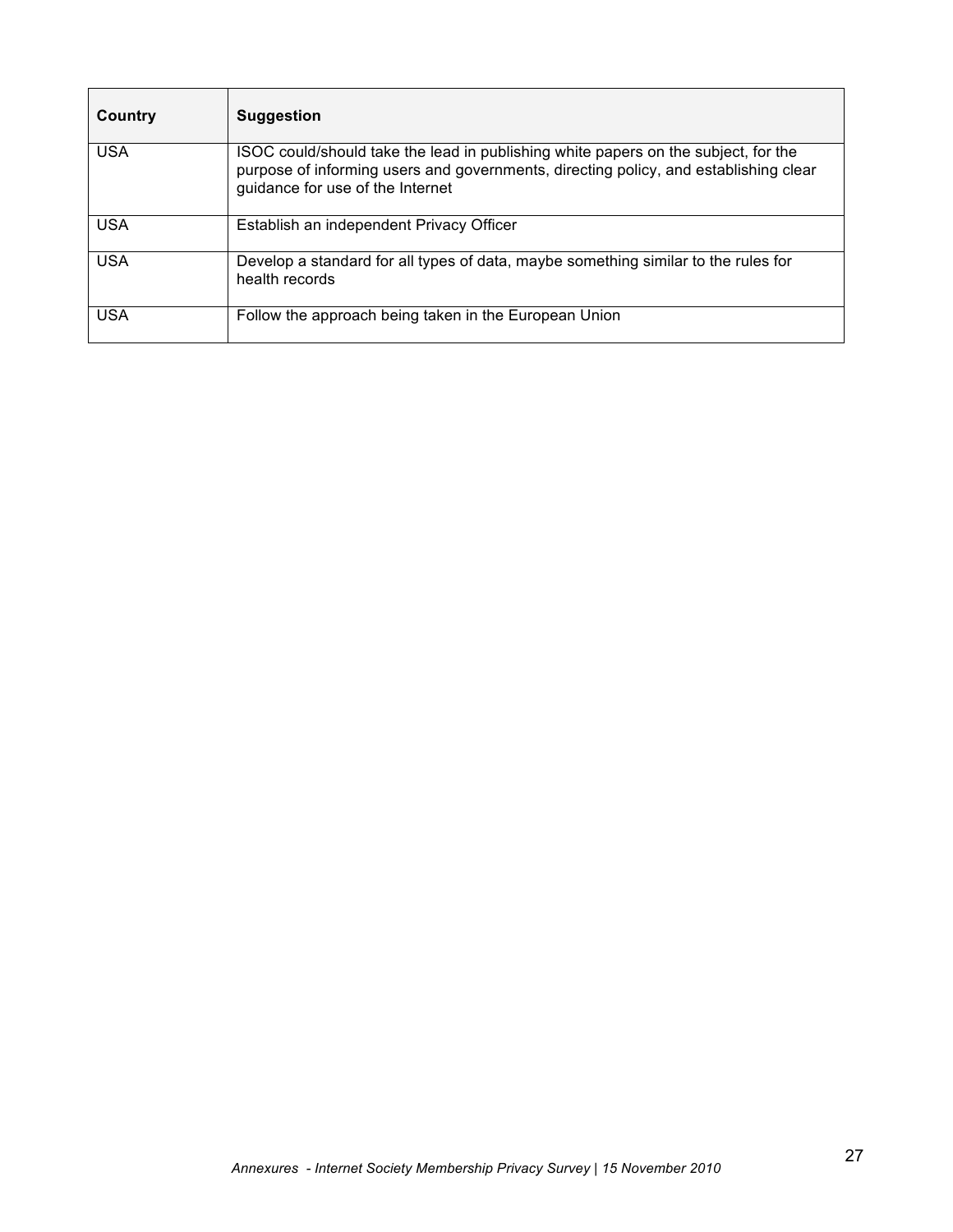| Country    | Suggestion                                                                                                                                                                                                     |
|------------|----------------------------------------------------------------------------------------------------------------------------------------------------------------------------------------------------------------|
| <b>USA</b> | ISOC could/should take the lead in publishing white papers on the subject, for the<br>purpose of informing users and governments, directing policy, and establishing clear<br>guidance for use of the Internet |
| <b>USA</b> | Establish an independent Privacy Officer                                                                                                                                                                       |
| <b>USA</b> | Develop a standard for all types of data, maybe something similar to the rules for<br>health records                                                                                                           |
| <b>USA</b> | Follow the approach being taken in the European Union                                                                                                                                                          |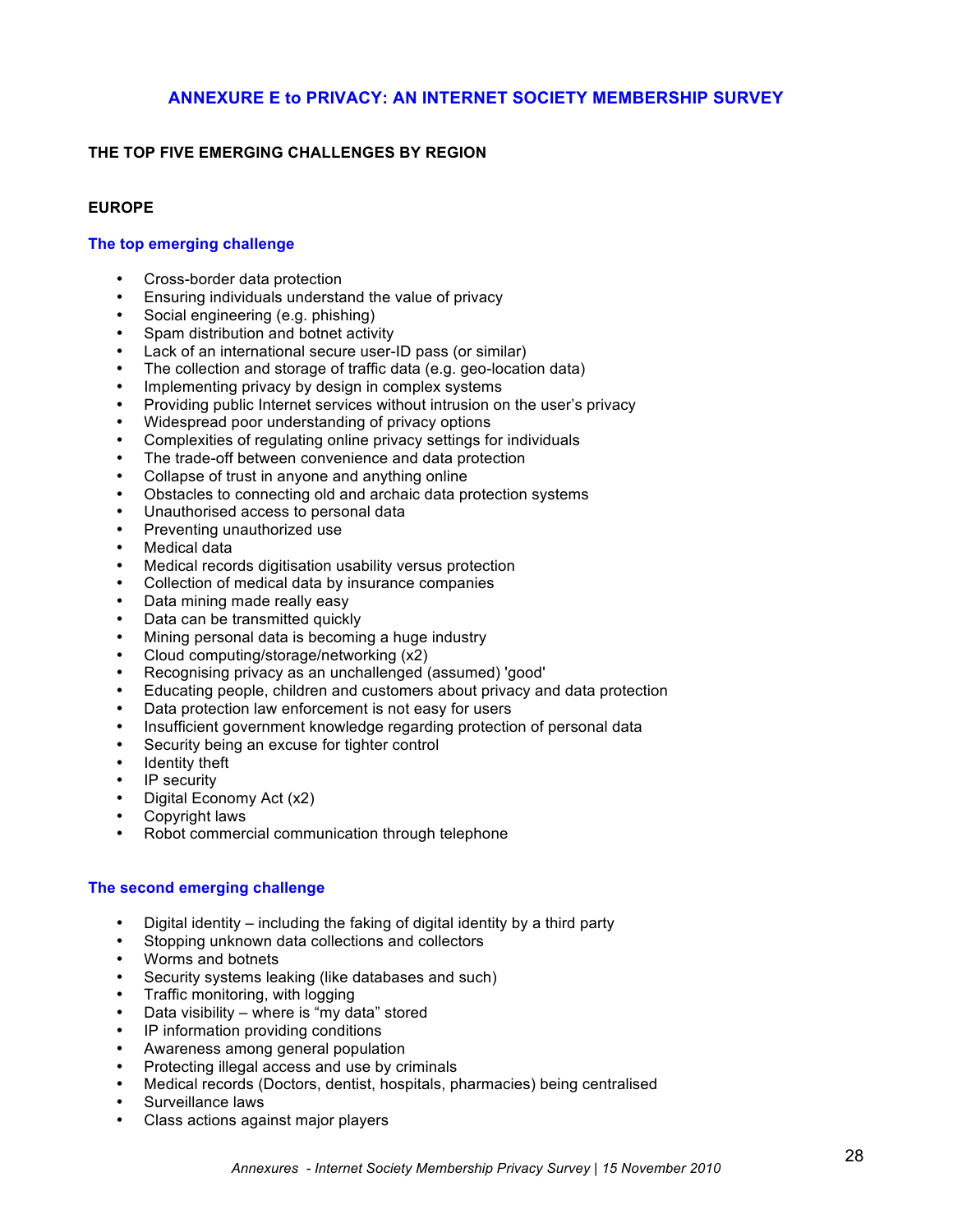# **ANNEXURE E to PRIVACY: AN INTERNET SOCIETY MEMBERSHIP SURVEY**

### **THE TOP FIVE EMERGING CHALLENGES BY REGION**

#### **EUROPE**

#### **The top emerging challenge**

- Cross-border data protection
- Ensuring individuals understand the value of privacy
- Social engineering (e.g. phishing)
- Spam distribution and botnet activity
- Lack of an international secure user-ID pass (or similar)
- The collection and storage of traffic data (e.g. geo-location data)
- Implementing privacy by design in complex systems
- Providing public Internet services without intrusion on the user's privacy
- Widespread poor understanding of privacy options
- Complexities of regulating online privacy settings for individuals
- The trade-off between convenience and data protection
- Collapse of trust in anyone and anything online
- Obstacles to connecting old and archaic data protection systems
- Unauthorised access to personal data
- Preventing unauthorized use
- Medical data
- Medical records digitisation usability versus protection
- Collection of medical data by insurance companies
- Data mining made really easy
- Data can be transmitted quickly
- Mining personal data is becoming a huge industry
- Cloud computing/storage/networking (x2)
- Recognising privacy as an unchallenged (assumed) 'good'
- Educating people, children and customers about privacy and data protection
- Data protection law enforcement is not easy for users
- Insufficient government knowledge regarding protection of personal data
- Security being an excuse for tighter control
- Identity theft
- IP security
- Digital Economy Act (x2)
- Copyright laws
- Robot commercial communication through telephone

#### **The second emerging challenge**

- Digital identity including the faking of digital identity by a third party
- Stopping unknown data collections and collectors
- Worms and botnets
- Security systems leaking (like databases and such)
- Traffic monitoring, with logging
- Data visibility where is "my data" stored
- IP information providing conditions
- Awareness among general population
- Protecting illegal access and use by criminals
- Medical records (Doctors, dentist, hospitals, pharmacies) being centralised
- Surveillance laws
- Class actions against major players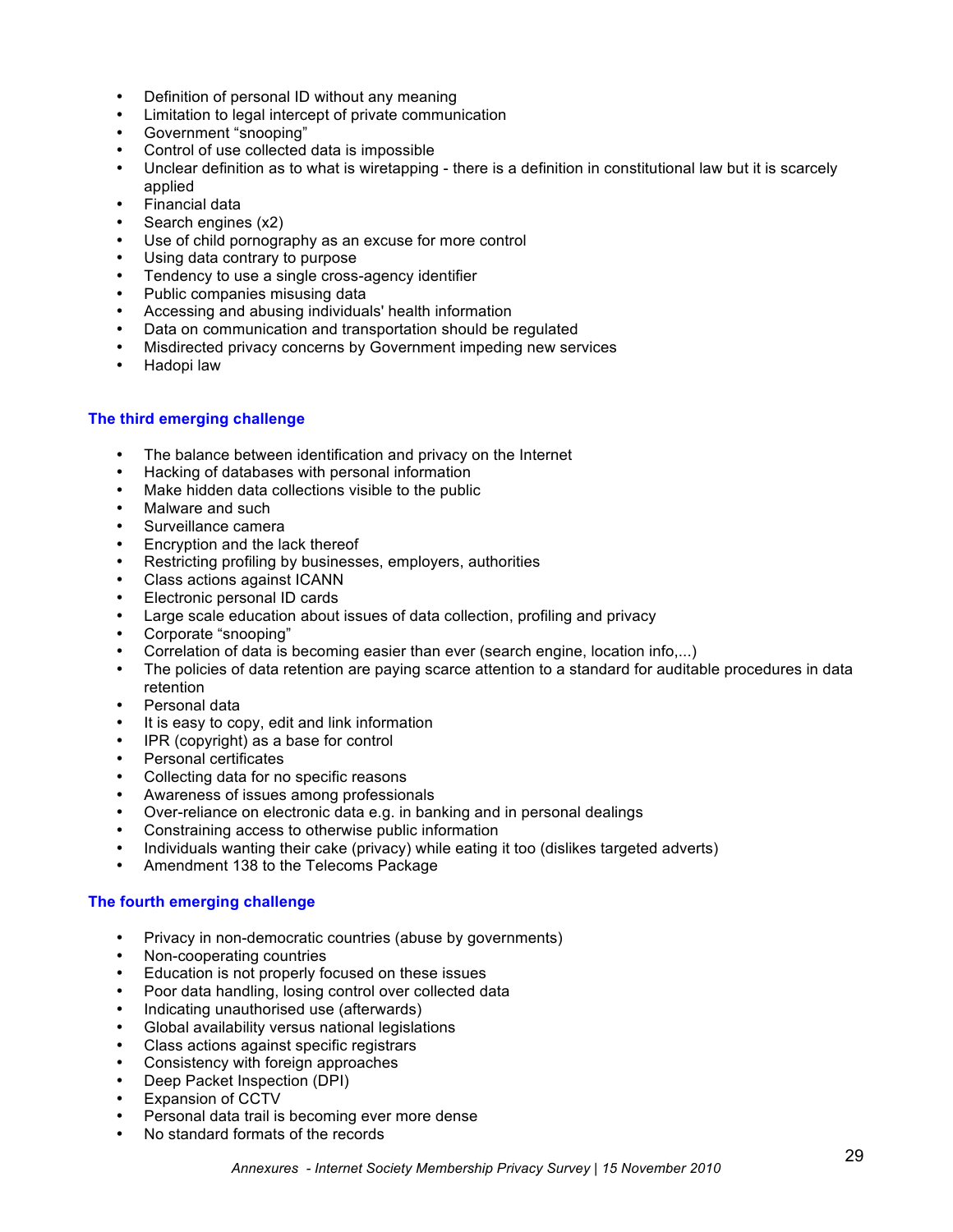- Definition of personal ID without any meaning
- Limitation to legal intercept of private communication
- Government "snooping"
- Control of use collected data is impossible<br>• Unclear definition as to what is wiretanning
- Unclear definition as to what is wiretapping there is a definition in constitutional law but it is scarcely applied
- Financial data
- Search engines (x2)
- Use of child pornography as an excuse for more control
- Using data contrary to purpose
- Tendency to use a single cross-agency identifier
- Public companies misusing data
- Accessing and abusing individuals' health information
- Data on communication and transportation should be regulated
- Misdirected privacy concerns by Government impeding new services
- Hadopi law

#### **The third emerging challenge**

- The balance between identification and privacy on the Internet
- Hacking of databases with personal information
- Make hidden data collections visible to the public
- Malware and such
- Surveillance camera
- Encryption and the lack thereof
- Restricting profiling by businesses, employers, authorities
- Class actions against ICANN
- Electronic personal ID cards
- Large scale education about issues of data collection, profiling and privacy
- Corporate "snooping"
- Correlation of data is becoming easier than ever (search engine, location info,...)<br>• The policies of data retention are paving scarce attention to a standard for audital
- The policies of data retention are paying scarce attention to a standard for auditable procedures in data retention
- Personal data
- It is easy to copy, edit and link information
- IPR (copyright) as a base for control
- Personal certificates
- Collecting data for no specific reasons
- Awareness of issues among professionals
- Over-reliance on electronic data e.g. in banking and in personal dealings<br>• Constraining access to otherwise public information
- Constraining access to otherwise public information
- Individuals wanting their cake (privacy) while eating it too (dislikes targeted adverts)
- Amendment 138 to the Telecoms Package

#### **The fourth emerging challenge**

- Privacy in non-democratic countries (abuse by governments)
- Non-cooperating countries
- Education is not properly focused on these issues
- Poor data handling, losing control over collected data
- Indicating unauthorised use (afterwards)
- Global availability versus national legislations
- Class actions against specific registrars
- Consistency with foreign approaches
- Deep Packet Inspection (DPI)
- Expansion of CCTV
- Personal data trail is becoming ever more dense
- No standard formats of the records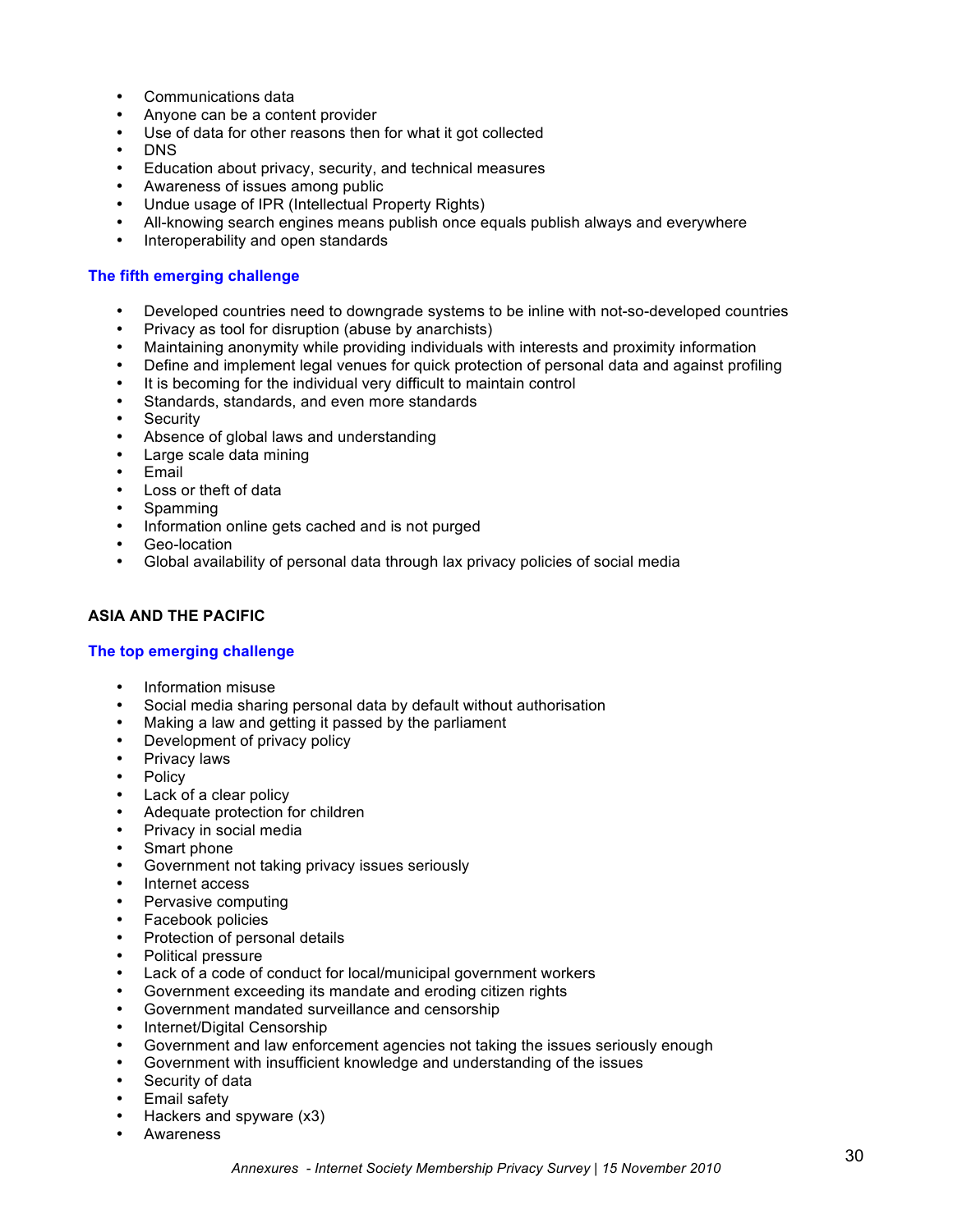- Communications data
- Anyone can be a content provider
- Use of data for other reasons then for what it got collected
- DNS
- Education about privacy, security, and technical measures
- Awareness of issues among public
- Undue usage of IPR (Intellectual Property Rights)
- All-knowing search engines means publish once equals publish always and everywhere<br>• Interoperability and onen standards
- Interoperability and open standards

#### **The fifth emerging challenge**

- Developed countries need to downgrade systems to be inline with not-so-developed countries
- Privacy as tool for disruption (abuse by anarchists)
- Maintaining anonymity while providing individuals with interests and proximity information
- Define and implement legal venues for quick protection of personal data and against profiling
- It is becoming for the individual very difficult to maintain control
- Standards, standards, and even more standards
- **Security**
- Absence of global laws and understanding
- Large scale data mining
- **Email**
- Loss or theft of data
- Spamming
- Information online gets cached and is not purged
- Geo-location
- Global availability of personal data through lax privacy policies of social media

### **ASIA AND THE PACIFIC**

#### **The top emerging challenge**

- Information misuse
- Social media sharing personal data by default without authorisation
- Making a law and getting it passed by the parliament
- Development of privacy policy
- Privacy laws
- Policy
- Lack of a clear policy
- Adequate protection for children
- Privacy in social media
- Smart phone
- Government not taking privacy issues seriously
- Internet access
- Pervasive computing
- Facebook policies
- Protection of personal details
- Political pressure
- Lack of a code of conduct for local/municipal government workers
- Government exceeding its mandate and eroding citizen rights
- Government mandated surveillance and censorship
- Internet/Digital Censorship
- Government and law enforcement agencies not taking the issues seriously enough
- Government with insufficient knowledge and understanding of the issues
- Security of data
- Email safety
- Hackers and spyware (x3)
- **Awareness**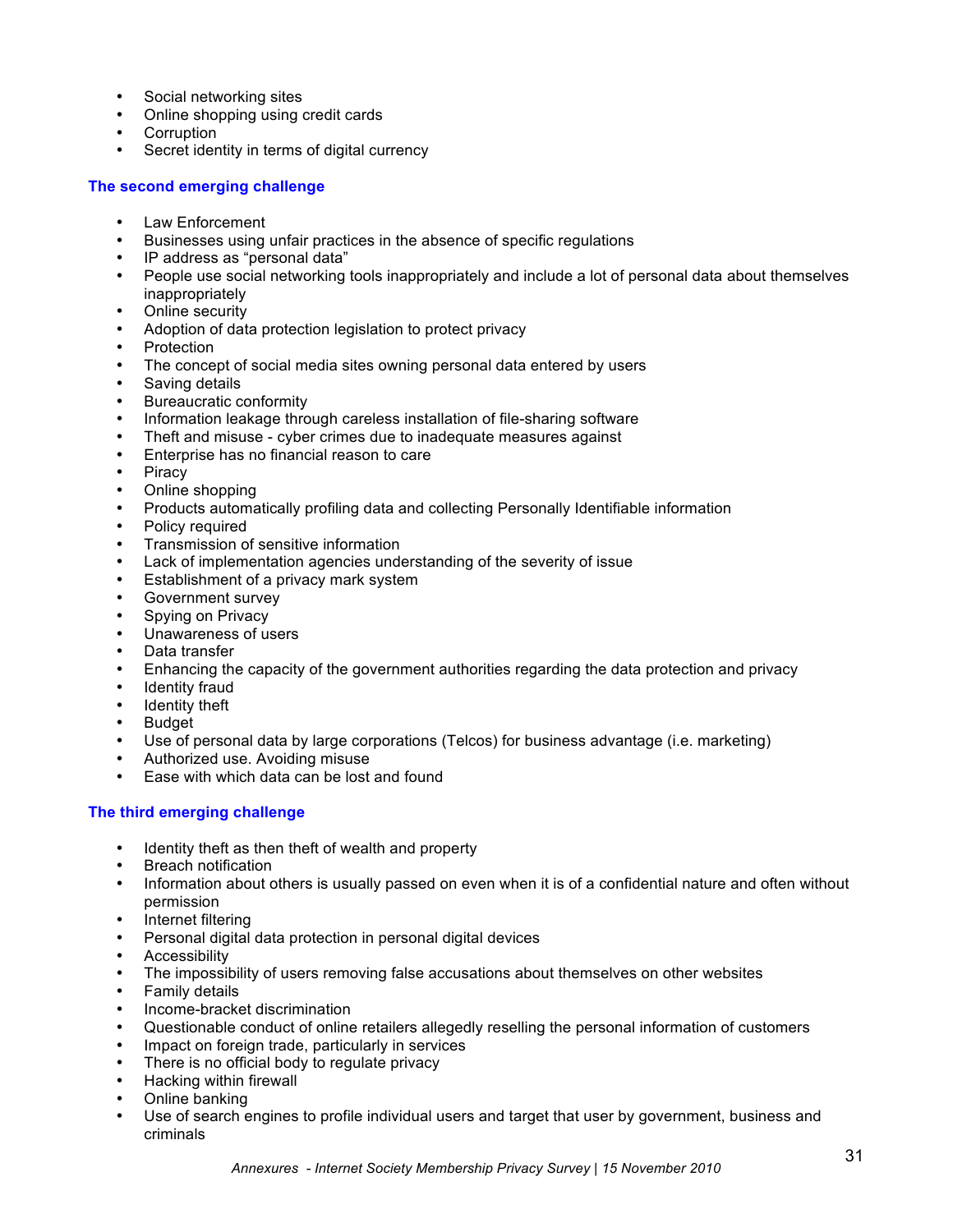- Social networking sites
- Online shopping using credit cards
- Corruption<br>• Secret iden
- Secret identity in terms of digital currency

#### **The second emerging challenge**

- Law Enforcement
- Businesses using unfair practices in the absence of specific regulations
- IP address as "personal data"
- People use social networking tools inappropriately and include a lot of personal data about themselves inappropriately
- Online security
- Adoption of data protection legislation to protect privacy
- **Protection**
- The concept of social media sites owning personal data entered by users
- Saving details
- Bureaucratic conformity
- Information leakage through careless installation of file-sharing software
- Theft and misuse cyber crimes due to inadequate measures against<br>• Enterprise has no financial reason to care
- Enterprise has no financial reason to care
- **Piracy**
- Online shopping
- Products automatically profiling data and collecting Personally Identifiable information
- Policy required
- Transmission of sensitive information
- Lack of implementation agencies understanding of the severity of issue
- Establishment of a privacy mark system
- Government survey
- Spying on Privacy
- Unawareness of users
- Data transfer
- Enhancing the capacity of the government authorities regarding the data protection and privacy
- Identity fraud
- **Identity theft**
- Budget<br>• Use of r
- Use of personal data by large corporations (Telcos) for business advantage (i.e. marketing)
- Authorized use. Avoiding misuse
- Ease with which data can be lost and found

# **The third emerging challenge**

- Identity theft as then theft of wealth and property
- Breach notification
- Information about others is usually passed on even when it is of a confidential nature and often without permission
- Internet filtering
- Personal digital data protection in personal digital devices
- Accessibility
- The impossibility of users removing false accusations about themselves on other websites
- Family details
- Income-bracket discrimination
- Questionable conduct of online retailers allegedly reselling the personal information of customers
- Impact on foreign trade, particularly in services
- There is no official body to regulate privacy
- Hacking within firewall
- Online banking
- Use of search engines to profile individual users and target that user by government, business and criminals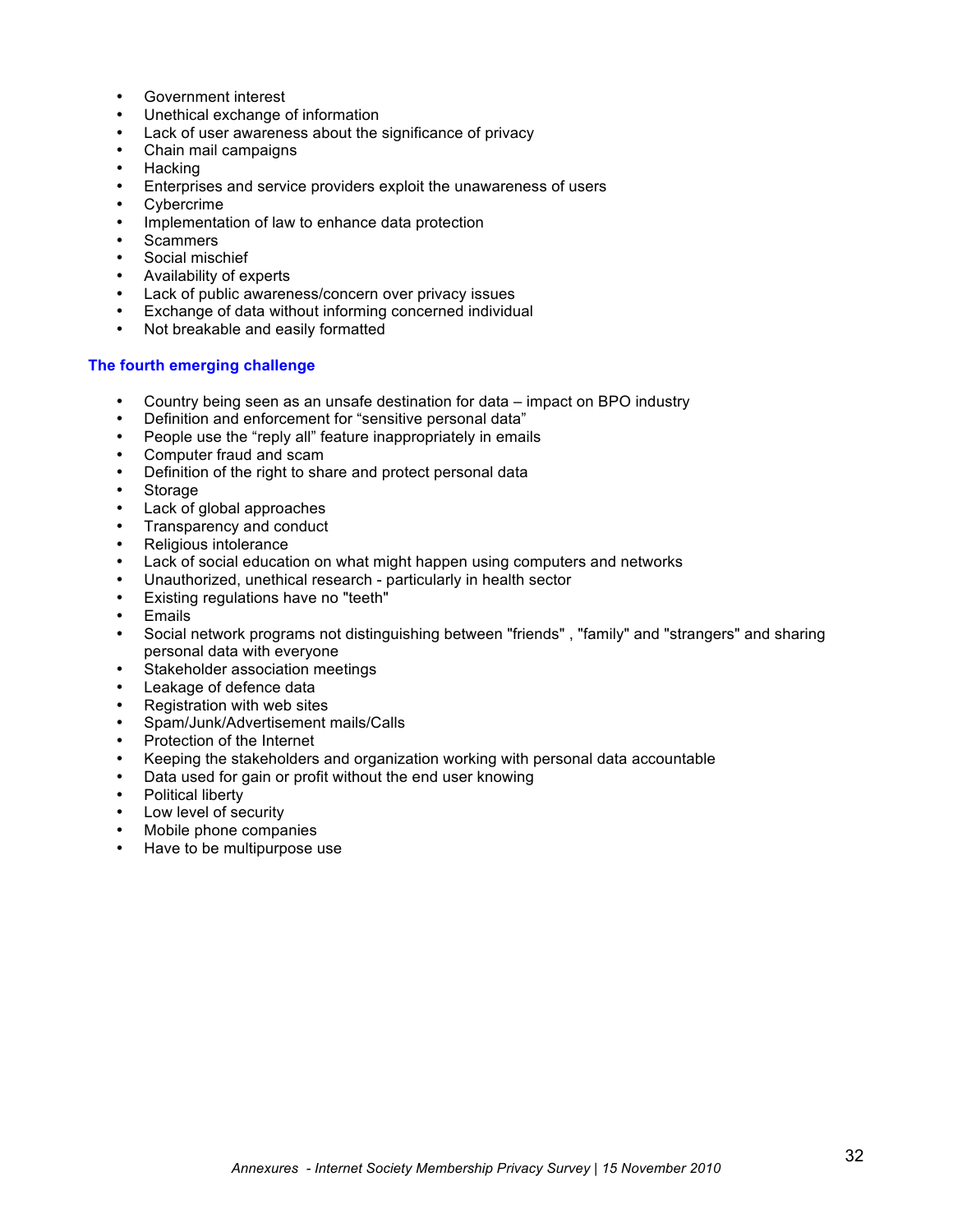- Government interest
- Unethical exchange of information
- Lack of user awareness about the significance of privacy
- Chain mail campaigns
- Hacking
- Enterprises and service providers exploit the unawareness of users
- **Cybercrime**
- Implementation of law to enhance data protection
- **Scammers**
- Social mischief
- Availability of experts
- Lack of public awareness/concern over privacy issues
- Exchange of data without informing concerned individual
- Not breakable and easily formatted

#### **The fourth emerging challenge**

- Country being seen as an unsafe destination for data impact on BPO industry
- Definition and enforcement for "sensitive personal data"
- People use the "reply all" feature inappropriately in emails
- Computer fraud and scam
- Definition of the right to share and protect personal data
- **Storage**
- Lack of global approaches
- Transparency and conduct
- Religious intolerance
- Lack of social education on what might happen using computers and networks
- Unauthorized, unethical research particularly in health sector
- Existing regulations have no "teeth"
- **Emails**
- Social network programs not distinguishing between "friends" , "family" and "strangers" and sharing personal data with everyone
- Stakeholder association meetings
- Leakage of defence data
- Registration with web sites
- Spam/Junk/Advertisement mails/Calls
- Protection of the Internet
- Keeping the stakeholders and organization working with personal data accountable
- Data used for gain or profit without the end user knowing
- Political liberty
- Low level of security
- Mobile phone companies
- Have to be multipurpose use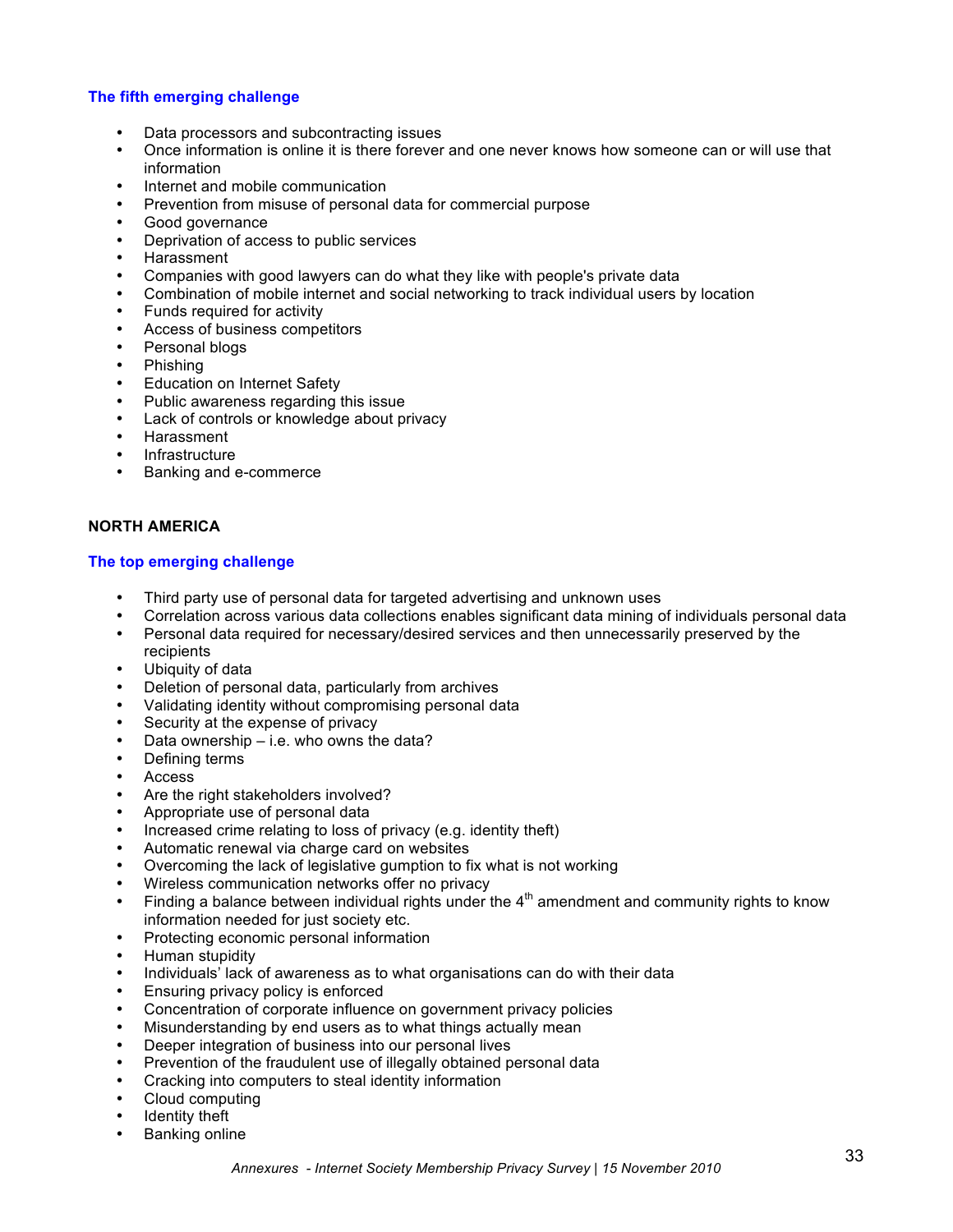#### **The fifth emerging challenge**

- Data processors and subcontracting issues
- Once information is online it is there forever and one never knows how someone can or will use that information
- Internet and mobile communication
- Prevention from misuse of personal data for commercial purpose
- Good governance
- Deprivation of access to public services
- Harassment
- Companies with good lawyers can do what they like with people's private data
- Combination of mobile internet and social networking to track individual users by location
- Funds required for activity
- Access of business competitors
- Personal blogs
- Phishing
- **Education on Internet Safety**
- Public awareness regarding this issue
- Lack of controls or knowledge about privacy
- Harassment
- **Infrastructure**
- Banking and e-commerce

### **NORTH AMERICA**

#### **The top emerging challenge**

- Third party use of personal data for targeted advertising and unknown uses
- Correlation across various data collections enables significant data mining of individuals personal data<br>• Personal data required for necessary/desired services and then unnecessarily preserved by the
- Personal data required for necessary/desired services and then unnecessarily preserved by the recipients
- Ubiquity of data
- Deletion of personal data, particularly from archives
- Validating identity without compromising personal data
- Security at the expense of privacy
- Data ownership  $-$  i.e. who owns the data?
- Defining terms
- Access
- Are the right stakeholders involved?
- Appropriate use of personal data
- Increased crime relating to loss of privacy (e.g. identity theft)
- Automatic renewal via charge card on websites
- Overcoming the lack of legislative gumption to fix what is not working
- Wireless communication networks offer no privacy
- Finding a balance between individual rights under the  $4<sup>th</sup>$  amendment and community rights to know information needed for just society etc.
- Protecting economic personal information
- Human stupidity
- Individuals' lack of awareness as to what organisations can do with their data
- Ensuring privacy policy is enforced
- Concentration of corporate influence on government privacy policies
- Misunderstanding by end users as to what things actually mean
- Deeper integration of business into our personal lives
- Prevention of the fraudulent use of illegally obtained personal data
- Cracking into computers to steal identity information
- Cloud computing
- Identity theft
- Banking online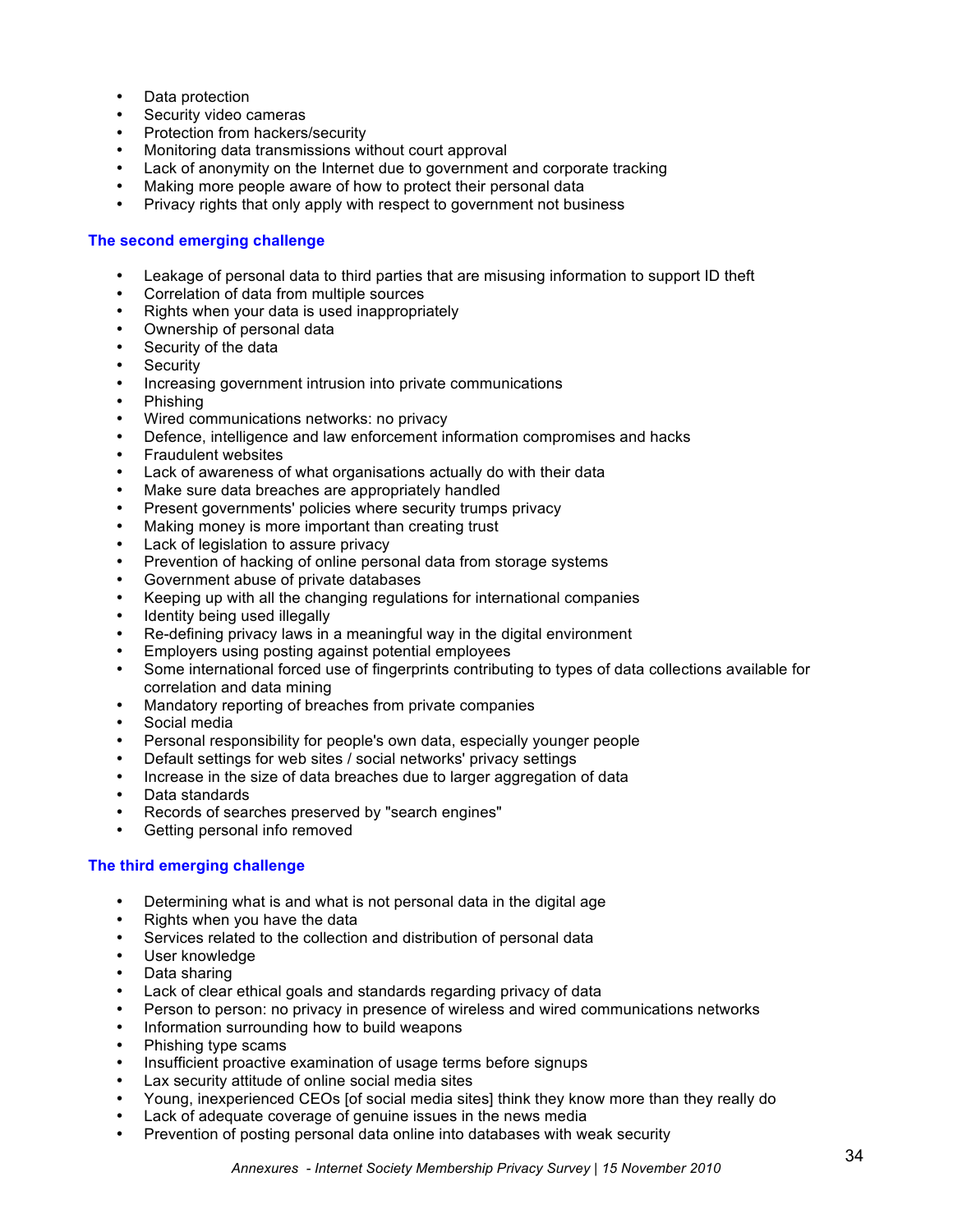- Data protection
- Security video cameras
- Protection from hackers/security
- Monitoring data transmissions without court approval
- Lack of anonymity on the Internet due to government and corporate tracking
- Making more people aware of how to protect their personal data
- Privacy rights that only apply with respect to government not business

#### **The second emerging challenge**

- Leakage of personal data to third parties that are misusing information to support ID theft
- Correlation of data from multiple sources
- Rights when your data is used inappropriately
- Ownership of personal data
- Security of the data
- **Security**
- Increasing government intrusion into private communications
- Phishing
- Wired communications networks: no privacy
- Defence, intelligence and law enforcement information compromises and hacks
- Fraudulent websites
- Lack of awareness of what organisations actually do with their data
- Make sure data breaches are appropriately handled
- Present governments' policies where security trumps privacy
- Making money is more important than creating trust
- Lack of legislation to assure privacy
- Prevention of hacking of online personal data from storage systems
- Government abuse of private databases
- Keeping up with all the changing regulations for international companies
- Identity being used illegally
- Re-defining privacy laws in a meaningful way in the digital environment
- Employers using posting against potential employees
- Some international forced use of fingerprints contributing to types of data collections available for correlation and data mining
- Mandatory reporting of breaches from private companies
- Social media
- Personal responsibility for people's own data, especially younger people
- Default settings for web sites / social networks' privacy settings
- Increase in the size of data breaches due to larger aggregation of data
- Data standards
- Records of searches preserved by "search engines"
- Getting personal info removed

#### **The third emerging challenge**

- Determining what is and what is not personal data in the digital age
- Rights when you have the data
- Services related to the collection and distribution of personal data
- User knowledge
- Data sharing
- Lack of clear ethical goals and standards regarding privacy of data
- Person to person: no privacy in presence of wireless and wired communications networks
- Information surrounding how to build weapons
- Phishing type scams
- Insufficient proactive examination of usage terms before signups
- Lax security attitude of online social media sites
- Young, inexperienced CEOs [of social media sites] think they know more than they really do
- Lack of adequate coverage of genuine issues in the news media
- Prevention of posting personal data online into databases with weak security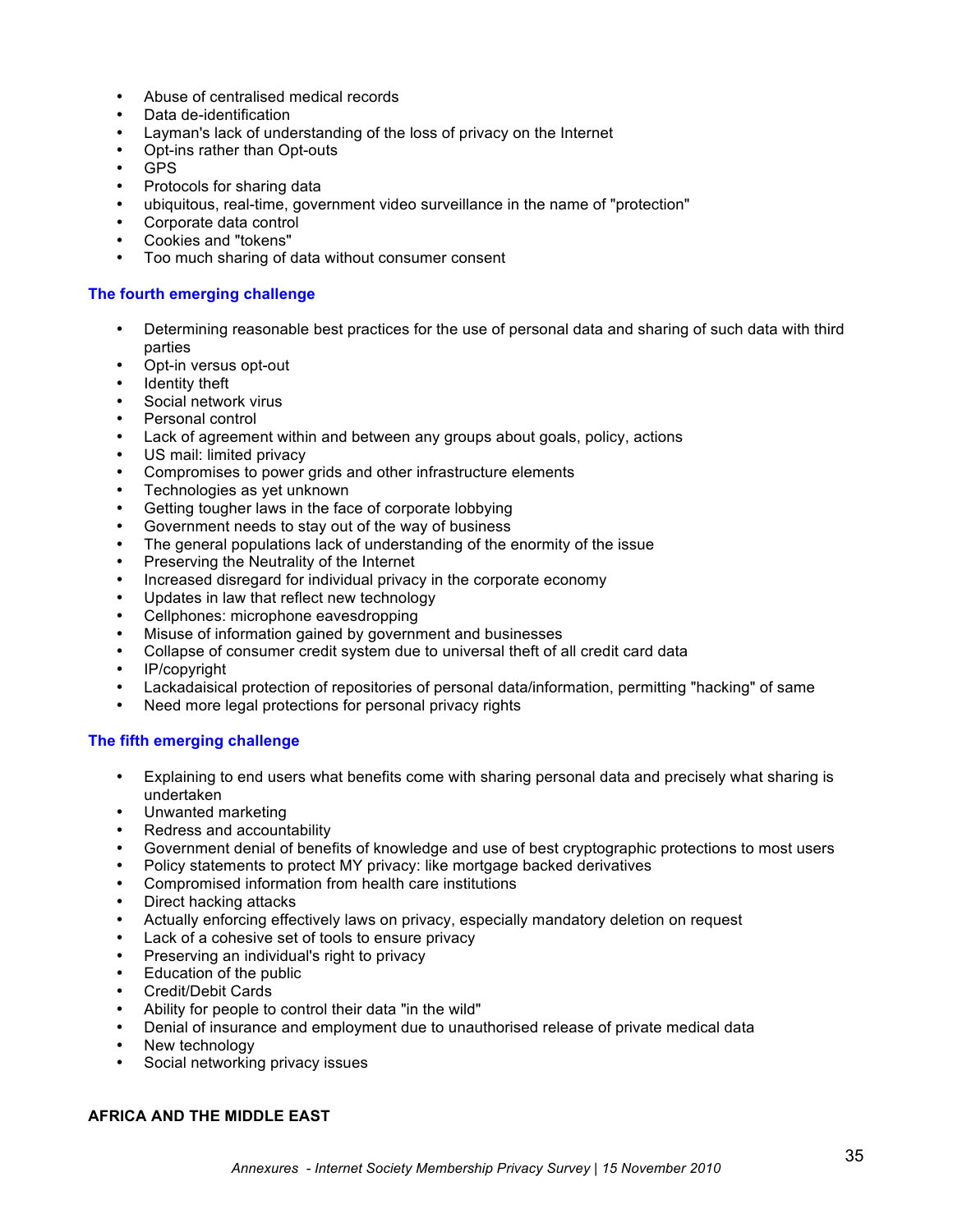- Abuse of centralised medical records
- Data de-identification
- Layman's lack of understanding of the loss of privacy on the Internet
- Opt-ins rather than Opt-outs
- GPS
- Protocols for sharing data
- ubiquitous, real-time, government video surveillance in the name of "protection"
- Corporate data control
- Cookies and "tokens"
- Too much sharing of data without consumer consent

### **The fourth emerging challenge**

- Determining reasonable best practices for the use of personal data and sharing of such data with third parties
- Opt-in versus opt-out
- Identity theft
- Social network virus
- Personal control
- Lack of agreement within and between any groups about goals, policy, actions
- US mail: limited privacy
- Compromises to power grids and other infrastructure elements
- Technologies as yet unknown
- Getting tougher laws in the face of corporate lobbying
- Government needs to stay out of the way of business
- The general populations lack of understanding of the enormity of the issue
- Preserving the Neutrality of the Internet
- Increased disregard for individual privacy in the corporate economy
- Updates in law that reflect new technology<br>Collphonos: microphono opvoedropping
- Cellphones: microphone eavesdropping
- Misuse of information gained by government and businesses
- Collapse of consumer credit system due to universal theft of all credit card data
- IP/copyright
- Lackadaisical protection of repositories of personal data/information, permitting "hacking" of same
- Need more legal protections for personal privacy rights

### **The fifth emerging challenge**

- Explaining to end users what benefits come with sharing personal data and precisely what sharing is undertaken
- Unwanted marketing
- Redress and accountability
- Government denial of benefits of knowledge and use of best cryptographic protections to most users
- Policy statements to protect MY privacy: like mortgage backed derivatives
- Compromised information from health care institutions
- Direct hacking attacks
- Actually enforcing effectively laws on privacy, especially mandatory deletion on request
- Lack of a cohesive set of tools to ensure privacy
- Preserving an individual's right to privacy
- Education of the public
- Credit/Debit Cards
- Ability for people to control their data "in the wild"
- Denial of insurance and employment due to unauthorised release of private medical data
- New technology<br>• Social networking
- Social networking privacy issues

#### **AFRICA AND THE MIDDLE EAST**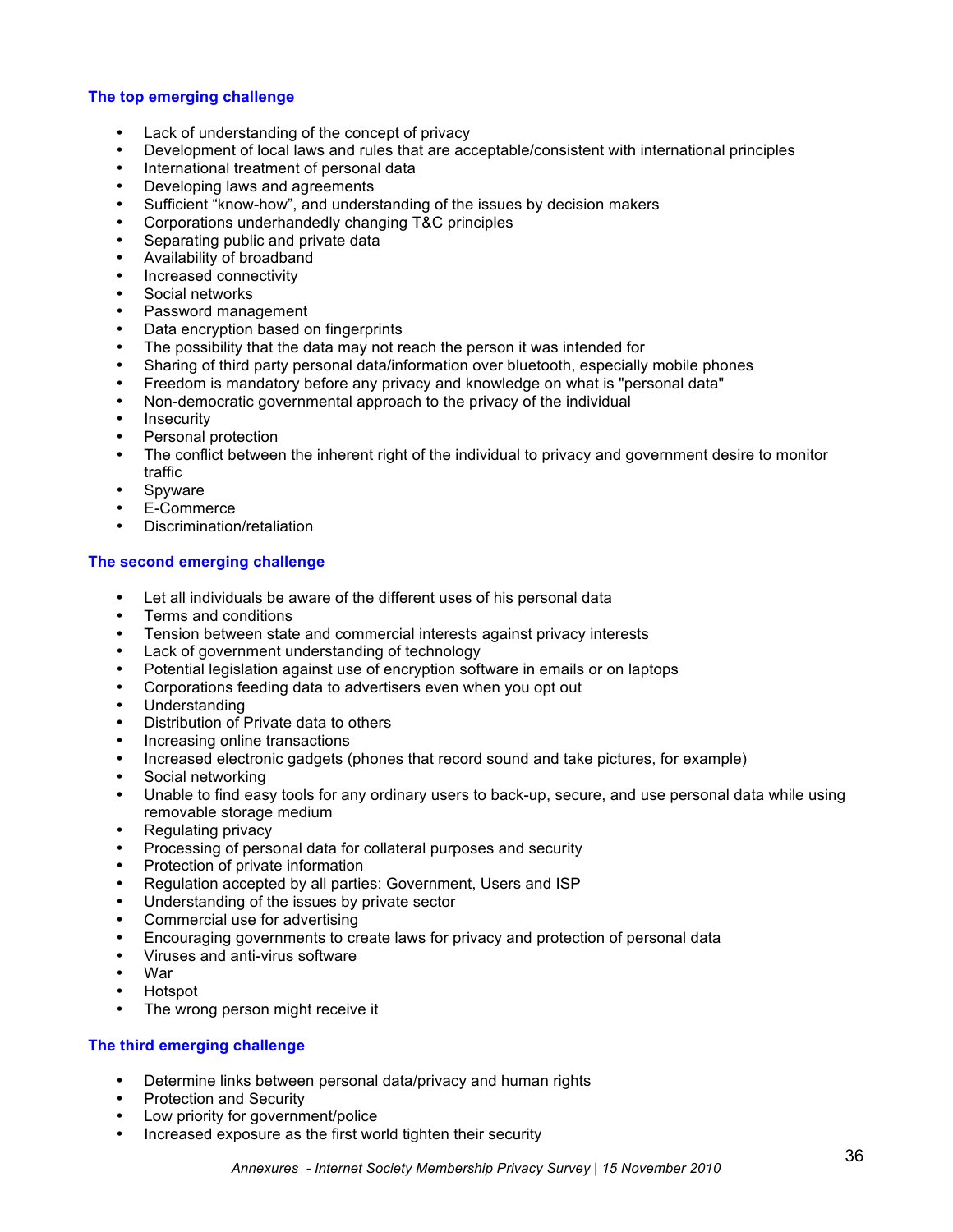#### **The top emerging challenge**

- Lack of understanding of the concept of privacy
- Development of local laws and rules that are acceptable/consistent with international principles
- International treatment of personal data
- Developing laws and agreements
- Sufficient "know-how", and understanding of the issues by decision makers
- Corporations underhandedly changing T&C principles
- Separating public and private data
- Availability of broadband
- Increased connectivity
- Social networks
- Password management
- Data encryption based on fingerprints
- The possibility that the data may not reach the person it was intended for
- Sharing of third party personal data/information over bluetooth, especially mobile phones
- Freedom is mandatory before any privacy and knowledge on what is "personal data"
- Non-democratic governmental approach to the privacy of the individual
- **Insecurity**
- Personal protection<br>• The conflict between
- The conflict between the inherent right of the individual to privacy and government desire to monitor traffic
- Spyware
- E-Commerce
- Discrimination/retaliation

### **The second emerging challenge**

- Let all individuals be aware of the different uses of his personal data
- Terms and conditions
- Tension between state and commercial interests against privacy interests
- Lack of government understanding of technology
- Potential legislation against use of encryption software in emails or on laptops
- Corporations feeding data to advertisers even when you opt out
- Understanding
- Distribution of Private data to others
- Increasing online transactions
- Increased electronic gadgets (phones that record sound and take pictures, for example)
- Social networking<br>• Unable to find easy
- Unable to find easy tools for any ordinary users to back-up, secure, and use personal data while using removable storage medium
- Regulating privacy
- Processing of personal data for collateral purposes and security
- Protection of private information
- Regulation accepted by all parties: Government, Users and ISP
- Understanding of the issues by private sector
- Commercial use for advertising
- Encouraging governments to create laws for privacy and protection of personal data<br>• Viruses and anti-virus software
- Viruses and anti-virus software<br>• War
- War
- Hotspot
- The wrong person might receive it

### **The third emerging challenge**

- Determine links between personal data/privacy and human rights
- Protection and Security
- Low priority for government/police
- Increased exposure as the first world tighten their security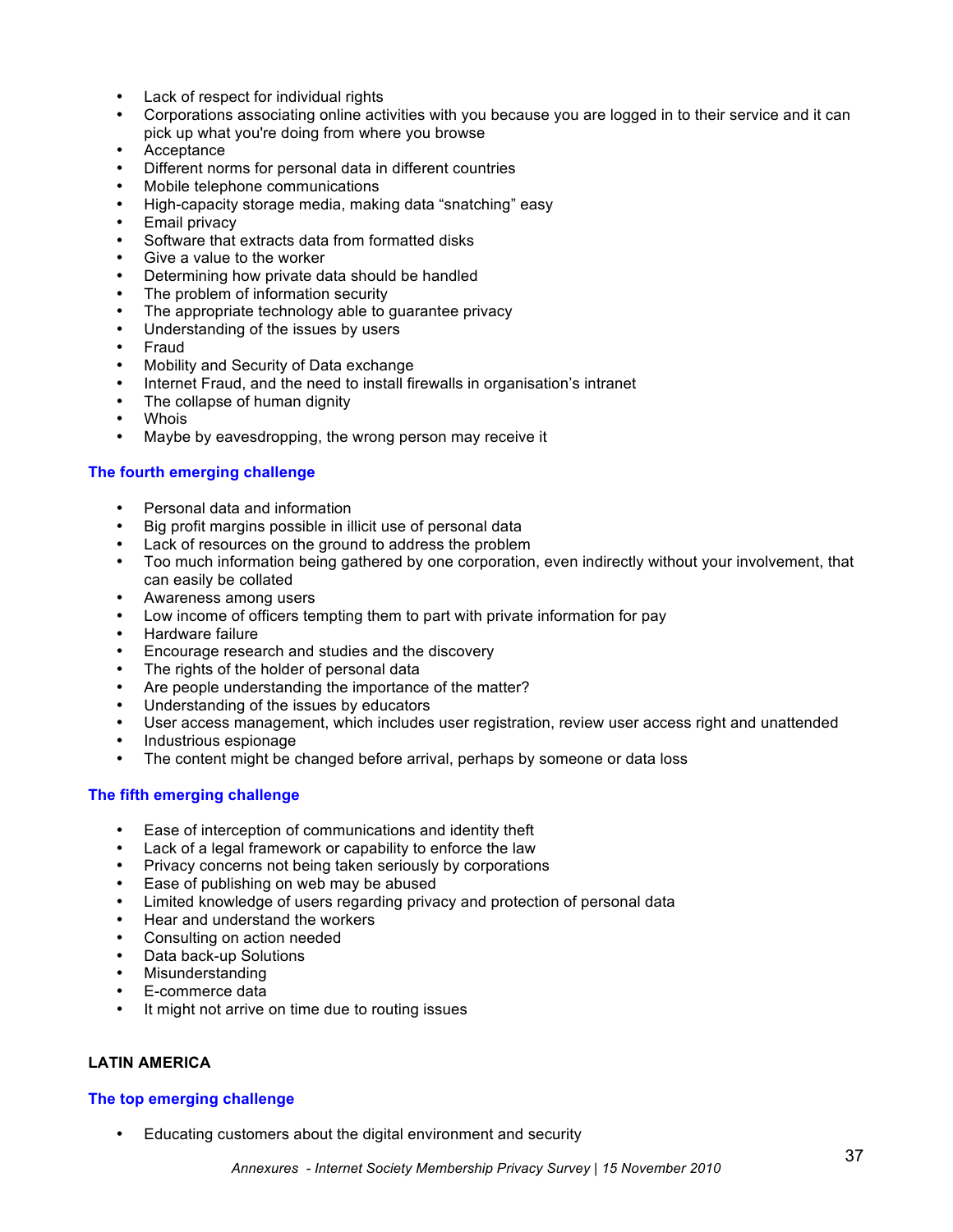- Lack of respect for individual rights
- Corporations associating online activities with you because you are logged in to their service and it can pick up what you're doing from where you browse
- Acceptance
- Different norms for personal data in different countries
- Mobile telephone communications
- High-capacity storage media, making data "snatching" easy
- Email privacy
- Software that extracts data from formatted disks
- Give a value to the worker
- Determining how private data should be handled
- The problem of information security
- The appropriate technology able to quarantee privacy
- Understanding of the issues by users
- Fraud
- Mobility and Security of Data exchange
- Internet Fraud, and the need to install firewalls in organisation's intranet
- The collapse of human dignity
- **Whois**
- Maybe by eavesdropping, the wrong person may receive it

#### **The fourth emerging challenge**

- Personal data and information
- Big profit margins possible in illicit use of personal data
- Lack of resources on the ground to address the problem
- Too much information being gathered by one corporation, even indirectly without your involvement, that can easily be collated
- Awareness among users
- Low income of officers tempting them to part with private information for pay
- Hardware failure
- Encourage research and studies and the discovery
- The rights of the holder of personal data
- Are people understanding the importance of the matter?
- Understanding of the issues by educators
- User access management, which includes user registration, review user access right and unattended
- Industrious espionage
- The content might be changed before arrival, perhaps by someone or data loss

#### **The fifth emerging challenge**

- Ease of interception of communications and identity theft
- Lack of a legal framework or capability to enforce the law
- Privacy concerns not being taken seriously by corporations
- Ease of publishing on web may be abused
- Limited knowledge of users regarding privacy and protection of personal data
- Hear and understand the workers
- Consulting on action needed<br>• Data back-un Solutions
- Data back-up Solutions
- **Misunderstanding**
- E-commerce data
- It might not arrive on time due to routing issues

### **LATIN AMERICA**

#### **The top emerging challenge**

• Educating customers about the digital environment and security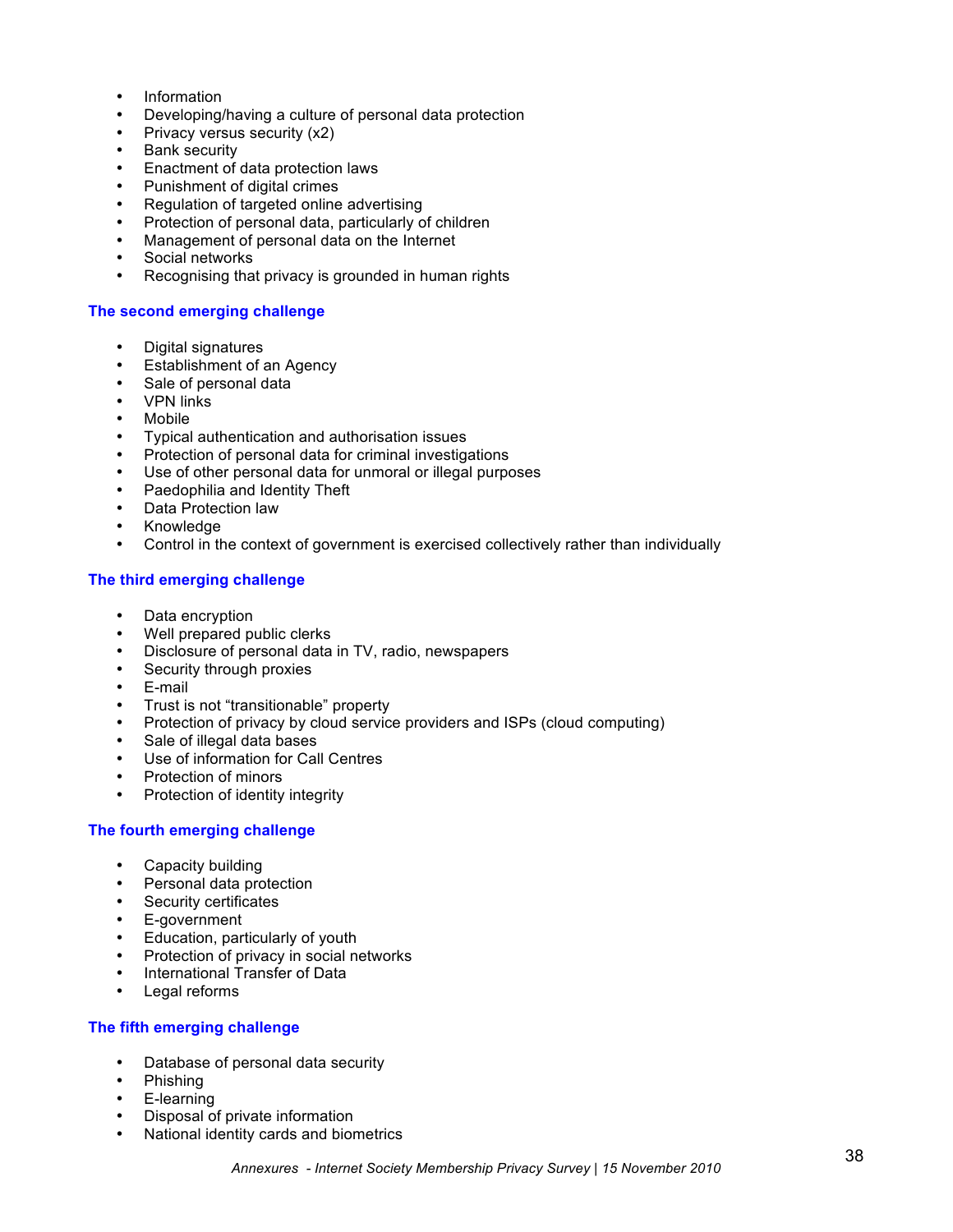- Information
- Developing/having a culture of personal data protection
- Privacy versus security (x2)
- Bank security
- Enactment of data protection laws
- Punishment of digital crimes
- Regulation of targeted online advertising
- Protection of personal data, particularly of children<br>• Management of personal data on the Internet
- Management of personal data on the Internet
- Social networks<br>• Recognising the
- Recognising that privacy is grounded in human rights

#### **The second emerging challenge**

- Digital signatures
- Establishment of an Agency
- Sale of personal data
- VPN links
- **Mobile**
- Typical authentication and authorisation issues
- Protection of personal data for criminal investigations
- Use of other personal data for unmoral or illegal purposes
- Paedophilia and Identity Theft
- Data Protection law
- Knowledge<br>• Control in the
- Control in the context of government is exercised collectively rather than individually

### **The third emerging challenge**

- Data encryption
- Well prepared public clerks
- Disclosure of personal data in TV, radio, newspapers<br>• Security through proxies
- Security through proxies
- E-mail
- Trust is not "transitionable" property<br>• Protection of privacy by cloud service
- Protection of privacy by cloud service providers and ISPs (cloud computing)
- Sale of illegal data bases<br>• Lise of information for Call
- Use of information for Call Centres
- Protection of minors
- Protection of identity integrity

### **The fourth emerging challenge**

- Capacity building
- Personal data protection
- Security certificates<br>• E-government
- E-government
- Education, particularly of youth<br>• Protection of privacy in social net
- Protection of privacy in social networks
- International Transfer of Data<br>• Legal reforms
- Legal reforms

#### **The fifth emerging challenge**

- Database of personal data security
- Phishing
- E-learning
- Disposal of private information
- National identity cards and biometrics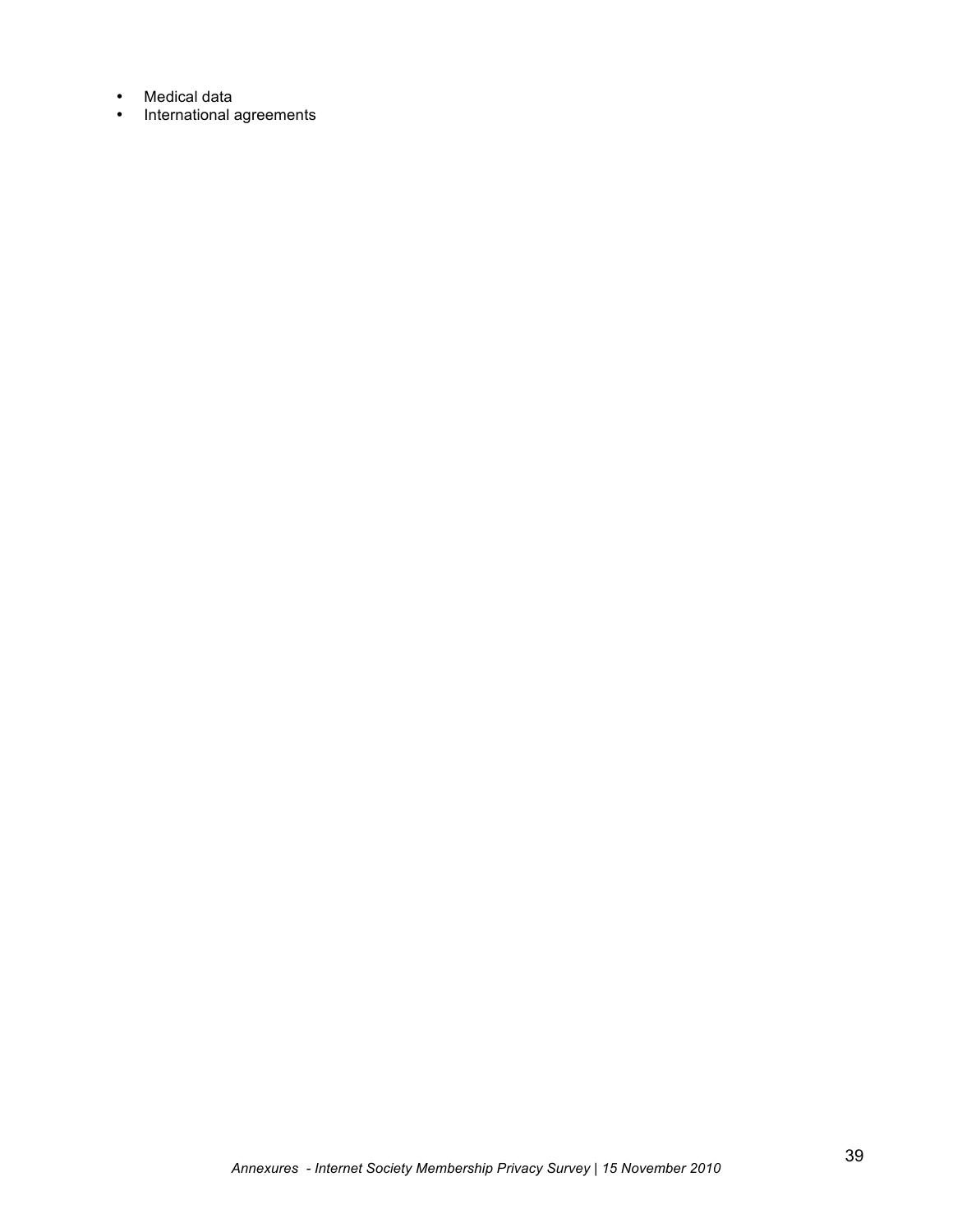- Medical data
- International agreements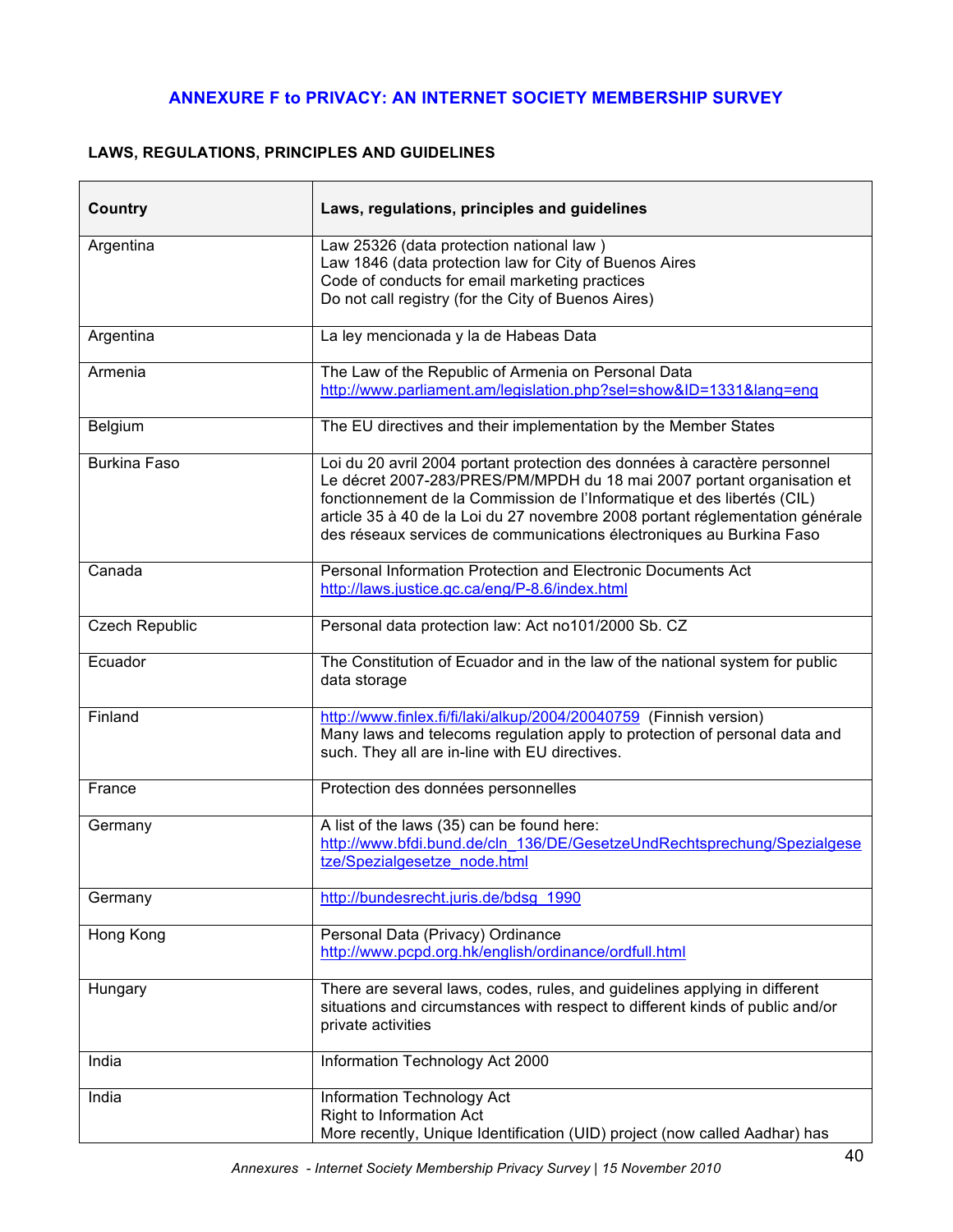# **ANNEXURE F to PRIVACY: AN INTERNET SOCIETY MEMBERSHIP SURVEY**

# **LAWS, REGULATIONS, PRINCIPLES AND GUIDELINES**

| <b>Country</b>        | Laws, regulations, principles and guidelines                                                                                                                                                                                                                                                                                                                                            |
|-----------------------|-----------------------------------------------------------------------------------------------------------------------------------------------------------------------------------------------------------------------------------------------------------------------------------------------------------------------------------------------------------------------------------------|
| Argentina             | Law 25326 (data protection national law)<br>Law 1846 (data protection law for City of Buenos Aires<br>Code of conducts for email marketing practices<br>Do not call registry (for the City of Buenos Aires)                                                                                                                                                                             |
| Argentina             | La ley mencionada y la de Habeas Data                                                                                                                                                                                                                                                                                                                                                   |
| Armenia               | The Law of the Republic of Armenia on Personal Data<br>http://www.parliament.am/legislation.php?sel=show&ID=1331⟨=eng                                                                                                                                                                                                                                                                   |
| Belgium               | The EU directives and their implementation by the Member States                                                                                                                                                                                                                                                                                                                         |
| <b>Burkina Faso</b>   | Loi du 20 avril 2004 portant protection des données à caractère personnel<br>Le décret 2007-283/PRES/PM/MPDH du 18 mai 2007 portant organisation et<br>fonctionnement de la Commission de l'Informatique et des libertés (CIL)<br>article 35 à 40 de la Loi du 27 novembre 2008 portant réglementation générale<br>des réseaux services de communications électroniques au Burkina Faso |
| Canada                | Personal Information Protection and Electronic Documents Act<br>http://laws.justice.gc.ca/eng/P-8.6/index.html                                                                                                                                                                                                                                                                          |
| <b>Czech Republic</b> | Personal data protection law: Act no101/2000 Sb. CZ                                                                                                                                                                                                                                                                                                                                     |
| Ecuador               | The Constitution of Ecuador and in the law of the national system for public<br>data storage                                                                                                                                                                                                                                                                                            |
| Finland               | http://www.finlex.fi/fi/laki/alkup/2004/20040759 (Finnish version)<br>Many laws and telecoms regulation apply to protection of personal data and<br>such. They all are in-line with EU directives.                                                                                                                                                                                      |
| France                | Protection des données personnelles                                                                                                                                                                                                                                                                                                                                                     |
| Germany               | A list of the laws (35) can be found here:<br>http://www.bfdi.bund.de/cln 136/DE/GesetzeUndRechtsprechung/Spezialgese<br>tze/Spezialgesetze node.html                                                                                                                                                                                                                                   |
| Germany               | http://bundesrecht.juris.de/bdsg 1990                                                                                                                                                                                                                                                                                                                                                   |
| Hong Kong             | Personal Data (Privacy) Ordinance<br>http://www.pcpd.org.hk/english/ordinance/ordfull.html                                                                                                                                                                                                                                                                                              |
| Hungary               | There are several laws, codes, rules, and guidelines applying in different<br>situations and circumstances with respect to different kinds of public and/or<br>private activities                                                                                                                                                                                                       |
| India                 | Information Technology Act 2000                                                                                                                                                                                                                                                                                                                                                         |
| India                 | Information Technology Act<br>Right to Information Act<br>More recently, Unique Identification (UID) project (now called Aadhar) has                                                                                                                                                                                                                                                    |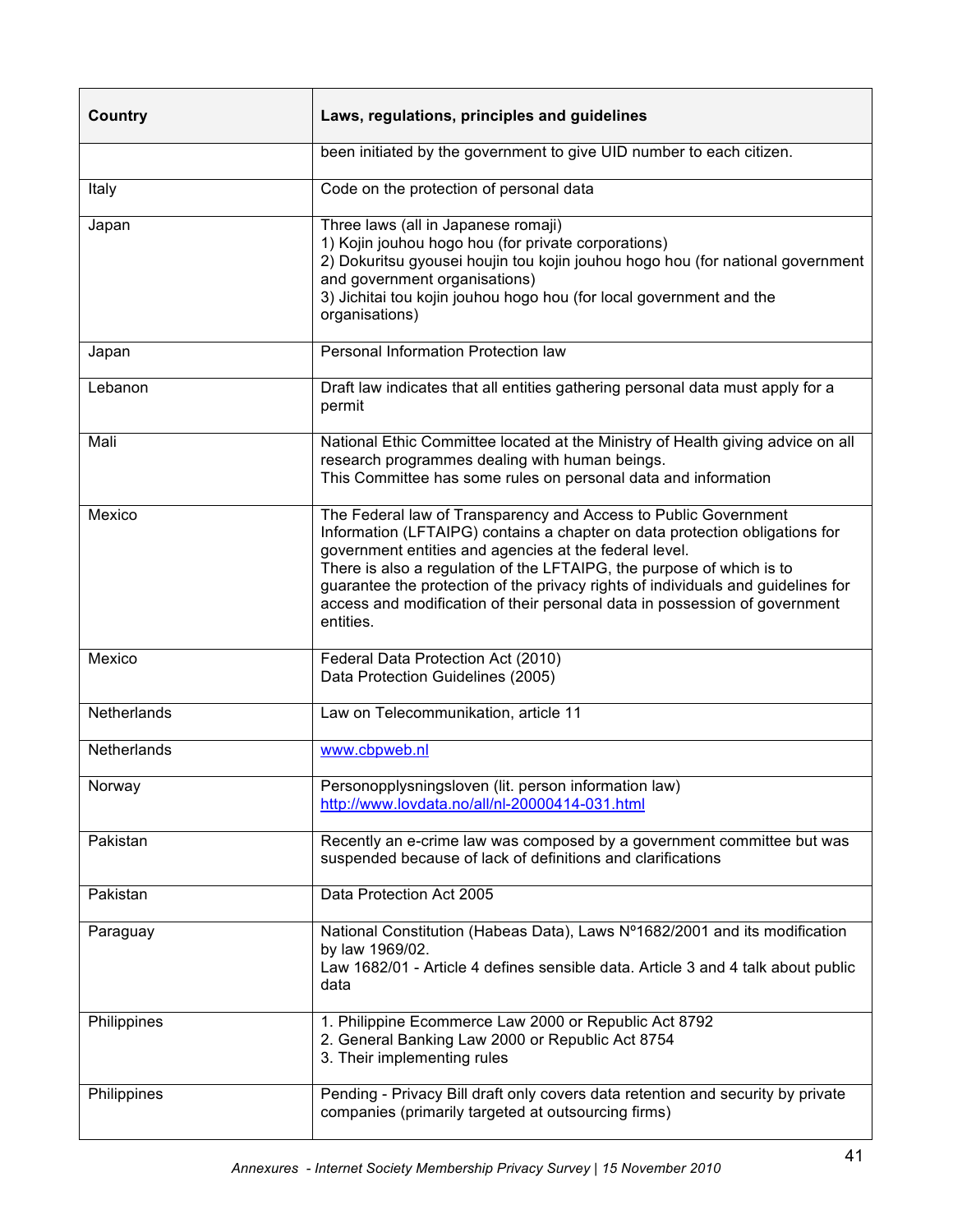| Country            | Laws, regulations, principles and guidelines                                                                                                                                                                                                                                                                                                                                                                                                                     |
|--------------------|------------------------------------------------------------------------------------------------------------------------------------------------------------------------------------------------------------------------------------------------------------------------------------------------------------------------------------------------------------------------------------------------------------------------------------------------------------------|
|                    | been initiated by the government to give UID number to each citizen.                                                                                                                                                                                                                                                                                                                                                                                             |
| Italy              | Code on the protection of personal data                                                                                                                                                                                                                                                                                                                                                                                                                          |
| Japan              | Three laws (all in Japanese romaji)<br>1) Kojin jouhou hogo hou (for private corporations)<br>2) Dokuritsu gyousei houjin tou kojin jouhou hogo hou (for national government<br>and government organisations)<br>3) Jichitai tou kojin jouhou hogo hou (for local government and the<br>organisations)                                                                                                                                                           |
| Japan              | Personal Information Protection law                                                                                                                                                                                                                                                                                                                                                                                                                              |
| Lebanon            | Draft law indicates that all entities gathering personal data must apply for a<br>permit                                                                                                                                                                                                                                                                                                                                                                         |
| Mali               | National Ethic Committee located at the Ministry of Health giving advice on all<br>research programmes dealing with human beings.<br>This Committee has some rules on personal data and information                                                                                                                                                                                                                                                              |
| Mexico             | The Federal law of Transparency and Access to Public Government<br>Information (LFTAIPG) contains a chapter on data protection obligations for<br>government entities and agencies at the federal level.<br>There is also a regulation of the LFTAIPG, the purpose of which is to<br>guarantee the protection of the privacy rights of individuals and guidelines for<br>access and modification of their personal data in possession of government<br>entities. |
| Mexico             | Federal Data Protection Act (2010)<br>Data Protection Guidelines (2005)                                                                                                                                                                                                                                                                                                                                                                                          |
| Netherlands        | Law on Telecommunikation, article 11                                                                                                                                                                                                                                                                                                                                                                                                                             |
| <b>Netherlands</b> | www.cbpweb.nl                                                                                                                                                                                                                                                                                                                                                                                                                                                    |
| Norway             | Personopplysningsloven (lit. person information law)<br>http://www.lovdata.no/all/nl-20000414-031.html                                                                                                                                                                                                                                                                                                                                                           |
| Pakistan           | Recently an e-crime law was composed by a government committee but was<br>suspended because of lack of definitions and clarifications                                                                                                                                                                                                                                                                                                                            |
| Pakistan           | Data Protection Act 2005                                                                                                                                                                                                                                                                                                                                                                                                                                         |
| Paraguay           | National Constitution (Habeas Data), Laws N°1682/2001 and its modification<br>by law 1969/02.<br>Law 1682/01 - Article 4 defines sensible data. Article 3 and 4 talk about public<br>data                                                                                                                                                                                                                                                                        |
| Philippines        | 1. Philippine Ecommerce Law 2000 or Republic Act 8792<br>2. General Banking Law 2000 or Republic Act 8754<br>3. Their implementing rules                                                                                                                                                                                                                                                                                                                         |
| Philippines        | Pending - Privacy Bill draft only covers data retention and security by private<br>companies (primarily targeted at outsourcing firms)                                                                                                                                                                                                                                                                                                                           |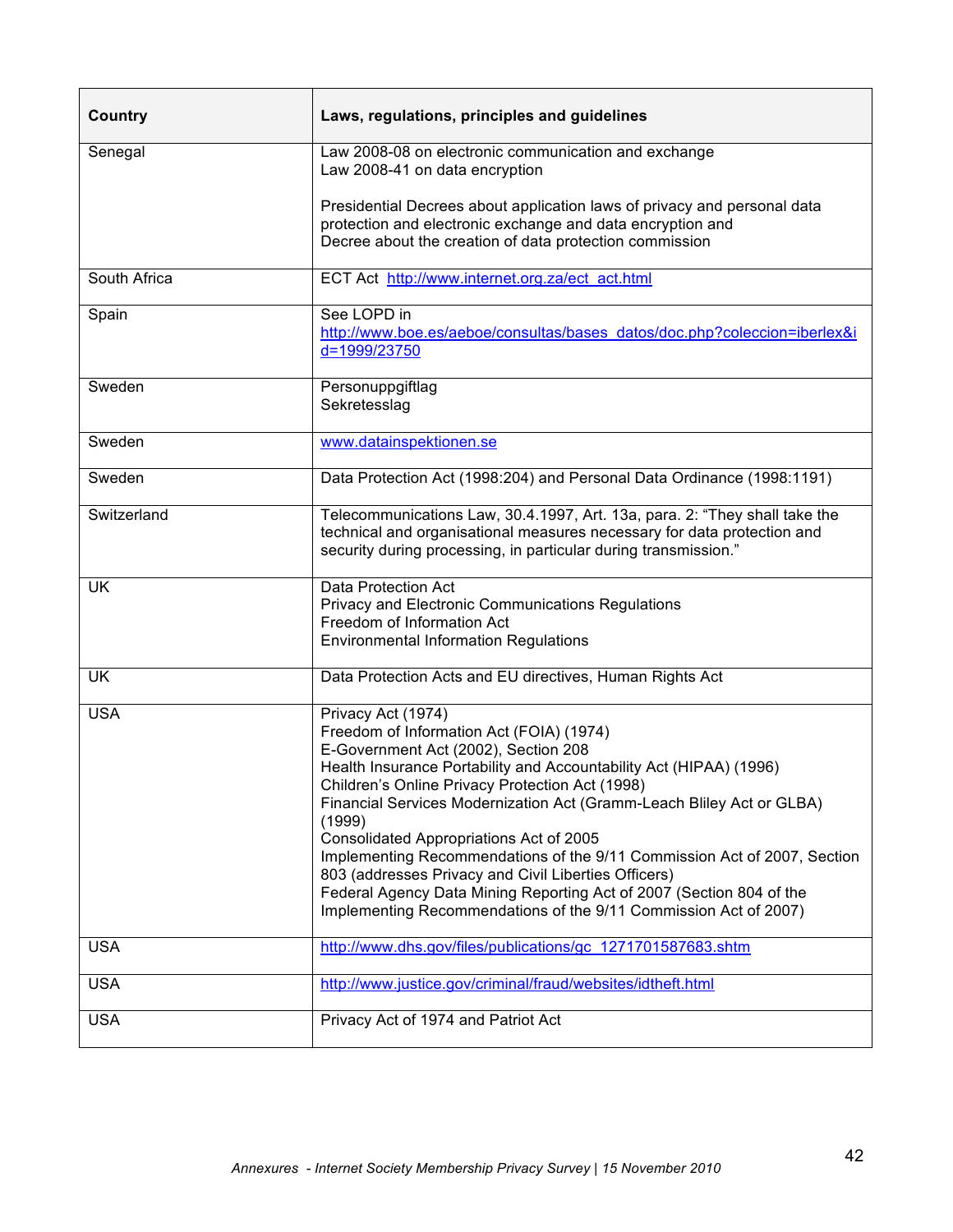| Country      | Laws, regulations, principles and guidelines                                                                                                                                                                                                                                                                                                                                                                                                                                                                                                                                                                                                  |
|--------------|-----------------------------------------------------------------------------------------------------------------------------------------------------------------------------------------------------------------------------------------------------------------------------------------------------------------------------------------------------------------------------------------------------------------------------------------------------------------------------------------------------------------------------------------------------------------------------------------------------------------------------------------------|
| Senegal      | Law 2008-08 on electronic communication and exchange<br>Law 2008-41 on data encryption                                                                                                                                                                                                                                                                                                                                                                                                                                                                                                                                                        |
|              | Presidential Decrees about application laws of privacy and personal data<br>protection and electronic exchange and data encryption and<br>Decree about the creation of data protection commission                                                                                                                                                                                                                                                                                                                                                                                                                                             |
| South Africa | ECT Act http://www.internet.org.za/ect act.html                                                                                                                                                                                                                                                                                                                                                                                                                                                                                                                                                                                               |
| Spain        | See LOPD in<br>http://www.boe.es/aeboe/consultas/bases datos/doc.php?coleccion=iberlex&i<br>d=1999/23750                                                                                                                                                                                                                                                                                                                                                                                                                                                                                                                                      |
| Sweden       | Personuppgiftlag<br>Sekretesslag                                                                                                                                                                                                                                                                                                                                                                                                                                                                                                                                                                                                              |
| Sweden       | www.datainspektionen.se                                                                                                                                                                                                                                                                                                                                                                                                                                                                                                                                                                                                                       |
| Sweden       | Data Protection Act (1998:204) and Personal Data Ordinance (1998:1191)                                                                                                                                                                                                                                                                                                                                                                                                                                                                                                                                                                        |
| Switzerland  | Telecommunications Law, 30.4.1997, Art. 13a, para. 2: "They shall take the<br>technical and organisational measures necessary for data protection and<br>security during processing, in particular during transmission."                                                                                                                                                                                                                                                                                                                                                                                                                      |
| UK.          | Data Protection Act<br>Privacy and Electronic Communications Regulations<br>Freedom of Information Act<br><b>Environmental Information Regulations</b>                                                                                                                                                                                                                                                                                                                                                                                                                                                                                        |
| <b>UK</b>    | Data Protection Acts and EU directives, Human Rights Act                                                                                                                                                                                                                                                                                                                                                                                                                                                                                                                                                                                      |
| <b>USA</b>   | Privacy Act (1974)<br>Freedom of Information Act (FOIA) (1974)<br>E-Government Act (2002), Section 208<br>Health Insurance Portability and Accountability Act (HIPAA) (1996)<br>Children's Online Privacy Protection Act (1998)<br>Financial Services Modernization Act (Gramm-Leach Bliley Act or GLBA)<br>(1999)<br>Consolidated Appropriations Act of 2005<br>Implementing Recommendations of the 9/11 Commission Act of 2007, Section<br>803 (addresses Privacy and Civil Liberties Officers)<br>Federal Agency Data Mining Reporting Act of 2007 (Section 804 of the<br>Implementing Recommendations of the 9/11 Commission Act of 2007) |
| <b>USA</b>   | http://www.dhs.gov/files/publications/gc 1271701587683.shtm                                                                                                                                                                                                                                                                                                                                                                                                                                                                                                                                                                                   |
| <b>USA</b>   | http://www.justice.gov/criminal/fraud/websites/idtheft.html                                                                                                                                                                                                                                                                                                                                                                                                                                                                                                                                                                                   |
| <b>USA</b>   | Privacy Act of 1974 and Patriot Act                                                                                                                                                                                                                                                                                                                                                                                                                                                                                                                                                                                                           |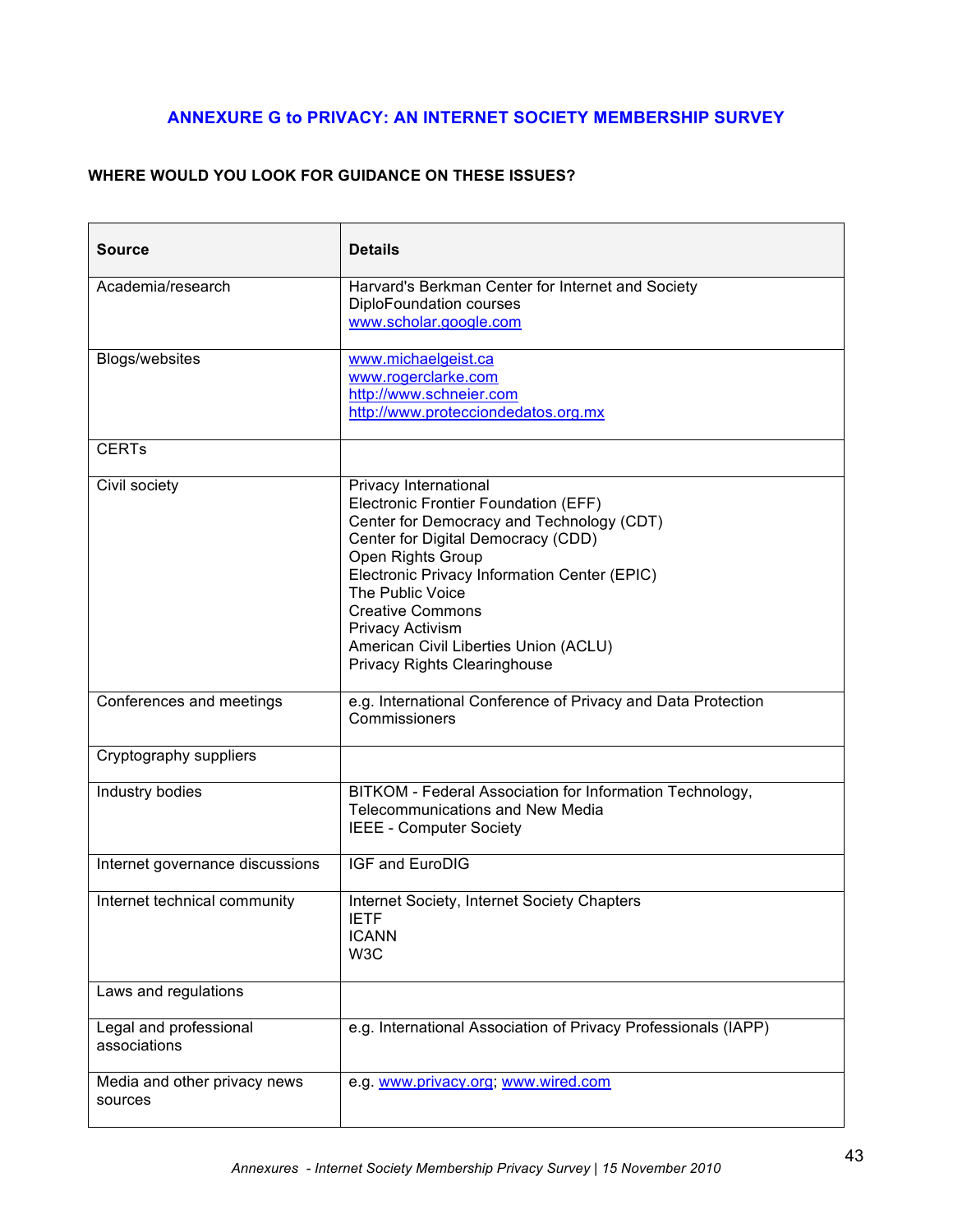# **ANNEXURE G to PRIVACY: AN INTERNET SOCIETY MEMBERSHIP SURVEY**

# **WHERE WOULD YOU LOOK FOR GUIDANCE ON THESE ISSUES?**

| <b>Source</b>                           | <b>Details</b>                                                                                                                                                                                                                                                                                                                                                                  |
|-----------------------------------------|---------------------------------------------------------------------------------------------------------------------------------------------------------------------------------------------------------------------------------------------------------------------------------------------------------------------------------------------------------------------------------|
| Academia/research                       | Harvard's Berkman Center for Internet and Society<br>DiploFoundation courses<br>www.scholar.google.com                                                                                                                                                                                                                                                                          |
| Blogs/websites                          | www.michaelgeist.ca<br>www.rogerclarke.com<br>http://www.schneier.com<br>http://www.protecciondedatos.org.mx                                                                                                                                                                                                                                                                    |
| <b>CERT<sub>s</sub></b>                 |                                                                                                                                                                                                                                                                                                                                                                                 |
| Civil society                           | Privacy International<br>Electronic Frontier Foundation (EFF)<br>Center for Democracy and Technology (CDT)<br>Center for Digital Democracy (CDD)<br>Open Rights Group<br>Electronic Privacy Information Center (EPIC)<br>The Public Voice<br><b>Creative Commons</b><br><b>Privacy Activism</b><br>American Civil Liberties Union (ACLU)<br><b>Privacy Rights Clearinghouse</b> |
| Conferences and meetings                | e.g. International Conference of Privacy and Data Protection<br>Commissioners                                                                                                                                                                                                                                                                                                   |
| Cryptography suppliers                  |                                                                                                                                                                                                                                                                                                                                                                                 |
| Industry bodies                         | BITKOM - Federal Association for Information Technology,<br><b>Telecommunications and New Media</b><br><b>IEEE - Computer Society</b>                                                                                                                                                                                                                                           |
| Internet governance discussions         | <b>IGF and EuroDIG</b>                                                                                                                                                                                                                                                                                                                                                          |
| Internet technical community            | Internet Society, Internet Society Chapters<br><b>IETF</b><br><b>ICANN</b><br>W <sub>3</sub> C                                                                                                                                                                                                                                                                                  |
| Laws and regulations                    |                                                                                                                                                                                                                                                                                                                                                                                 |
| Legal and professional<br>associations  | e.g. International Association of Privacy Professionals (IAPP)                                                                                                                                                                                                                                                                                                                  |
| Media and other privacy news<br>sources | e.g. www.privacy.org; www.wired.com                                                                                                                                                                                                                                                                                                                                             |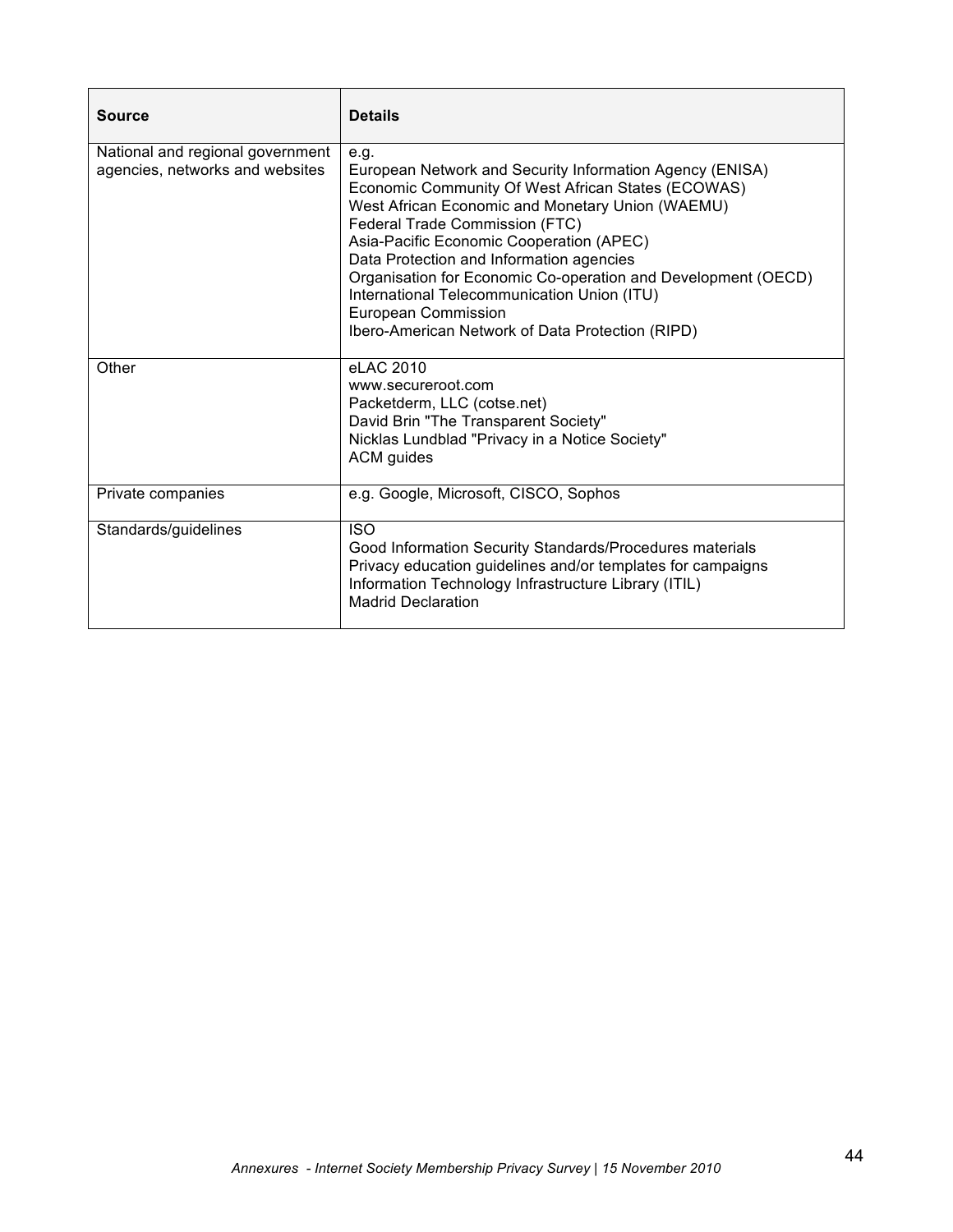| <b>Source</b>                                                       | <b>Details</b>                                                                                                                                                                                                                                                                                                                                                                                                                                                                                  |
|---------------------------------------------------------------------|-------------------------------------------------------------------------------------------------------------------------------------------------------------------------------------------------------------------------------------------------------------------------------------------------------------------------------------------------------------------------------------------------------------------------------------------------------------------------------------------------|
| National and regional government<br>agencies, networks and websites | e.g.<br>European Network and Security Information Agency (ENISA)<br>Economic Community Of West African States (ECOWAS)<br>West African Economic and Monetary Union (WAEMU)<br>Federal Trade Commission (FTC)<br>Asia-Pacific Economic Cooperation (APEC)<br>Data Protection and Information agencies<br>Organisation for Economic Co-operation and Development (OECD)<br>International Telecommunication Union (ITU)<br>European Commission<br>Ibero-American Network of Data Protection (RIPD) |
| Other                                                               | eLAC 2010<br>www.secureroot.com<br>Packetderm, LLC (cotse.net)<br>David Brin "The Transparent Society"<br>Nicklas Lundblad "Privacy in a Notice Society"<br>ACM guides                                                                                                                                                                                                                                                                                                                          |
| Private companies                                                   | e.g. Google, Microsoft, CISCO, Sophos                                                                                                                                                                                                                                                                                                                                                                                                                                                           |
| Standards/guidelines                                                | <b>ISO</b><br>Good Information Security Standards/Procedures materials<br>Privacy education guidelines and/or templates for campaigns<br>Information Technology Infrastructure Library (ITIL)<br><b>Madrid Declaration</b>                                                                                                                                                                                                                                                                      |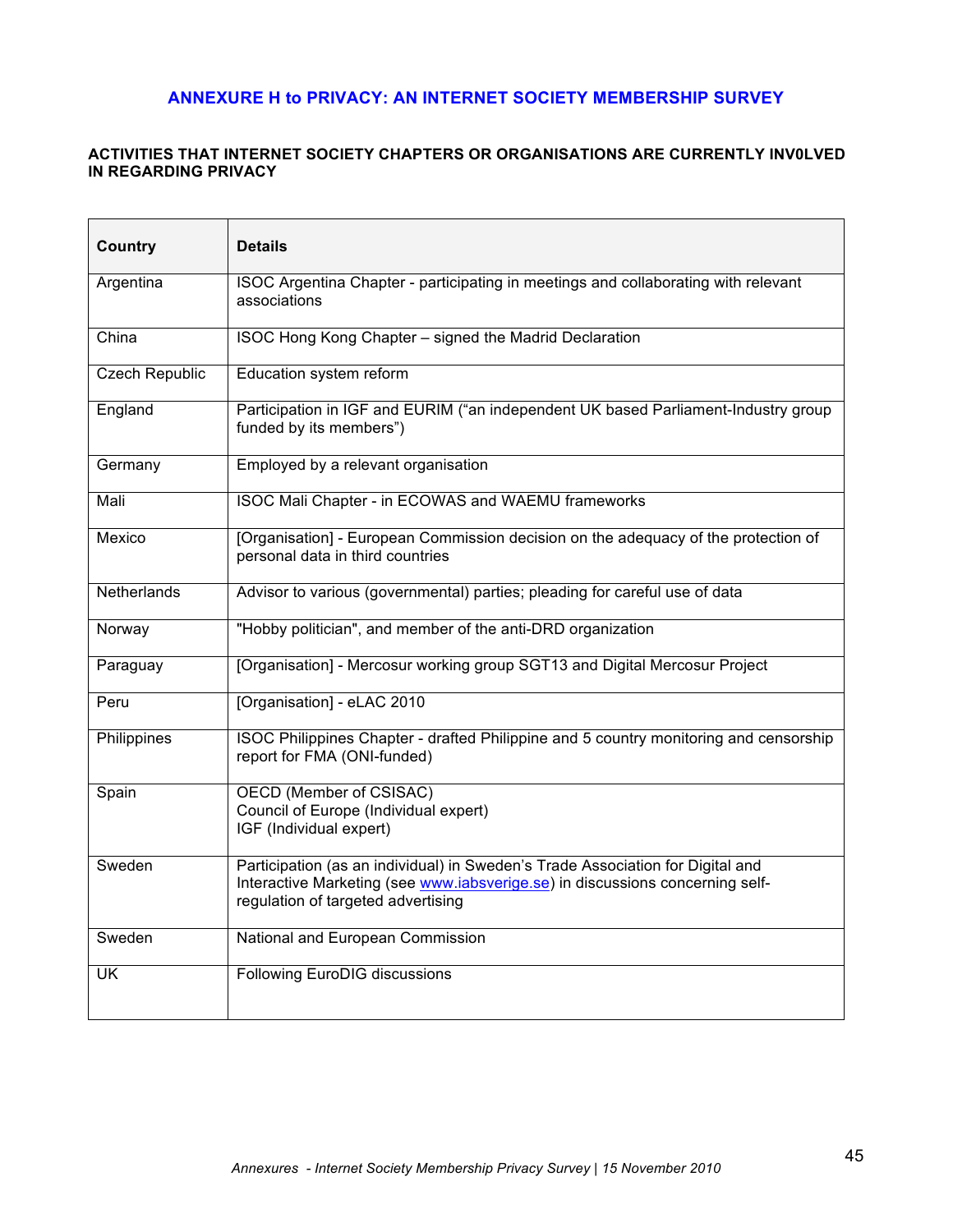# **ANNEXURE H to PRIVACY: AN INTERNET SOCIETY MEMBERSHIP SURVEY**

### **ACTIVITIES THAT INTERNET SOCIETY CHAPTERS OR ORGANISATIONS ARE CURRENTLY INV0LVED IN REGARDING PRIVACY**

| Country               | <b>Details</b>                                                                                                                                                                                        |
|-----------------------|-------------------------------------------------------------------------------------------------------------------------------------------------------------------------------------------------------|
| Argentina             | ISOC Argentina Chapter - participating in meetings and collaborating with relevant<br>associations                                                                                                    |
| China                 | ISOC Hong Kong Chapter - signed the Madrid Declaration                                                                                                                                                |
| <b>Czech Republic</b> | Education system reform                                                                                                                                                                               |
| England               | Participation in IGF and EURIM ("an independent UK based Parliament-Industry group<br>funded by its members")                                                                                         |
| Germany               | Employed by a relevant organisation                                                                                                                                                                   |
| Mali                  | <b>ISOC Mali Chapter - in ECOWAS and WAEMU frameworks</b>                                                                                                                                             |
| Mexico                | [Organisation] - European Commission decision on the adequacy of the protection of<br>personal data in third countries                                                                                |
| Netherlands           | Advisor to various (governmental) parties; pleading for careful use of data                                                                                                                           |
| Norway                | "Hobby politician", and member of the anti-DRD organization                                                                                                                                           |
| Paraguay              | [Organisation] - Mercosur working group SGT13 and Digital Mercosur Project                                                                                                                            |
| Peru                  | [Organisation] - eLAC 2010                                                                                                                                                                            |
| Philippines           | ISOC Philippines Chapter - drafted Philippine and 5 country monitoring and censorship<br>report for FMA (ONI-funded)                                                                                  |
| Spain                 | OECD (Member of CSISAC)<br>Council of Europe (Individual expert)<br>IGF (Individual expert)                                                                                                           |
| Sweden                | Participation (as an individual) in Sweden's Trade Association for Digital and<br>Interactive Marketing (see www.iabsverige.se) in discussions concerning self-<br>regulation of targeted advertising |
| Sweden                | National and European Commission                                                                                                                                                                      |
| UK                    | <b>Following EuroDIG discussions</b>                                                                                                                                                                  |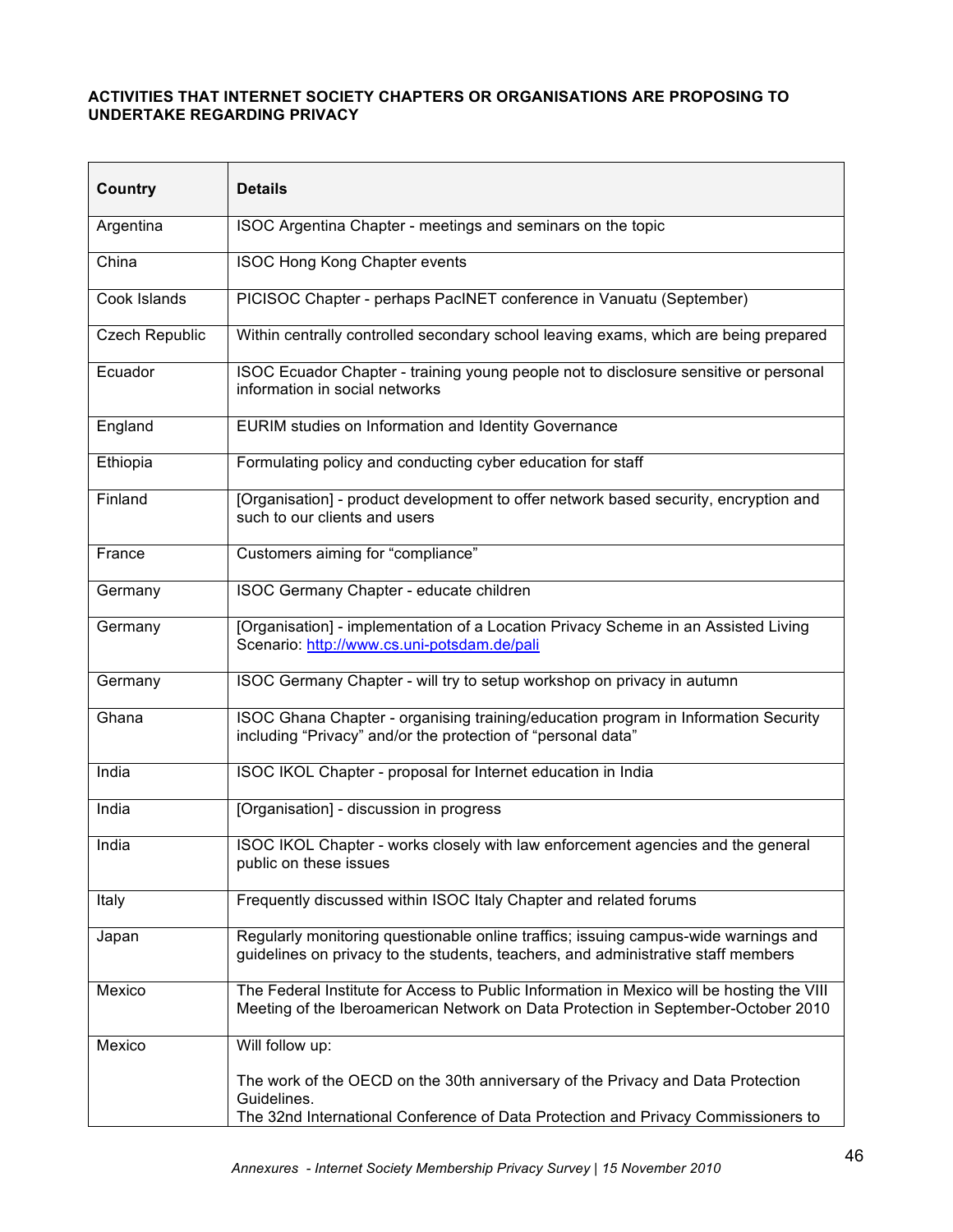### **ACTIVITIES THAT INTERNET SOCIETY CHAPTERS OR ORGANISATIONS ARE PROPOSING TO UNDERTAKE REGARDING PRIVACY**

| <b>Country</b>        | <b>Details</b>                                                                                                                                                                      |
|-----------------------|-------------------------------------------------------------------------------------------------------------------------------------------------------------------------------------|
| Argentina             | ISOC Argentina Chapter - meetings and seminars on the topic                                                                                                                         |
| China                 | ISOC Hong Kong Chapter events                                                                                                                                                       |
| Cook Islands          | PICISOC Chapter - perhaps PacINET conference in Vanuatu (September)                                                                                                                 |
| <b>Czech Republic</b> | Within centrally controlled secondary school leaving exams, which are being prepared                                                                                                |
| Ecuador               | ISOC Ecuador Chapter - training young people not to disclosure sensitive or personal<br>information in social networks                                                              |
| England               | EURIM studies on Information and Identity Governance                                                                                                                                |
| Ethiopia              | Formulating policy and conducting cyber education for staff                                                                                                                         |
| Finland               | [Organisation] - product development to offer network based security, encryption and<br>such to our clients and users                                                               |
| France                | Customers aiming for "compliance"                                                                                                                                                   |
| Germany               | ISOC Germany Chapter - educate children                                                                                                                                             |
| Germany               | [Organisation] - implementation of a Location Privacy Scheme in an Assisted Living<br>Scenario: http://www.cs.uni-potsdam.de/pali                                                   |
| Germany               | ISOC Germany Chapter - will try to setup workshop on privacy in autumn                                                                                                              |
| Ghana                 | ISOC Ghana Chapter - organising training/education program in Information Security<br>including "Privacy" and/or the protection of "personal data"                                  |
| India                 | ISOC IKOL Chapter - proposal for Internet education in India                                                                                                                        |
| India                 | [Organisation] - discussion in progress                                                                                                                                             |
| India                 | ISOC IKOL Chapter - works closely with law enforcement agencies and the general<br>public on these issues                                                                           |
| Italy                 | Frequently discussed within ISOC Italy Chapter and related forums                                                                                                                   |
| Japan                 | Regularly monitoring questionable online traffics; issuing campus-wide warnings and<br>guidelines on privacy to the students, teachers, and administrative staff members            |
| Mexico                | The Federal Institute for Access to Public Information in Mexico will be hosting the VIII<br>Meeting of the Iberoamerican Network on Data Protection in September-October 2010      |
| Mexico                | Will follow up:                                                                                                                                                                     |
|                       | The work of the OECD on the 30th anniversary of the Privacy and Data Protection<br>Guidelines.<br>The 32nd International Conference of Data Protection and Privacy Commissioners to |